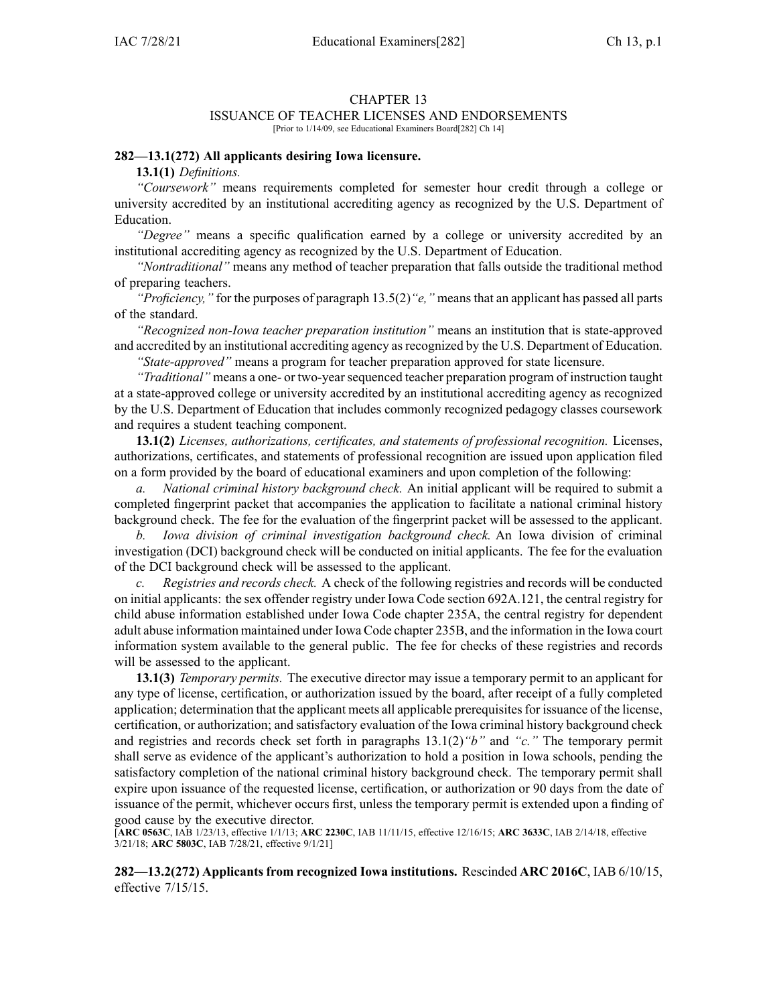#### CHAPTER 13

### ISSUANCE OF TEACHER LICENSES AND ENDORSEMENTS

[Prior to 1/14/09, see Educational Examiners Board[282] Ch 14]

#### **282—13.1(272) All applicants desiring Iowa licensure.**

**13.1(1)** *Definitions.*

*"Coursework"* means requirements completed for semester hour credit through <sup>a</sup> college or university accredited by an institutional accrediting agency as recognized by the U.S. Department of Education.

*"Degree"* means <sup>a</sup> specific qualification earned by <sup>a</sup> college or university accredited by an institutional accrediting agency as recognized by the U.S. Department of Education.

*"Nontraditional"* means any method of teacher preparation that falls outside the traditional method of preparing teachers.

*"Proficiency,"* for the purposes of paragraph [13.5\(2\)](https://www.legis.iowa.gov/docs/iac/rule/282.13.5.pdf)*"e,"* means that an applicant has passed all parts of the standard.

*"Recognized non-Iowa teacher preparation institution"* means an institution that is state-approved and accredited by an institutional accrediting agency asrecognized by the U.S. Department of Education.

*"State-approved"* means <sup>a</sup> program for teacher preparation approved for state licensure.

*"Traditional"* means a one- or two-year sequenced teacher preparation program of instruction taught at <sup>a</sup> state-approved college or university accredited by an institutional accrediting agency as recognized by the U.S. Department of Education that includes commonly recognized pedagogy classes coursework and requires <sup>a</sup> student teaching component.

**13.1(2)** *Licenses, authorizations, certificates, and statements of professional recognition.* Licenses, authorizations, certificates, and statements of professional recognition are issued upon application filed on <sup>a</sup> form provided by the board of educational examiners and upon completion of the following:

*a. National criminal history background check.* An initial applicant will be required to submit <sup>a</sup> completed fingerprint packet that accompanies the application to facilitate <sup>a</sup> national criminal history background check. The fee for the evaluation of the fingerprint packet will be assessed to the applicant.

*b. Iowa division of criminal investigation background check.* An Iowa division of criminal investigation (DCI) background check will be conducted on initial applicants. The fee for the evaluation of the DCI background check will be assessed to the applicant.

*c. Registries and records check.* A check of the following registries and records will be conducted on initial applicants: the sex offender registry under Iowa Code section [692A.121](https://www.legis.iowa.gov/docs/ico/section/692A.121.pdf), the central registry for child abuse information established under Iowa Code chapter [235A](https://www.legis.iowa.gov/docs/ico/chapter/235A.pdf), the central registry for dependent adult abuse information maintained under Iowa Code chapter [235B](https://www.legis.iowa.gov/docs/ico/chapter/235B.pdf), and the information in the Iowa court information system available to the general public. The fee for checks of these registries and records will be assessed to the applicant.

**13.1(3)** *Temporary permits.* The executive director may issue <sup>a</sup> temporary permit to an applicant for any type of license, certification, or authorization issued by the board, after receipt of <sup>a</sup> fully completed application; determination that the applicant meets all applicable prerequisites for issuance of the license, certification, or authorization; and satisfactory evaluation of the Iowa criminal history background check and registries and records check set forth in paragraphs 13.1(2)*"b"* and *"c."* The temporary permit shall serve as evidence of the applicant's authorization to hold <sup>a</sup> position in Iowa schools, pending the satisfactory completion of the national criminal history background check. The temporary permit shall expire upon issuance of the requested license, certification, or authorization or 90 days from the date of issuance of the permit, whichever occurs first, unless the temporary permit is extended upon <sup>a</sup> finding of good cause by the executive director.

[**ARC [0563C](https://www.legis.iowa.gov/docs/aco/arc/0563C.pdf)**, IAB 1/23/13, effective 1/1/13; **ARC [2230C](https://www.legis.iowa.gov/docs/aco/arc/2230C.pdf)**, IAB 11/11/15, effective 12/16/15; **ARC [3633C](https://www.legis.iowa.gov/docs/aco/arc/3633C.pdf)**, IAB 2/14/18, effective 3/21/18; **ARC [5803C](https://www.legis.iowa.gov/docs/aco/arc/5803C.pdf)**, IAB 7/28/21, effective 9/1/21]

**282—13.2(272) Applicants from recognized Iowa institutions.** Rescinded **ARC 2016C**, IAB [6/10/15](https://www.legis.iowa.gov/docs/aco/bulletin/06-10-2015.pdf), effective 7/15/15.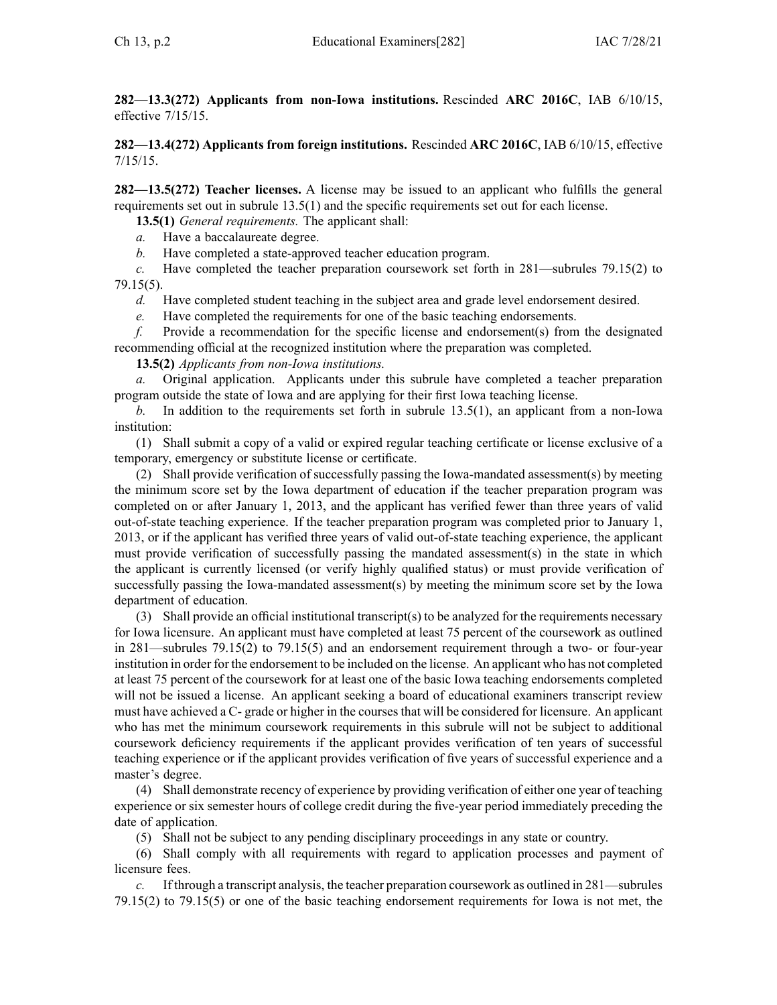**282—13.3(272) Applicants from non-Iowa institutions.** Rescinded **ARC 2016C**, IAB [6/10/15](https://www.legis.iowa.gov/docs/aco/bulletin/06-10-2015.pdf), effective 7/15/15.

**282—13.4(272) Applicants from foreign institutions.** Rescinded **ARC 2016C**, IAB [6/10/15](https://www.legis.iowa.gov/docs/aco/bulletin/06-10-2015.pdf), effective 7/15/15.

**282—13.5(272) Teacher licenses.** A license may be issued to an applicant who fulfills the general requirements set out in subrule [13.5\(1\)](https://www.legis.iowa.gov/docs/iac/rule/282.13.5.pdf) and the specific requirements set out for each license.

**13.5(1)** *General requirements.* The applicant shall:

*a.* Have <sup>a</sup> baccalaureate degree.

*b.* Have completed <sup>a</sup> state-approved teacher education program.

*c.* Have completed the teacher preparation coursework set forth in [281—subrules](https://www.legis.iowa.gov/docs/iac/rule/281.79.15.pdf) 79.15(2) to [79.15\(5\)](https://www.legis.iowa.gov/docs/iac/rule/281.79.15.pdf).

*d.* Have completed student teaching in the subject area and grade level endorsement desired.

*e.* Have completed the requirements for one of the basic teaching endorsements.

*f.* Provide <sup>a</sup> recommendation for the specific license and endorsement(s) from the designated recommending official at the recognized institution where the preparation was completed.

**13.5(2)** *Applicants from non-Iowa institutions.*

*a.* Original application. Applicants under this subrule have completed <sup>a</sup> teacher preparation program outside the state of Iowa and are applying for their first Iowa teaching license.

*b.* In addition to the requirements set forth in subrule [13.5\(1\)](https://www.legis.iowa.gov/docs/iac/rule/282.13.5.pdf), an applicant from <sup>a</sup> non-Iowa institution:

(1) Shall submit <sup>a</sup> copy of <sup>a</sup> valid or expired regular teaching certificate or license exclusive of <sup>a</sup> temporary, emergency or substitute license or certificate.

(2) Shall provide verification of successfully passing the Iowa-mandated assessment(s) by meeting the minimum score set by the Iowa department of education if the teacher preparation program was completed on or after January 1, 2013, and the applicant has verified fewer than three years of valid out-of-state teaching experience. If the teacher preparation program was completed prior to January 1, 2013, or if the applicant has verified three years of valid out-of-state teaching experience, the applicant must provide verification of successfully passing the mandated assessment(s) in the state in which the applicant is currently licensed (or verify highly qualified status) or must provide verification of successfully passing the Iowa-mandated assessment(s) by meeting the minimum score set by the Iowa department of education.

(3) Shall provide an official institutional transcript(s) to be analyzed for the requirements necessary for Iowa licensure. An applicant must have completed at least 75 percen<sup>t</sup> of the coursework as outlined in [281—subrules](https://www.legis.iowa.gov/docs/iac/rule/281.79.15.pdf) 79.15(2) to [79.15\(5\)](https://www.legis.iowa.gov/docs/iac/rule/281.79.15.pdf) and an endorsement requirement through <sup>a</sup> two- or four-year institution in order for the endorsement to be included on the license. An applicant who has not completed at least 75 percen<sup>t</sup> of the coursework for at least one of the basic Iowa teaching endorsements completed will not be issued a license. An applicant seeking a board of educational examiners transcript review must have achieved <sup>a</sup> C- grade or higher in the coursesthat will be considered for licensure. An applicant who has met the minimum coursework requirements in this subrule will not be subject to additional coursework deficiency requirements if the applicant provides verification of ten years of successful teaching experience or if the applicant provides verification of five years of successful experience and <sup>a</sup> master's degree.

(4) Shall demonstrate recency of experience by providing verification of either one year of teaching experience or six semester hours of college credit during the five-year period immediately preceding the date of application.

(5) Shall not be subject to any pending disciplinary proceedings in any state or country.

(6) Shall comply with all requirements with regard to application processes and paymen<sup>t</sup> of licensure fees.

*c.* If through <sup>a</sup> transcript analysis, the teacher preparation coursework as outlined in [281—subrules](https://www.legis.iowa.gov/docs/iac/rule/281.79.15.pdf) [79.15\(2\)](https://www.legis.iowa.gov/docs/iac/rule/281.79.15.pdf) to [79.15\(5\)](https://www.legis.iowa.gov/docs/iac/rule/281.79.15.pdf) or one of the basic teaching endorsement requirements for Iowa is not met, the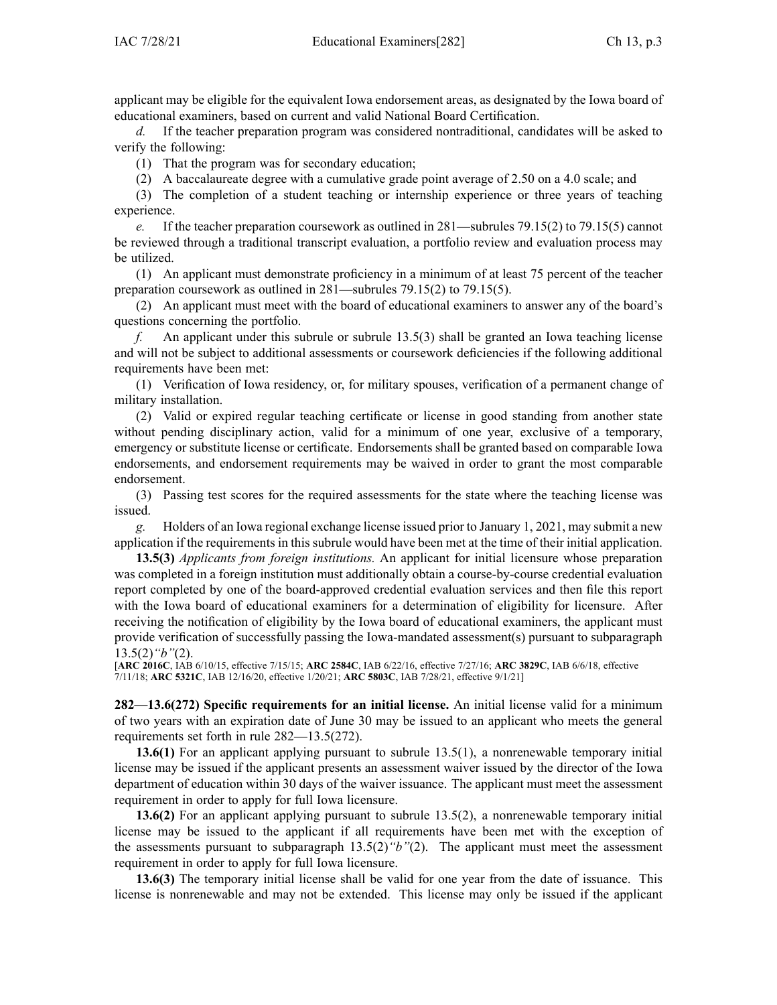applicant may be eligible for the equivalent Iowa endorsement areas, as designated by the Iowa board of educational examiners, based on current and valid National Board Certification.

*d.* If the teacher preparation program was considered nontraditional, candidates will be asked to verify the following:

(1) That the program was for secondary education;

(2) A baccalaureate degree with <sup>a</sup> cumulative grade point average of 2.50 on <sup>a</sup> 4.0 scale; and

(3) The completion of <sup>a</sup> student teaching or internship experience or three years of teaching experience.

*e.* If the teacher preparation coursework as outlined in [281—subrules](https://www.legis.iowa.gov/docs/iac/rule/281.79.15.pdf) 79.15(2) to [79.15\(5\)](https://www.legis.iowa.gov/docs/iac/rule/281.79.15.pdf) cannot be reviewed through <sup>a</sup> traditional transcript evaluation, <sup>a</sup> portfolio review and evaluation process may be utilized.

(1) An applicant must demonstrate proficiency in <sup>a</sup> minimum of at least 75 percen<sup>t</sup> of the teacher preparation coursework as outlined in [281—subrules](https://www.legis.iowa.gov/docs/iac/rule/281.79.15.pdf) 79.15(2) to [79.15\(5\)](https://www.legis.iowa.gov/docs/iac/rule/281.79.15.pdf).

(2) An applicant must meet with the board of educational examiners to answer any of the board's questions concerning the portfolio.

*f.* An applicant under this subrule or subrule [13.5\(3\)](https://www.legis.iowa.gov/docs/iac/rule/282.13.5.pdf) shall be granted an Iowa teaching license and will not be subject to additional assessments or coursework deficiencies if the following additional requirements have been met:

(1) Verification of Iowa residency, or, for military spouses, verification of <sup>a</sup> permanen<sup>t</sup> change of military installation.

(2) Valid or expired regular teaching certificate or license in good standing from another state without pending disciplinary action, valid for <sup>a</sup> minimum of one year, exclusive of <sup>a</sup> temporary, emergency or substitute license or certificate. Endorsements shall be granted based on comparable Iowa endorsements, and endorsement requirements may be waived in order to gran<sup>t</sup> the most comparable endorsement.

(3) Passing test scores for the required assessments for the state where the teaching license was issued.

*g.* Holders of an Iowa regional exchange license issued prior to January 1, 2021, may submit <sup>a</sup> new application if the requirements in this subrule would have been met at the time of their initial application.

**13.5(3)** *Applicants from foreign institutions.* An applicant for initial licensure whose preparation was completed in <sup>a</sup> foreign institution must additionally obtain <sup>a</sup> course-by-course credential evaluation repor<sup>t</sup> completed by one of the board-approved credential evaluation services and then file this repor<sup>t</sup> with the Iowa board of educational examiners for <sup>a</sup> determination of eligibility for licensure. After receiving the notification of eligibility by the Iowa board of educational examiners, the applicant must provide verification of successfully passing the Iowa-mandated assessment(s) pursuan<sup>t</sup> to [subparagraph](https://www.legis.iowa.gov/docs/iac/rule/282.13.5.pdf) [13.5\(2\)](https://www.legis.iowa.gov/docs/iac/rule/282.13.5.pdf)*"b"*(2).

[**ARC [2016C](https://www.legis.iowa.gov/docs/aco/arc/2016C.pdf)**, IAB 6/10/15, effective 7/15/15; **ARC [2584C](https://www.legis.iowa.gov/docs/aco/arc/2584C.pdf)**, IAB 6/22/16, effective 7/27/16; **ARC [3829C](https://www.legis.iowa.gov/docs/aco/arc/3829C.pdf)**, IAB 6/6/18, effective 7/11/18; **ARC [5321C](https://www.legis.iowa.gov/docs/aco/arc/5321C.pdf)**, IAB 12/16/20, effective 1/20/21; **ARC [5803C](https://www.legis.iowa.gov/docs/aco/arc/5803C.pdf)**, IAB 7/28/21, effective 9/1/21]

**282—13.6(272) Specific requirements for an initial license.** An initial license valid for <sup>a</sup> minimum of two years with an expiration date of June 30 may be issued to an applicant who meets the general requirements set forth in rule [282—13.5](https://www.legis.iowa.gov/docs/iac/rule/282.13.5.pdf)(272).

**13.6(1)** For an applicant applying pursuan<sup>t</sup> to subrule 13.5(1), <sup>a</sup> nonrenewable temporary initial license may be issued if the applicant presents an assessment waiver issued by the director of the Iowa department of education within 30 days of the waiver issuance. The applicant must meet the assessment requirement in order to apply for full Iowa licensure.

**13.6(2)** For an applicant applying pursuan<sup>t</sup> to subrule 13.5(2), <sup>a</sup> nonrenewable temporary initial license may be issued to the applicant if all requirements have been met with the exception of the assessments pursuan<sup>t</sup> to subparagraph 13.5(2)*"b"*(2). The applicant must meet the assessment requirement in order to apply for full Iowa licensure.

**13.6(3)** The temporary initial license shall be valid for one year from the date of issuance. This license is nonrenewable and may not be extended. This license may only be issued if the applicant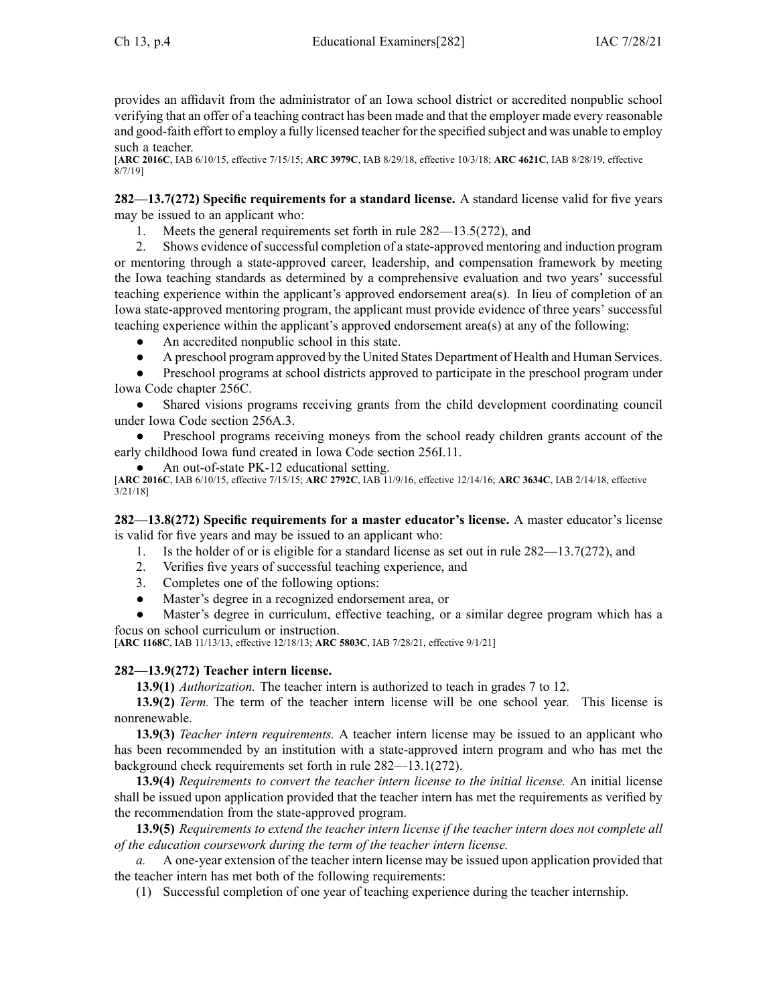provides an affidavit from the administrator of an Iowa school district or accredited nonpublic school verifying that an offer of <sup>a</sup> teaching contract has been made and that the employer made every reasonable and good-faith effort to employ <sup>a</sup> fully licensed teacher for the specified subject and was unable to employ such <sup>a</sup> teacher.

[**ARC [2016C](https://www.legis.iowa.gov/docs/aco/arc/2016C.pdf)**, IAB 6/10/15, effective 7/15/15; **ARC [3979C](https://www.legis.iowa.gov/docs/aco/arc/3979C.pdf)**, IAB 8/29/18, effective 10/3/18; **ARC [4621C](https://www.legis.iowa.gov/docs/aco/arc/4621C.pdf)**, IAB 8/28/19, effective 8/7/19]

**282—13.7(272) Specific requirements for <sup>a</sup> standard license.** A standard license valid for five years may be issued to an applicant who:

1. Meets the general requirements set forth in rule 282—13.5(272), and

2. Shows evidence ofsuccessful completion of <sup>a</sup> state-approved mentoring and induction program or mentoring through <sup>a</sup> state-approved career, leadership, and compensation framework by meeting the Iowa teaching standards as determined by <sup>a</sup> comprehensive evaluation and two years' successful teaching experience within the applicant's approved endorsement area(s). In lieu of completion of an Iowa state-approved mentoring program, the applicant must provide evidence of three years' successful teaching experience within the applicant's approved endorsement area(s) at any of the following:

- ●An accredited nonpublic school in this state.
- $\bullet$ A preschool program approved by the United States Department of Health and Human Services.

● Preschool programs at school districts approved to participate in the preschool program under Iowa Code chapter [256C](https://www.legis.iowa.gov/docs/ico/chapter/2016/256C.pdf).

● Shared visions programs receiving grants from the child development coordinating council under Iowa Code section [256A.3](https://www.legis.iowa.gov/docs/ico/section/2016/256A.3.pdf).

● Preschool programs receiving moneys from the school ready children grants account of the early childhood Iowa fund created in Iowa Code section [256I.11](https://www.legis.iowa.gov/docs/ico/section/2016/256I.11.pdf).

●An out-of-state PK-12 educational setting.

[**ARC [2016C](https://www.legis.iowa.gov/docs/aco/arc/2016C.pdf)**, IAB 6/10/15, effective 7/15/15; **ARC [2792C](https://www.legis.iowa.gov/docs/aco/arc/2792C.pdf)**, IAB 11/9/16, effective 12/14/16; **ARC [3634C](https://www.legis.iowa.gov/docs/aco/arc/3634C.pdf)**, IAB 2/14/18, effective 3/21/18]

**282—13.8(272) Specific requirements for <sup>a</sup> master educator's license.** A master educator's license is valid for five years and may be issued to an applicant who:

1. Is the holder of or is eligible for <sup>a</sup> standard license as set out in rule 282—13.7(272), and

- 2. Verifies five years of successful teaching experience, and
- 3. Completes one of the following options:
- ●Master's degree in <sup>a</sup> recognized endorsement area, or
- ● Master's degree in curriculum, effective teaching, or <sup>a</sup> similar degree program which has <sup>a</sup> focus on school curriculum or instruction.

[**ARC [1168C](https://www.legis.iowa.gov/docs/aco/arc/1168C.pdf)**, IAB 11/13/13, effective 12/18/13; **ARC [5803C](https://www.legis.iowa.gov/docs/aco/arc/5803C.pdf)**, IAB 7/28/21, effective 9/1/21]

# **282—13.9(272) Teacher intern license.**

**13.9(1)** *Authorization.* The teacher intern is authorized to teach in grades 7 to 12.

**13.9(2)** *Term.* The term of the teacher intern license will be one school year. This license is nonrenewable.

**13.9(3)** *Teacher intern requirements.* A teacher intern license may be issued to an applicant who has been recommended by an institution with <sup>a</sup> state-approved intern program and who has met the background check requirements set forth in rule [282—13.1](https://www.legis.iowa.gov/docs/iac/rule/282.13.1.pdf)(272).

**13.9(4)** *Requirements to convert the teacher intern license to the initial license.* An initial license shall be issued upon application provided that the teacher intern has met the requirements as verified by the recommendation from the state-approved program.

**13.9(5)** *Requirements to extend the teacher intern license if the teacher intern does not complete all of the education coursework during the term of the teacher intern license.*

*a.* A one-year extension of the teacher intern license may be issued upon application provided that the teacher intern has met both of the following requirements:

(1) Successful completion of one year of teaching experience during the teacher internship.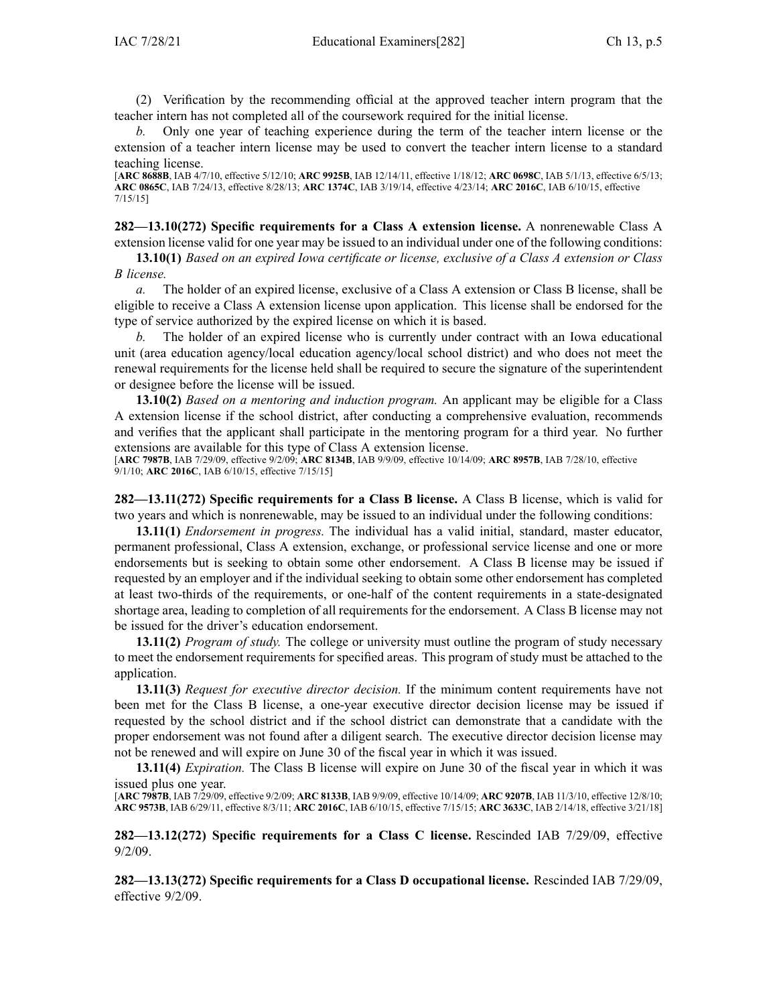(2) Verification by the recommending official at the approved teacher intern program that the teacher intern has not completed all of the coursework required for the initial license.

*b.* Only one year of teaching experience during the term of the teacher intern license or the extension of <sup>a</sup> teacher intern license may be used to convert the teacher intern license to <sup>a</sup> standard teaching license.

[**ARC [8688B](https://www.legis.iowa.gov/docs/aco/arc/8688B.pdf)**, IAB 4/7/10, effective 5/12/10; **ARC [9925B](https://www.legis.iowa.gov/docs/aco/arc/9925B.pdf)**, IAB 12/14/11, effective 1/18/12; **ARC [0698C](https://www.legis.iowa.gov/docs/aco/arc/0698C.pdf)**, IAB 5/1/13, effective 6/5/13; **ARC [0865C](https://www.legis.iowa.gov/docs/aco/arc/0865C.pdf)**, IAB 7/24/13, effective 8/28/13; **ARC [1374C](https://www.legis.iowa.gov/docs/aco/arc/1374C.pdf)**, IAB 3/19/14, effective 4/23/14; **ARC [2016C](https://www.legis.iowa.gov/docs/aco/arc/2016C.pdf)**, IAB 6/10/15, effective 7/15/15]

**282—13.10(272) Specific requirements for <sup>a</sup> Class A extension license.** A nonrenewable Class A extension license valid for one year may be issued to an individual under one of the following conditions:

13.10(1) Based on an expired Iowa certificate or license, exclusive of a Class A extension or Class *B license.*

*a.* The holder of an expired license, exclusive of <sup>a</sup> Class A extension or Class B license, shall be eligible to receive <sup>a</sup> Class A extension license upon application. This license shall be endorsed for the type of service authorized by the expired license on which it is based.

The holder of an expired license who is currently under contract with an Iowa educational unit (area education agency/local education agency/local school district) and who does not meet the renewal requirements for the license held shall be required to secure the signature of the superintendent or designee before the license will be issued.

**13.10(2)** *Based on <sup>a</sup> mentoring and induction program.* An applicant may be eligible for <sup>a</sup> Class A extension license if the school district, after conducting <sup>a</sup> comprehensive evaluation, recommends and verifies that the applicant shall participate in the mentoring program for <sup>a</sup> third year. No further extensions are available for this type of Class A extension license.

[**ARC [7987B](https://www.legis.iowa.gov/docs/aco/arc/7987B.pdf)**, IAB 7/29/09, effective 9/2/09; **ARC [8134B](https://www.legis.iowa.gov/docs/aco/arc/8134B.pdf)**, IAB 9/9/09, effective 10/14/09; **ARC [8957B](https://www.legis.iowa.gov/docs/aco/arc/8957B.pdf)**, IAB 7/28/10, effective 9/1/10; **ARC [2016C](https://www.legis.iowa.gov/docs/aco/arc/2016C.pdf)**, IAB 6/10/15, effective 7/15/15]

**282—13.11(272) Specific requirements for <sup>a</sup> Class B license.** A Class B license, which is valid for two years and which is nonrenewable, may be issued to an individual under the following conditions:

**13.11(1)** *Endorsement in progress.* The individual has <sup>a</sup> valid initial, standard, master educator, permanen<sup>t</sup> professional, Class A extension, exchange, or professional service license and one or more endorsements but is seeking to obtain some other endorsement. A Class B license may be issued if requested by an employer and if the individual seeking to obtain some other endorsement has completed at least two-thirds of the requirements, or one-half of the content requirements in <sup>a</sup> state-designated shortage area, leading to completion of all requirements for the endorsement. A Class B license may not be issued for the driver's education endorsement.

**13.11(2)** *Program of study.* The college or university must outline the program of study necessary to meet the endorsement requirements for specified areas. This program of study must be attached to the application.

**13.11(3)** *Request for executive director decision.* If the minimum content requirements have not been met for the Class B license, <sup>a</sup> one-year executive director decision license may be issued if requested by the school district and if the school district can demonstrate that <sup>a</sup> candidate with the proper endorsement was not found after <sup>a</sup> diligent search. The executive director decision license may not be renewed and will expire on June 30 of the fiscal year in which it was issued.

**13.11(4)** *Expiration.* The Class B license will expire on June 30 of the fiscal year in which it was issued plus one year.

[**ARC [7987B](https://www.legis.iowa.gov/docs/aco/arc/7987B.pdf)**, IAB 7/29/09, effective 9/2/09; **ARC [8133B](https://www.legis.iowa.gov/docs/aco/arc/8133B.pdf)**, IAB 9/9/09, effective 10/14/09; **ARC [9207B](https://www.legis.iowa.gov/docs/aco/arc/9207B.pdf)**, IAB 11/3/10, effective 12/8/10; **ARC [9573B](https://www.legis.iowa.gov/docs/aco/arc/9573B.pdf)**, IAB 6/29/11, effective 8/3/11; **ARC [2016C](https://www.legis.iowa.gov/docs/aco/arc/2016C.pdf)**, IAB 6/10/15, effective 7/15/15; **ARC [3633C](https://www.legis.iowa.gov/docs/aco/arc/3633C.pdf)**, IAB 2/14/18, effective 3/21/18]

**282—13.12(272) Specific requirements for <sup>a</sup> Class C license.** Rescinded IAB [7/29/09](https://www.legis.iowa.gov/docs/aco/bulletin/07-29-2009.pdf), effective 9/2/09.

**282—13.13(272) Specific requirements for <sup>a</sup> Class D occupational license.** Rescinded IAB [7/29/09](https://www.legis.iowa.gov/docs/aco/bulletin/07-29-2009.pdf), effective 9/2/09.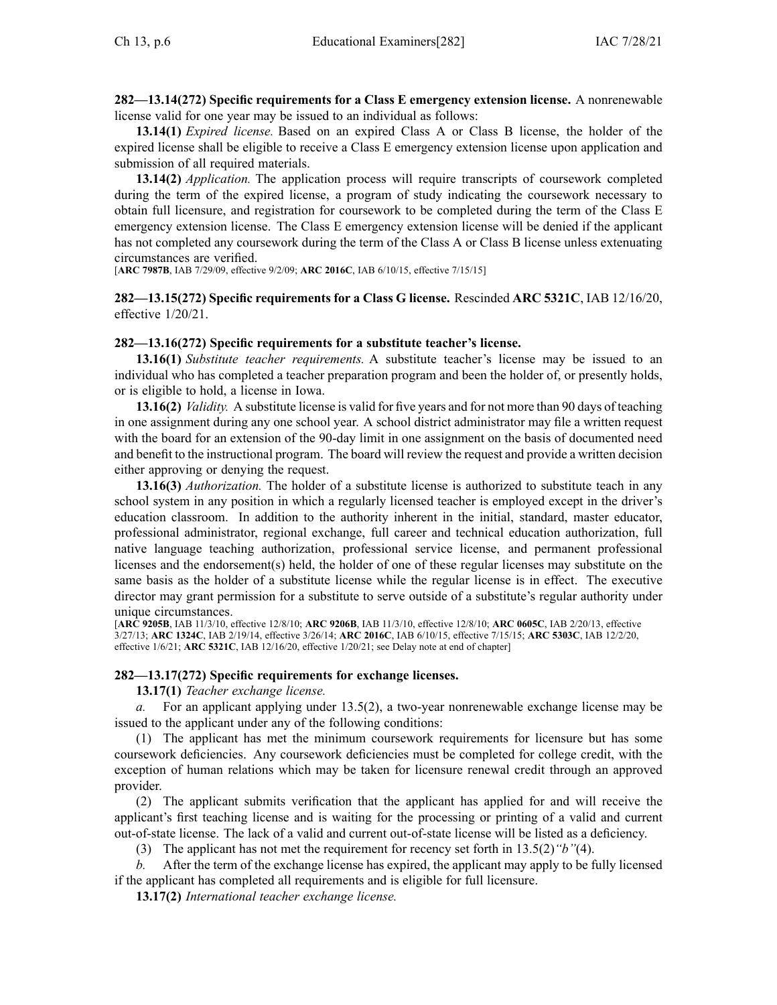**282—13.14(272) Specific requirements for <sup>a</sup> Class E emergency extension license.** A nonrenewable license valid for one year may be issued to an individual as follows:

**13.14(1)** *Expired license.* Based on an expired Class A or Class B license, the holder of the expired license shall be eligible to receive <sup>a</sup> Class E emergency extension license upon application and submission of all required materials.

**13.14(2)** *Application.* The application process will require transcripts of coursework completed during the term of the expired license, <sup>a</sup> program of study indicating the coursework necessary to obtain full licensure, and registration for coursework to be completed during the term of the Class E emergency extension license. The Class E emergency extension license will be denied if the applicant has not completed any coursework during the term of the Class A or Class B license unless extenuating circumstances are verified.

[**ARC [7987B](https://www.legis.iowa.gov/docs/aco/arc/7987B.pdf)**, IAB 7/29/09, effective 9/2/09; **ARC [2016C](https://www.legis.iowa.gov/docs/aco/arc/2016C.pdf)**, IAB 6/10/15, effective 7/15/15]

**282—13.15(272) Specific requirements for <sup>a</sup> Class G license.** Rescinded **ARC 5321C**, IAB [12/16/20](https://www.legis.iowa.gov/docs/aco/bulletin/12-16-2020.pdf), effective 1/20/21.

## **282—13.16(272) Specific requirements for <sup>a</sup> substitute teacher's license.**

**13.16(1)** *Substitute teacher requirements.* A substitute teacher's license may be issued to an individual who has completed <sup>a</sup> teacher preparation program and been the holder of, or presently holds, or is eligible to hold, <sup>a</sup> license in Iowa.

**13.16(2)** *Validity.* A substitute license is valid for five years and for not more than 90 days of teaching in one assignment during any one school year. A school district administrator may file <sup>a</sup> written reques<sup>t</sup> with the board for an extension of the 90-day limit in one assignment on the basis of documented need and benefit to the instructional program. The board will review the reques<sup>t</sup> and provide <sup>a</sup> written decision either approving or denying the request.

**13.16(3)** *Authorization.* The holder of <sup>a</sup> substitute license is authorized to substitute teach in any school system in any position in which <sup>a</sup> regularly licensed teacher is employed excep<sup>t</sup> in the driver's education classroom. In addition to the authority inherent in the initial, standard, master educator, professional administrator, regional exchange, full career and technical education authorization, full native language teaching authorization, professional service license, and permanen<sup>t</sup> professional licenses and the endorsement(s) held, the holder of one of these regular licenses may substitute on the same basis as the holder of <sup>a</sup> substitute license while the regular license is in effect. The executive director may gran<sup>t</sup> permission for <sup>a</sup> substitute to serve outside of <sup>a</sup> substitute's regular authority under unique circumstances.

[**ARC [9205B](https://www.legis.iowa.gov/docs/aco/arc/9205B.pdf)**, IAB 11/3/10, effective 12/8/10; **ARC [9206B](https://www.legis.iowa.gov/docs/aco/arc/9206B.pdf)**, IAB 11/3/10, effective 12/8/10; **ARC [0605C](https://www.legis.iowa.gov/docs/aco/arc/0605C.pdf)**, IAB 2/20/13, effective 3/27/13; **ARC [1324C](https://www.legis.iowa.gov/docs/aco/arc/1324C.pdf)**, IAB 2/19/14, effective 3/26/14; **ARC [2016C](https://www.legis.iowa.gov/docs/aco/arc/2016C.pdf)**, IAB 6/10/15, effective 7/15/15; **ARC [5303C](https://www.legis.iowa.gov/docs/aco/arc/5303C.pdf)**, IAB 12/2/20, effective 1/6/21; **ARC [5321C](https://www.legis.iowa.gov/docs/aco/arc/5321C.pdf)**, IAB 12/16/20, effective 1/20/21; see Delay note at end of chapter]

### **282—13.17(272) Specific requirements for exchange licenses.**

**13.17(1)** *Teacher exchange license.*

*a.* For an applicant applying under [13.5\(2\)](https://www.legis.iowa.gov/docs/iac/rule/282.13.5.pdf), <sup>a</sup> two-year nonrenewable exchange license may be issued to the applicant under any of the following conditions:

(1) The applicant has met the minimum coursework requirements for licensure but has some coursework deficiencies. Any coursework deficiencies must be completed for college credit, with the exception of human relations which may be taken for licensure renewal credit through an approved provider.

(2) The applicant submits verification that the applicant has applied for and will receive the applicant's first teaching license and is waiting for the processing or printing of <sup>a</sup> valid and current out-of-state license. The lack of <sup>a</sup> valid and current out-of-state license will be listed as <sup>a</sup> deficiency.

(3) The applicant has not met the requirement for recency set forth in [13.5\(2\)](https://www.legis.iowa.gov/docs/iac/rule/282.13.5.pdf)*"b"*(4).

*b.* After the term of the exchange license has expired, the applicant may apply to be fully licensed if the applicant has completed all requirements and is eligible for full licensure.

**13.17(2)** *International teacher exchange license.*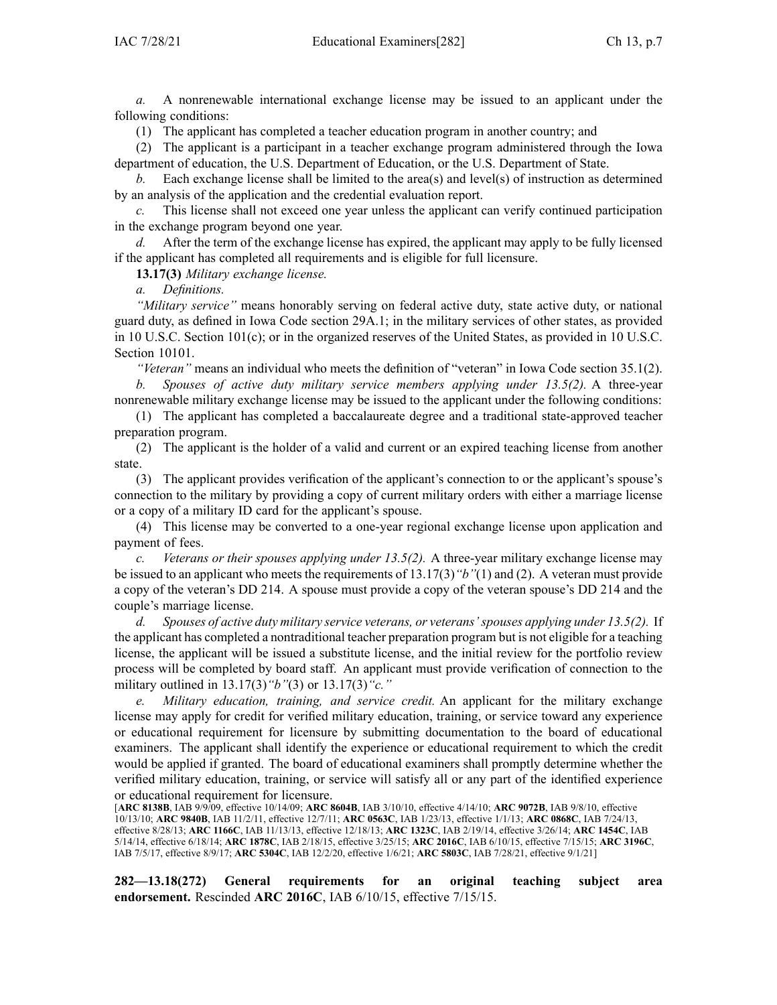*a.* A nonrenewable international exchange license may be issued to an applicant under the following conditions:

(1) The applicant has completed <sup>a</sup> teacher education program in another country; and

(2) The applicant is <sup>a</sup> participant in <sup>a</sup> teacher exchange program administered through the Iowa department of education, the U.S. Department of Education, or the U.S. Department of State.

*b.* Each exchange license shall be limited to the area(s) and level(s) of instruction as determined by an analysis of the application and the credential evaluation report.

This license shall not exceed one year unless the applicant can verify continued participation in the exchange program beyond one year.

*d.* After the term of the exchange license has expired, the applicant may apply to be fully licensed if the applicant has completed all requirements and is eligible for full licensure.

**13.17(3)** *Military exchange license.*

*a. Definitions.*

*"Military service"* means honorably serving on federal active duty, state active duty, or national guard duty, as defined in Iowa Code section [29A.1](https://www.legis.iowa.gov/docs/ico/section/2017/29A.1.pdf); in the military services of other states, as provided in 10 U.S.C. Section 101(c); or in the organized reserves of the United States, as provided in 10 U.S.C. Section 10101.

*"Veteran"* means an individual who meets the definition of "veteran" in Iowa Code section [35.1\(2\)](https://www.legis.iowa.gov/docs/ico/section/35.1.pdf).

*b. Spouses of active duty military service members applying under 13.5(2).* A three-year nonrenewable military exchange license may be issued to the applicant under the following conditions:

(1) The applicant has completed <sup>a</sup> baccalaureate degree and <sup>a</sup> traditional state-approved teacher preparation program.

(2) The applicant is the holder of <sup>a</sup> valid and current or an expired teaching license from another state.

(3) The applicant provides verification of the applicant's connection to or the applicant's spouse's connection to the military by providing <sup>a</sup> copy of current military orders with either <sup>a</sup> marriage license or <sup>a</sup> copy of <sup>a</sup> military ID card for the applicant's spouse.

(4) This license may be converted to <sup>a</sup> one-year regional exchange license upon application and paymen<sup>t</sup> of fees.

*c. Veterans or their spouses applying under 13.5(2).* A three-year military exchange license may be issued to an applicant who meets the requirements of [13.17\(3\)](https://www.legis.iowa.gov/docs/iac/rule/282.13.17.pdf)*"b"*(1) and (2). A veteran must provide <sup>a</sup> copy of the veteran's DD 214. A spouse must provide <sup>a</sup> copy of the veteran spouse's DD 214 and the couple's marriage license.

*d. Spouses of active duty military service veterans, or veterans'spouses applying under 13.5(2).* If the applicant has completed <sup>a</sup> nontraditional teacher preparation program but is not eligible for <sup>a</sup> teaching license, the applicant will be issued <sup>a</sup> substitute license, and the initial review for the portfolio review process will be completed by board staff. An applicant must provide verification of connection to the military outlined in [13.17\(3\)](https://www.legis.iowa.gov/docs/iac/rule/282.13.17.pdf)*"b"*(3) or [13.17\(3\)](https://www.legis.iowa.gov/docs/iac/rule/282.13.17.pdf)*"c."*

*e. Military education, training, and service credit.* An applicant for the military exchange license may apply for credit for verified military education, training, or service toward any experience or educational requirement for licensure by submitting documentation to the board of educational examiners. The applicant shall identify the experience or educational requirement to which the credit would be applied if granted. The board of educational examiners shall promptly determine whether the verified military education, training, or service will satisfy all or any par<sup>t</sup> of the identified experience or educational requirement for licensure.

[**ARC [8138B](https://www.legis.iowa.gov/docs/aco/arc/8138B.pdf)**, IAB 9/9/09, effective 10/14/09; **ARC [8604B](https://www.legis.iowa.gov/docs/aco/arc/8604B.pdf)**, IAB 3/10/10, effective 4/14/10; **ARC [9072B](https://www.legis.iowa.gov/docs/aco/arc/9072B.pdf)**, IAB 9/8/10, effective 10/13/10; **ARC [9840B](https://www.legis.iowa.gov/docs/aco/arc/9840B.pdf)**, IAB 11/2/11, effective 12/7/11; **ARC [0563C](https://www.legis.iowa.gov/docs/aco/arc/0563C.pdf)**, IAB 1/23/13, effective 1/1/13; **ARC [0868C](https://www.legis.iowa.gov/docs/aco/arc/0868C.pdf)**, IAB 7/24/13, effective 8/28/13; **ARC [1166C](https://www.legis.iowa.gov/docs/aco/arc/1166C.pdf)**, IAB 11/13/13, effective 12/18/13; **ARC [1323C](https://www.legis.iowa.gov/docs/aco/arc/1323C.pdf)**, IAB 2/19/14, effective 3/26/14; **ARC [1454C](https://www.legis.iowa.gov/docs/aco/arc/1454C.pdf)**, IAB 5/14/14, effective 6/18/14; **ARC [1878C](https://www.legis.iowa.gov/docs/aco/arc/1878C.pdf)**, IAB 2/18/15, effective 3/25/15; **ARC [2016C](https://www.legis.iowa.gov/docs/aco/arc/2016C.pdf)**, IAB 6/10/15, effective 7/15/15; **ARC [3196C](https://www.legis.iowa.gov/docs/aco/arc/3196C.pdf)**, IAB 7/5/17, effective 8/9/17; **ARC [5304C](https://www.legis.iowa.gov/docs/aco/arc/5304C.pdf)**, IAB 12/2/20, effective 1/6/21; **ARC [5803C](https://www.legis.iowa.gov/docs/aco/arc/5803C.pdf)**, IAB 7/28/21, effective 9/1/21]

**282—13.18(272) General requirements for an original teaching subject area endorsement.** Rescinded **ARC 2016C**, IAB [6/10/15](https://www.legis.iowa.gov/docs/aco/bulletin/06-10-2015.pdf), effective 7/15/15.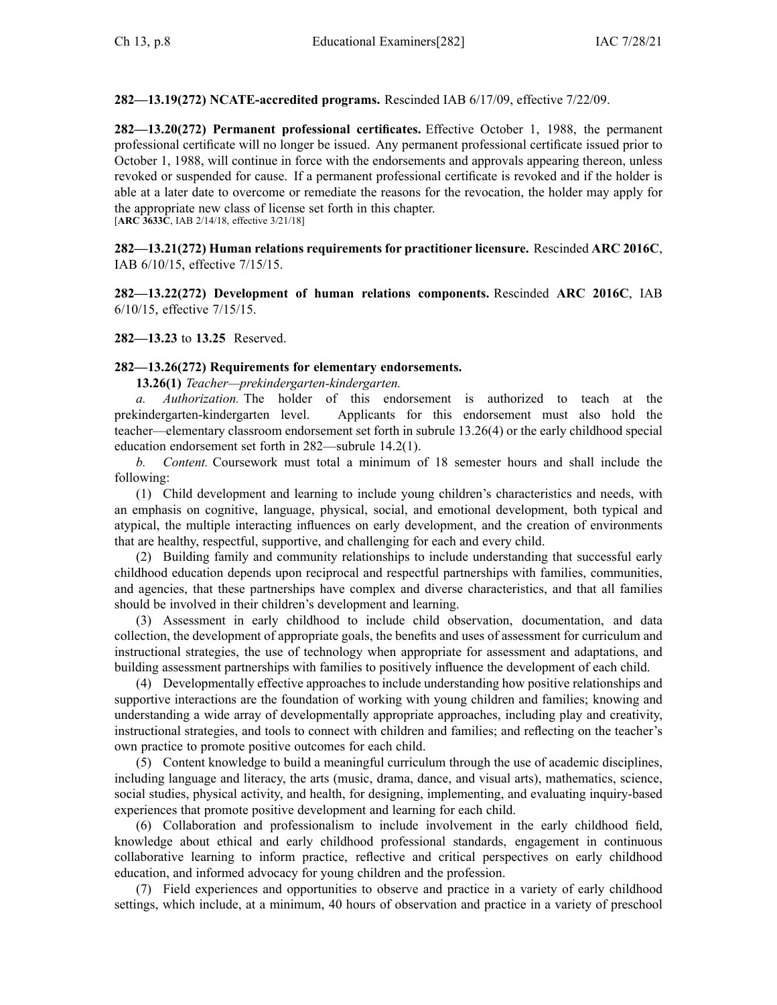**282—13.19(272) NCATE-accredited programs.** Rescinded IAB [6/17/09](https://www.legis.iowa.gov/docs/aco/bulletin/06-17-2009.pdf), effective 7/22/09.

**282—13.20(272) Permanent professional certificates.** Effective October 1, 1988, the permanen<sup>t</sup> professional certificate will no longer be issued. Any permanen<sup>t</sup> professional certificate issued prior to October 1, 1988, will continue in force with the endorsements and approvals appearing thereon, unless revoked or suspended for cause. If <sup>a</sup> permanen<sup>t</sup> professional certificate is revoked and if the holder is able at <sup>a</sup> later date to overcome or remediate the reasons for the revocation, the holder may apply for the appropriate new class of license set forth in this chapter. [**ARC [3633C](https://www.legis.iowa.gov/docs/aco/arc/3633C.pdf)**, IAB 2/14/18, effective 3/21/18]

**282—13.21(272) Human relations requirements for practitioner licensure.** Rescinded **ARC 2016C**, IAB [6/10/15](https://www.legis.iowa.gov/docs/aco/bulletin/06-10-2015.pdf), effective 7/15/15.

**282—13.22(272) Development of human relations components.** Rescinded **ARC 2016C**, [IAB](https://www.legis.iowa.gov/docs/aco/bulletin/06-10-2015.pdf) [6/10/15](https://www.legis.iowa.gov/docs/aco/bulletin/06-10-2015.pdf), effective 7/15/15.

**282—13.23** to **13.25** Reserved.

## **282—13.26(272) Requirements for elementary endorsements.**

**13.26(1)** *Teacher—prekindergarten-kindergarten.*

*a. Authorization.* The holder of this endorsement is authorized to teach at the prekindergarten-kindergarten level. Applicants for this endorsement must also hold the teacher—elementary classroom endorsement set forth in subrule [13.26\(4\)](https://www.legis.iowa.gov/docs/iac/rule/282.13.26.pdf) or the early childhood special education endorsement set forth in [282—subrule](https://www.legis.iowa.gov/docs/iac/rule/282.14.2.pdf) 14.2(1).

*b. Content.* Coursework must total <sup>a</sup> minimum of 18 semester hours and shall include the following:

(1) Child development and learning to include young children's characteristics and needs, with an emphasis on cognitive, language, physical, social, and emotional development, both typical and atypical, the multiple interacting influences on early development, and the creation of environments that are healthy, respectful, supportive, and challenging for each and every child.

(2) Building family and community relationships to include understanding that successful early childhood education depends upon reciprocal and respectful partnerships with families, communities, and agencies, that these partnerships have complex and diverse characteristics, and that all families should be involved in their children's development and learning.

(3) Assessment in early childhood to include child observation, documentation, and data collection, the development of appropriate goals, the benefits and uses of assessment for curriculum and instructional strategies, the use of technology when appropriate for assessment and adaptations, and building assessment partnerships with families to positively influence the development of each child.

(4) Developmentally effective approaches to include understanding how positive relationships and supportive interactions are the foundation of working with young children and families; knowing and understanding <sup>a</sup> wide array of developmentally appropriate approaches, including play and creativity, instructional strategies, and tools to connect with children and families; and reflecting on the teacher's own practice to promote positive outcomes for each child.

(5) Content knowledge to build <sup>a</sup> meaningful curriculum through the use of academic disciplines, including language and literacy, the arts (music, drama, dance, and visual arts), mathematics, science, social studies, physical activity, and health, for designing, implementing, and evaluating inquiry-based experiences that promote positive development and learning for each child.

(6) Collaboration and professionalism to include involvement in the early childhood field, knowledge about ethical and early childhood professional standards, engagemen<sup>t</sup> in continuous collaborative learning to inform practice, reflective and critical perspectives on early childhood education, and informed advocacy for young children and the profession.

(7) Field experiences and opportunities to observe and practice in <sup>a</sup> variety of early childhood settings, which include, at <sup>a</sup> minimum, 40 hours of observation and practice in <sup>a</sup> variety of preschool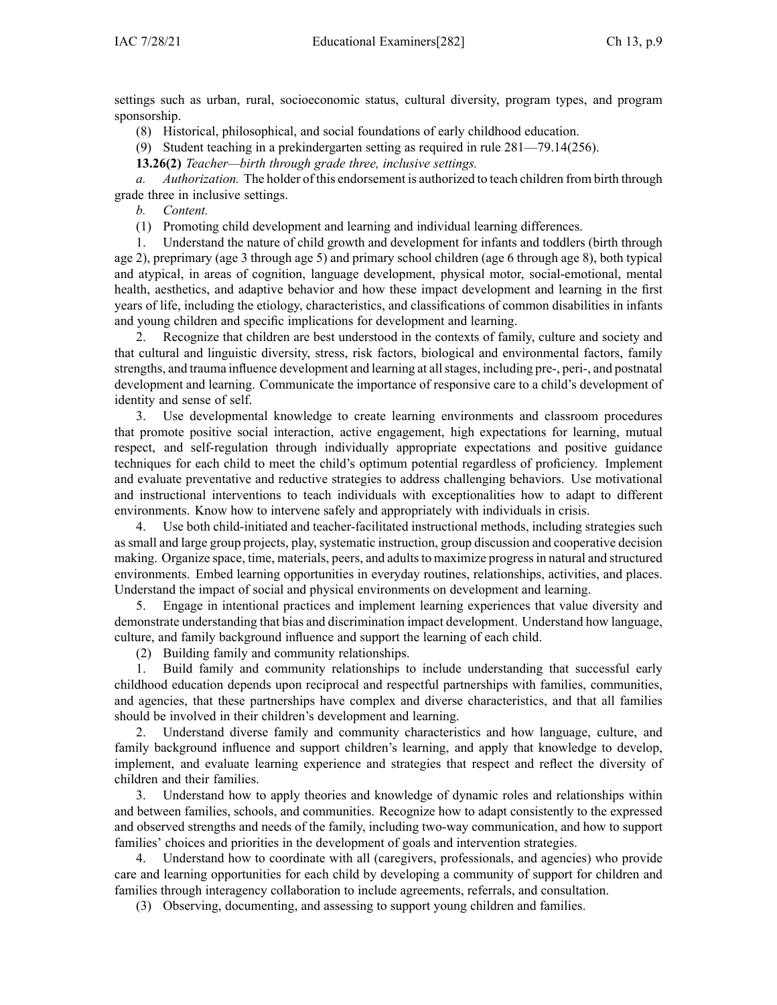settings such as urban, rural, socioeconomic status, cultural diversity, program types, and program sponsorship.

(8) Historical, philosophical, and social foundations of early childhood education.

(9) Student teaching in <sup>a</sup> prekindergarten setting as required in rule [281—79.14](https://www.legis.iowa.gov/docs/iac/rule/281.79.14.pdf)(256).

**13.26(2)** *Teacher—birth through grade three, inclusive settings.*

*a. Authorization.* The holder of this endorsement is authorized to teach children from birth through grade three in inclusive settings.

*b. Content.*

(1) Promoting child development and learning and individual learning differences.

1. Understand the nature of child growth and development for infants and toddlers (birth through age 2), preprimary (age 3 through age 5) and primary school children (age 6 through age 8), both typical and atypical, in areas of cognition, language development, physical motor, social-emotional, mental health, aesthetics, and adaptive behavior and how these impact development and learning in the first years of life, including the etiology, characteristics, and classifications of common disabilities in infants and young children and specific implications for development and learning.

2. Recognize that children are best understood in the contexts of family, culture and society and that cultural and linguistic diversity, stress, risk factors, biological and environmental factors, family strengths, and trauma influence development and learning at allstages, including pre-, peri-, and postnatal development and learning. Communicate the importance of responsive care to <sup>a</sup> child's development of identity and sense of self.

3. Use developmental knowledge to create learning environments and classroom procedures that promote positive social interaction, active engagement, high expectations for learning, mutual respect, and self-regulation through individually appropriate expectations and positive guidance techniques for each child to meet the child's optimum potential regardless of proficiency. Implement and evaluate preventative and reductive strategies to address challenging behaviors. Use motivational and instructional interventions to teach individuals with exceptionalities how to adapt to different environments. Know how to intervene safely and appropriately with individuals in crisis.

4. Use both child-initiated and teacher-facilitated instructional methods, including strategies such assmall and large group projects, play, systematic instruction, group discussion and cooperative decision making. Organize space, time, materials, peers, and adultsto maximize progressin natural and structured environments. Embed learning opportunities in everyday routines, relationships, activities, and places. Understand the impact of social and physical environments on development and learning.

5. Engage in intentional practices and implement learning experiences that value diversity and demonstrate understanding that bias and discrimination impact development. Understand how language, culture, and family background influence and suppor<sup>t</sup> the learning of each child.

(2) Building family and community relationships.

1. Build family and community relationships to include understanding that successful early childhood education depends upon reciprocal and respectful partnerships with families, communities, and agencies, that these partnerships have complex and diverse characteristics, and that all families should be involved in their children's development and learning.

2. Understand diverse family and community characteristics and how language, culture, and family background influence and suppor<sup>t</sup> children's learning, and apply that knowledge to develop, implement, and evaluate learning experience and strategies that respec<sup>t</sup> and reflect the diversity of children and their families.

3. Understand how to apply theories and knowledge of dynamic roles and relationships within and between families, schools, and communities. Recognize how to adapt consistently to the expressed and observed strengths and needs of the family, including two-way communication, and how to suppor<sup>t</sup> families' choices and priorities in the development of goals and intervention strategies.

4. Understand how to coordinate with all (caregivers, professionals, and agencies) who provide care and learning opportunities for each child by developing <sup>a</sup> community of suppor<sup>t</sup> for children and families through interagency collaboration to include agreements, referrals, and consultation.

(3) Observing, documenting, and assessing to suppor<sup>t</sup> young children and families.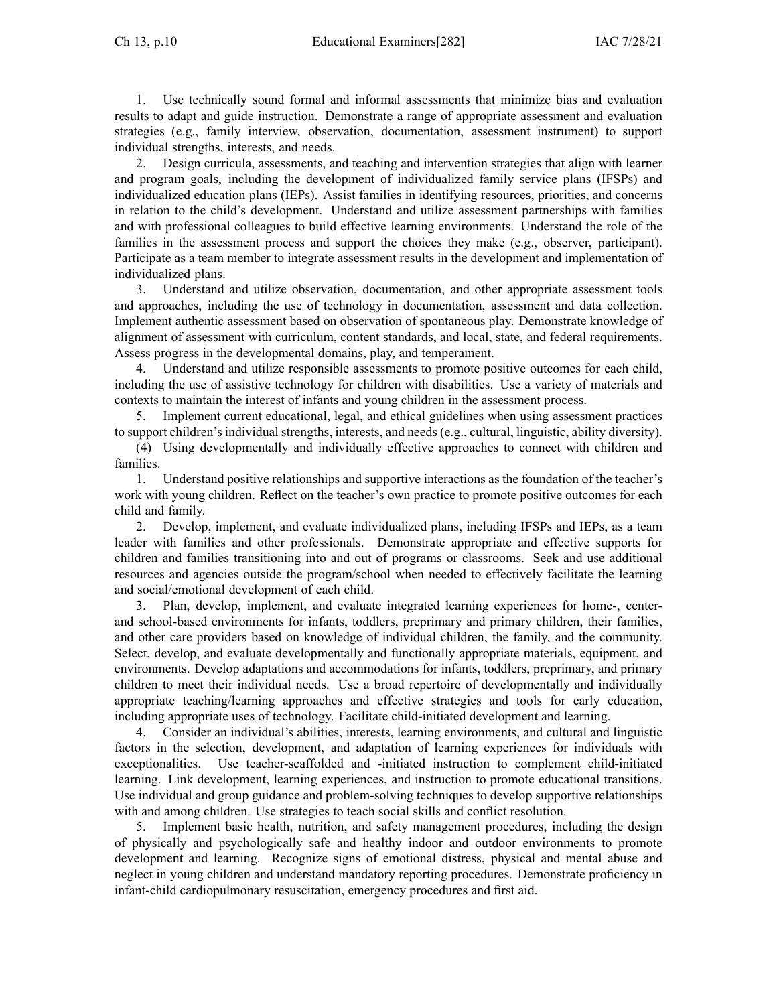1. Use technically sound formal and informal assessments that minimize bias and evaluation results to adapt and guide instruction. Demonstrate <sup>a</sup> range of appropriate assessment and evaluation strategies (e.g., family interview, observation, documentation, assessment instrument) to suppor<sup>t</sup> individual strengths, interests, and needs.

2. Design curricula, assessments, and teaching and intervention strategies that align with learner and program goals, including the development of individualized family service plans (IFSPs) and individualized education plans (IEPs). Assist families in identifying resources, priorities, and concerns in relation to the child's development. Understand and utilize assessment partnerships with families and with professional colleagues to build effective learning environments. Understand the role of the families in the assessment process and suppor<sup>t</sup> the choices they make (e.g., observer, participant). Participate as <sup>a</sup> team member to integrate assessment results in the development and implementation of individualized plans.

3. Understand and utilize observation, documentation, and other appropriate assessment tools and approaches, including the use of technology in documentation, assessment and data collection. Implement authentic assessment based on observation of spontaneous play. Demonstrate knowledge of alignment of assessment with curriculum, content standards, and local, state, and federal requirements. Assess progress in the developmental domains, play, and temperament.

4. Understand and utilize responsible assessments to promote positive outcomes for each child, including the use of assistive technology for children with disabilities. Use <sup>a</sup> variety of materials and contexts to maintain the interest of infants and young children in the assessment process.

5. Implement current educational, legal, and ethical guidelines when using assessment practices to suppor<sup>t</sup> children's individual strengths, interests, and needs (e.g., cultural, linguistic, ability diversity).

(4) Using developmentally and individually effective approaches to connect with children and families.

1. Understand positive relationships and supportive interactions as the foundation of the teacher's work with young children. Reflect on the teacher's own practice to promote positive outcomes for each child and family.

2. Develop, implement, and evaluate individualized plans, including IFSPs and IEPs, as <sup>a</sup> team leader with families and other professionals. Demonstrate appropriate and effective supports for children and families transitioning into and out of programs or classrooms. Seek and use additional resources and agencies outside the program/school when needed to effectively facilitate the learning and social/emotional development of each child.

3. Plan, develop, implement, and evaluate integrated learning experiences for home-, centerand school-based environments for infants, toddlers, preprimary and primary children, their families, and other care providers based on knowledge of individual children, the family, and the community. Select, develop, and evaluate developmentally and functionally appropriate materials, equipment, and environments. Develop adaptations and accommodations for infants, toddlers, preprimary, and primary children to meet their individual needs. Use <sup>a</sup> broad repertoire of developmentally and individually appropriate teaching/learning approaches and effective strategies and tools for early education, including appropriate uses of technology. Facilitate child-initiated development and learning.

4. Consider an individual's abilities, interests, learning environments, and cultural and linguistic factors in the selection, development, and adaptation of learning experiences for individuals with exceptionalities. Use teacher-scaffolded and -initiated instruction to complement child-initiated learning. Link development, learning experiences, and instruction to promote educational transitions. Use individual and group guidance and problem-solving techniques to develop supportive relationships with and among children. Use strategies to teach social skills and conflict resolution.

5. Implement basic health, nutrition, and safety managemen<sup>t</sup> procedures, including the design of physically and psychologically safe and healthy indoor and outdoor environments to promote development and learning. Recognize signs of emotional distress, physical and mental abuse and neglect in young children and understand mandatory reporting procedures. Demonstrate proficiency in infant-child cardiopulmonary resuscitation, emergency procedures and first aid.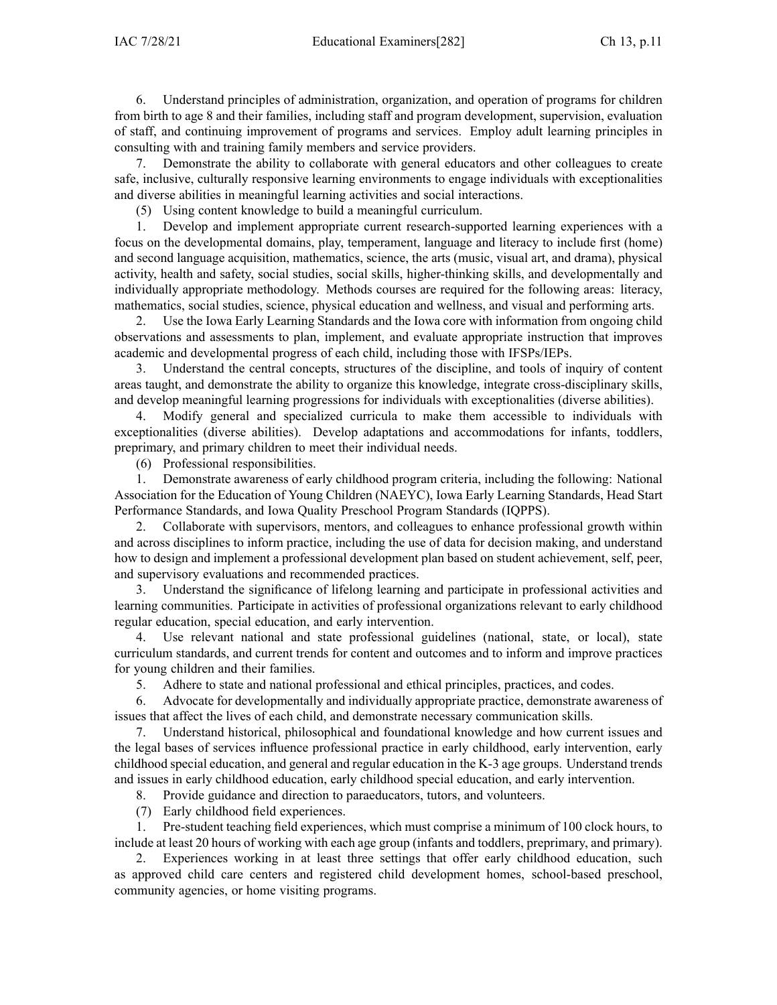6. Understand principles of administration, organization, and operation of programs for children from birth to age 8 and their families, including staff and program development, supervision, evaluation of staff, and continuing improvement of programs and services. Employ adult learning principles in consulting with and training family members and service providers.

7. Demonstrate the ability to collaborate with general educators and other colleagues to create safe, inclusive, culturally responsive learning environments to engage individuals with exceptionalities and diverse abilities in meaningful learning activities and social interactions.

(5) Using content knowledge to build <sup>a</sup> meaningful curriculum.

1. Develop and implement appropriate current research-supported learning experiences with <sup>a</sup> focus on the developmental domains, play, temperament, language and literacy to include first (home) and second language acquisition, mathematics, science, the arts (music, visual art, and drama), physical activity, health and safety, social studies, social skills, higher-thinking skills, and developmentally and individually appropriate methodology. Methods courses are required for the following areas: literacy, mathematics, social studies, science, physical education and wellness, and visual and performing arts.

2. Use the Iowa Early Learning Standards and the Iowa core with information from ongoing child observations and assessments to plan, implement, and evaluate appropriate instruction that improves academic and developmental progress of each child, including those with IFSPs/IEPs.

3. Understand the central concepts, structures of the discipline, and tools of inquiry of content areas taught, and demonstrate the ability to organize this knowledge, integrate cross-disciplinary skills, and develop meaningful learning progressions for individuals with exceptionalities (diverse abilities).

4. Modify general and specialized curricula to make them accessible to individuals with exceptionalities (diverse abilities). Develop adaptations and accommodations for infants, toddlers, preprimary, and primary children to meet their individual needs.

(6) Professional responsibilities.

1. Demonstrate awareness of early childhood program criteria, including the following: National Association for the Education of Young Children (NAEYC), Iowa Early Learning Standards, Head Start Performance Standards, and Iowa Quality Preschool Program Standards (IQPPS).

2. Collaborate with supervisors, mentors, and colleagues to enhance professional growth within and across disciplines to inform practice, including the use of data for decision making, and understand how to design and implement <sup>a</sup> professional development plan based on student achievement, self, peer, and supervisory evaluations and recommended practices.

3. Understand the significance of lifelong learning and participate in professional activities and learning communities. Participate in activities of professional organizations relevant to early childhood regular education, special education, and early intervention.

4. Use relevant national and state professional guidelines (national, state, or local), state curriculum standards, and current trends for content and outcomes and to inform and improve practices for young children and their families.

5. Adhere to state and national professional and ethical principles, practices, and codes.

6. Advocate for developmentally and individually appropriate practice, demonstrate awareness of issues that affect the lives of each child, and demonstrate necessary communication skills.

7. Understand historical, philosophical and foundational knowledge and how current issues and the legal bases of services influence professional practice in early childhood, early intervention, early childhood special education, and general and regular education in the K-3 age groups. Understand trends and issues in early childhood education, early childhood special education, and early intervention.

8. Provide guidance and direction to paraeducators, tutors, and volunteers.

(7) Early childhood field experiences.

1. Pre-student teaching field experiences, which must comprise <sup>a</sup> minimum of 100 clock hours, to include at least 20 hours of working with each age group (infants and toddlers, preprimary, and primary).

2. Experiences working in at least three settings that offer early childhood education, such as approved child care centers and registered child development homes, school-based preschool, community agencies, or home visiting programs.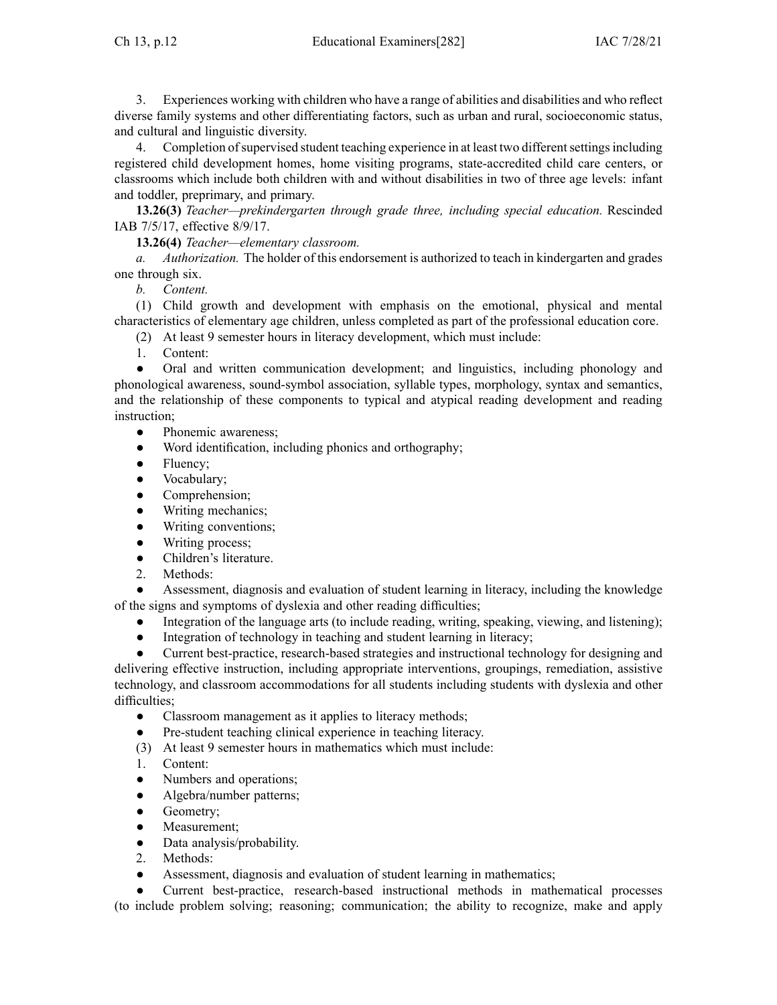Ch 13, p.12 Educational Examiners[282] IAC 7/28/21

3. Experiences working with children who have <sup>a</sup> range of abilities and disabilities and who reflect diverse family systems and other differentiating factors, such as urban and rural, socioeconomic status, and cultural and linguistic diversity.

4. Completion of supervised student teaching experience in at least two different settings including registered child development homes, home visiting programs, state-accredited child care centers, or classrooms which include both children with and without disabilities in two of three age levels: infant and toddler, preprimary, and primary.

**13.26(3)** *Teacher—prekindergarten through grade three, including special education.* Rescinded IAB 7/5/17, effective 8/9/17.

**13.26(4)** *Teacher—elementary classroom.*

*a. Authorization.* The holder of this endorsement is authorized to teach in kindergarten and grades one through six.

*b. Content.*

(1) Child growth and development with emphasis on the emotional, physical and mental characteristics of elementary age children, unless completed as par<sup>t</sup> of the professional education core.

- (2) At least 9 semester hours in literacy development, which must include:
- 1. Content:

 $\bullet$  Oral and written communication development; and linguistics, including phonology and phonological awareness, sound-symbol association, syllable types, morphology, syntax and semantics, and the relationship of these components to typical and atypical reading development and reading instruction;

- $\bullet$ Phonemic awareness;
- ●Word identification, including phonics and orthography;
- $\bullet$ Fluency;
- $\bullet$ Vocabulary;
- ●Comprehension;
- ●Writing mechanics;
- $\bullet$ Writing conventions;
- ●Writing process;
- $\bullet$ Children's literature.
- 2. Methods:

● Assessment, diagnosis and evaluation of student learning in literacy, including the knowledge of the signs and symptoms of dyslexia and other reading difficulties;

- ●Integration of the language arts (to include reading, writing, speaking, viewing, and listening);
- $\bullet$ Integration of technology in teaching and student learning in literacy;

● Current best-practice, research-based strategies and instructional technology for designing and delivering effective instruction, including appropriate interventions, groupings, remediation, assistive technology, and classroom accommodations for all students including students with dyslexia and other difficulties:

- $\bullet$ Classroom managemen<sup>t</sup> as it applies to literacy methods;
- ●Pre-student teaching clinical experience in teaching literacy.
- (3) At least 9 semester hours in mathematics which must include:
- 1. Content:
- $\bullet$ Numbers and operations;
- ●Algebra/number patterns;
- $\bullet$ Geometry;
- $\bullet$ Measurement;
- $\bullet$ Data analysis/probability.
- 2. Methods:
- ●Assessment, diagnosis and evaluation of student learning in mathematics;

● Current best-practice, research-based instructional methods in mathematical processes (to include problem solving; reasoning; communication; the ability to recognize, make and apply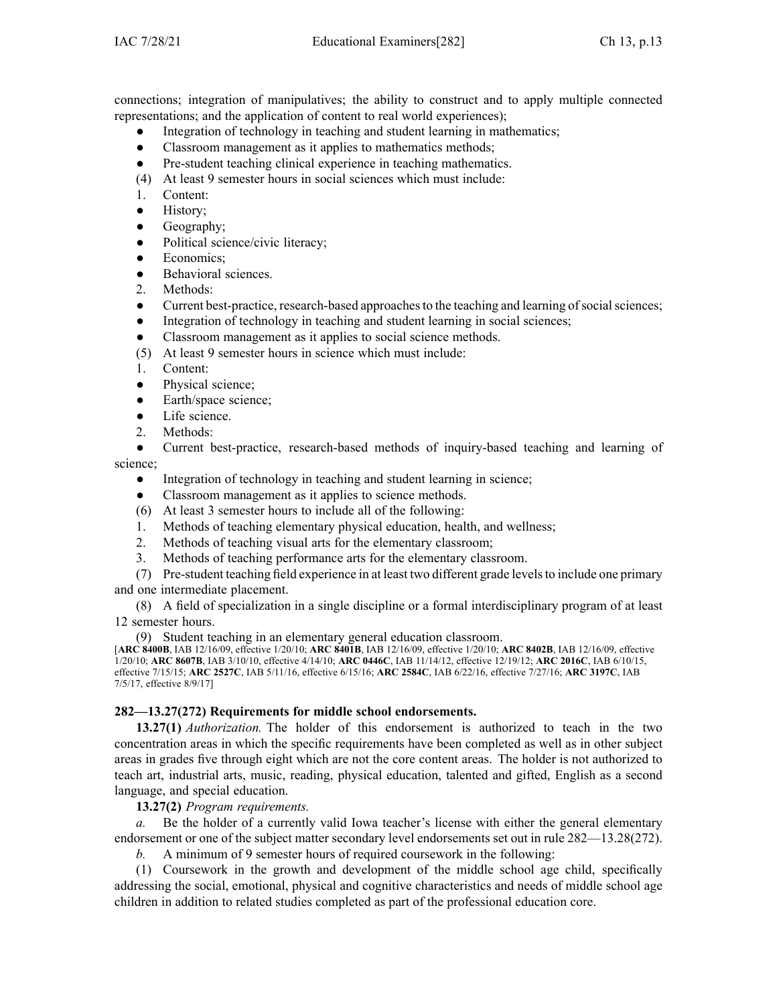connections; integration of manipulatives; the ability to construct and to apply multiple connected representations; and the application of content to real world experiences);

- ●Integration of technology in teaching and student learning in mathematics;
- ●Classroom managemen<sup>t</sup> as it applies to mathematics methods;
- $\bullet$ Pre-student teaching clinical experience in teaching mathematics.
- (4) At least 9 semester hours in social sciences which must include:
- 1. Content:
- $\bullet$ History;
- ●Geography;
- ●Political science/civic literacy;
- ●Economics;
- ●Behavioral sciences.
- 2. Methods:
- $\bullet$ Current best-practice, research-based approaches to the teaching and learning of social sciences;
- ●Integration of technology in teaching and student learning in social sciences;
- ●Classroom managemen<sup>t</sup> as it applies to social science methods.
- (5) At least 9 semester hours in science which must include:
- 1. Content:
- $\bullet$ Physical science;
- $\bullet$ Earth/space science;
- $\bullet$ Life science.
- 2. Methods:

● Current best-practice, research-based methods of inquiry-based teaching and learning of science;

- ●Integration of technology in teaching and student learning in science;
- ●Classroom managemen<sup>t</sup> as it applies to science methods.
- (6) At least 3 semester hours to include all of the following:
- 1. Methods of teaching elementary physical education, health, and wellness;
- 2. Methods of teaching visual arts for the elementary classroom;
- 3. Methods of teaching performance arts for the elementary classroom.

(7) Pre-student teaching field experience in at least two different grade levelsto include one primary and one intermediate placement.

(8) A field of specialization in <sup>a</sup> single discipline or <sup>a</sup> formal interdisciplinary program of at least 12 semester hours.

(9) Student teaching in an elementary general education classroom.

[**ARC [8400B](https://www.legis.iowa.gov/docs/aco/arc/8400B.pdf)**, IAB 12/16/09, effective 1/20/10; **ARC [8401B](https://www.legis.iowa.gov/docs/aco/arc/8401B.pdf)**, IAB 12/16/09, effective 1/20/10; **ARC [8402B](https://www.legis.iowa.gov/docs/aco/arc/8402B.pdf)**, IAB 12/16/09, effective 1/20/10; **ARC [8607B](https://www.legis.iowa.gov/docs/aco/arc/8607B.pdf)**, IAB 3/10/10, effective 4/14/10; **ARC [0446C](https://www.legis.iowa.gov/docs/aco/arc/0446C.pdf)**, IAB 11/14/12, effective 12/19/12; **ARC [2016C](https://www.legis.iowa.gov/docs/aco/arc/2016C.pdf)**, IAB 6/10/15, effective 7/15/15; **ARC [2527C](https://www.legis.iowa.gov/docs/aco/arc/2527C.pdf)**, IAB 5/11/16, effective 6/15/16; **ARC [2584C](https://www.legis.iowa.gov/docs/aco/arc/2584C.pdf)**, IAB 6/22/16, effective 7/27/16; **ARC [3197C](https://www.legis.iowa.gov/docs/aco/arc/3197C.pdf)**, IAB 7/5/17, effective 8/9/17]

### **282—13.27(272) Requirements for middle school endorsements.**

**13.27(1)** *Authorization.* The holder of this endorsement is authorized to teach in the two concentration areas in which the specific requirements have been completed as well as in other subject areas in grades five through eight which are not the core content areas. The holder is not authorized to teach art, industrial arts, music, reading, physical education, talented and gifted, English as <sup>a</sup> second language, and special education.

**13.27(2)** *Program requirements.*

*a.* Be the holder of <sup>a</sup> currently valid Iowa teacher's license with either the general elementary endorsement or one of the subject matter secondary level endorsements set out in rule [282—13.28](https://www.legis.iowa.gov/docs/iac/rule/282.13.28.pdf)(272).

*b.* A minimum of 9 semester hours of required coursework in the following:

(1) Coursework in the growth and development of the middle school age child, specifically addressing the social, emotional, physical and cognitive characteristics and needs of middle school age children in addition to related studies completed as par<sup>t</sup> of the professional education core.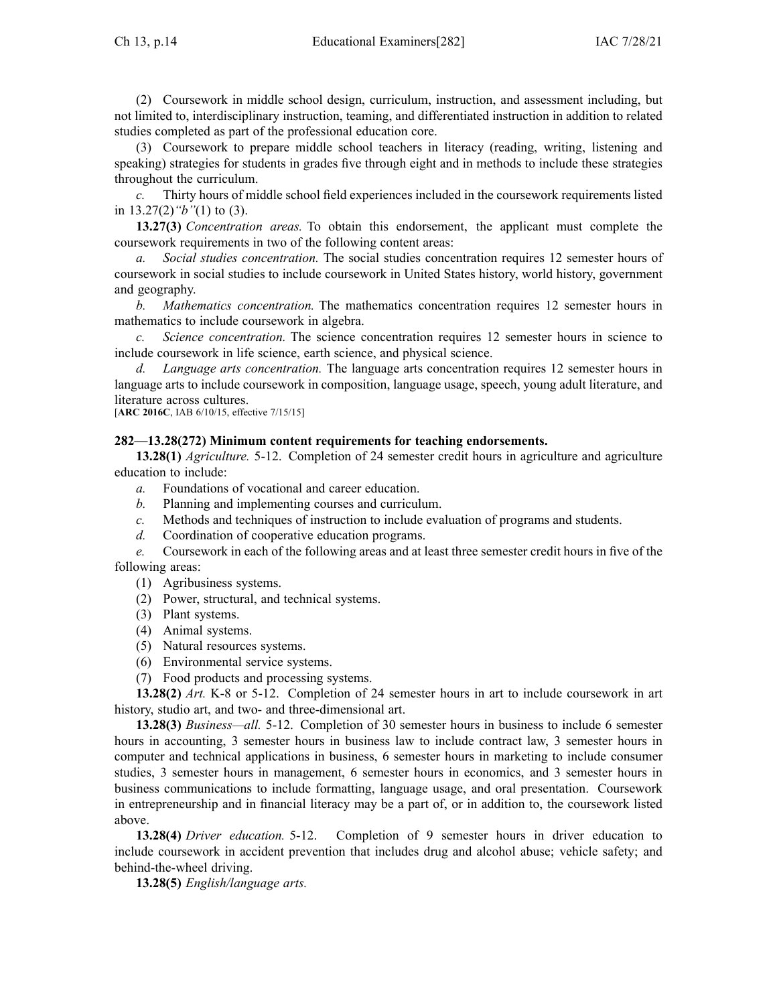(2) Coursework in middle school design, curriculum, instruction, and assessment including, but not limited to, interdisciplinary instruction, teaming, and differentiated instruction in addition to related studies completed as par<sup>t</sup> of the professional education core.

(3) Coursework to prepare middle school teachers in literacy (reading, writing, listening and speaking) strategies for students in grades five through eight and in methods to include these strategies throughout the curriculum.

*c.* Thirty hours of middle school field experiences included in the coursework requirements listed in [13.27\(2\)](https://www.legis.iowa.gov/docs/iac/rule/282.13.27.pdf)*"b"*(1) to (3).

**13.27(3)** *Concentration areas.* To obtain this endorsement, the applicant must complete the coursework requirements in two of the following content areas:

*a. Social studies concentration.* The social studies concentration requires 12 semester hours of coursework in social studies to include coursework in United States history, world history, governmen<sup>t</sup> and geography.

*b. Mathematics concentration.* The mathematics concentration requires 12 semester hours in mathematics to include coursework in algebra.

*c. Science concentration.* The science concentration requires 12 semester hours in science to include coursework in life science, earth science, and physical science.

*d. Language arts concentration.* The language arts concentration requires 12 semester hours in language arts to include coursework in composition, language usage, speech, young adult literature, and literature across cultures.

[**ARC [2016C](https://www.legis.iowa.gov/docs/aco/arc/2016C.pdf)**, IAB 6/10/15, effective 7/15/15]

### **282—13.28(272) Minimum content requirements for teaching endorsements.**

**13.28(1)** *Agriculture.* 5-12. Completion of 24 semester credit hours in agriculture and agriculture education to include:

- *a.* Foundations of vocational and career education.
- *b.* Planning and implementing courses and curriculum.
- *c.* Methods and techniques of instruction to include evaluation of programs and students.
- *d.* Coordination of cooperative education programs.

*e.* Coursework in each of the following areas and at least three semester credit hours in five of the following areas:

- (1) Agribusiness systems.
- (2) Power, structural, and technical systems.
- (3) Plant systems.
- (4) Animal systems.
- (5) Natural resources systems.
- (6) Environmental service systems.
- (7) Food products and processing systems.

**13.28(2)** *Art.* K-8 or 5-12. Completion of 24 semester hours in art to include coursework in art history, studio art, and two- and three-dimensional art.

**13.28(3)** *Business—all.* 5-12. Completion of 30 semester hours in business to include 6 semester hours in accounting, 3 semester hours in business law to include contract law, 3 semester hours in computer and technical applications in business, 6 semester hours in marketing to include consumer studies, 3 semester hours in management, 6 semester hours in economics, and 3 semester hours in business communications to include formatting, language usage, and oral presentation. Coursework in entrepreneurship and in financial literacy may be <sup>a</sup> par<sup>t</sup> of, or in addition to, the coursework listed above.

**13.28(4)** *Driver education.* 5-12. Completion of 9 semester hours in driver education to include coursework in accident prevention that includes drug and alcohol abuse; vehicle safety; and behind-the-wheel driving.

**13.28(5)** *English/language arts.*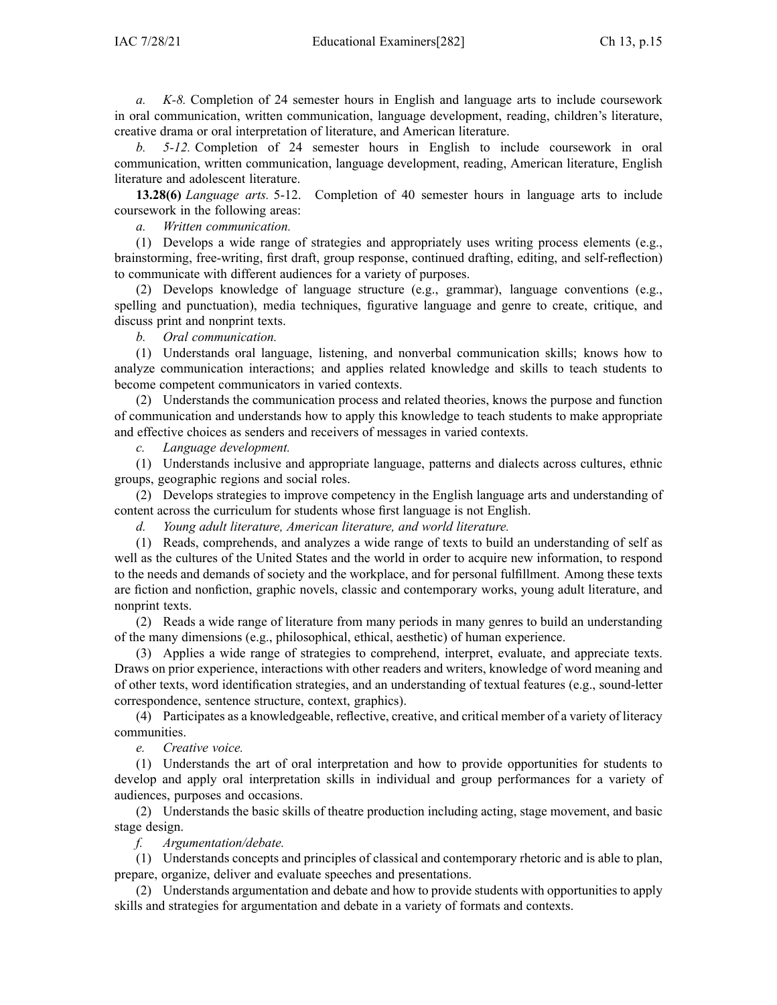*a. K-8.* Completion of 24 semester hours in English and language arts to include coursework in oral communication, written communication, language development, reading, children's literature, creative drama or oral interpretation of literature, and American literature.

*b. 5-12.* Completion of 24 semester hours in English to include coursework in oral communication, written communication, language development, reading, American literature, English literature and adolescent literature.

**13.28(6)** *Language arts.* 5-12. Completion of 40 semester hours in language arts to include coursework in the following areas:

*a. Written communication.*

(1) Develops <sup>a</sup> wide range of strategies and appropriately uses writing process elements (e.g., brainstorming, free-writing, first draft, group response, continued drafting, editing, and self-reflection) to communicate with different audiences for <sup>a</sup> variety of purposes.

(2) Develops knowledge of language structure (e.g., grammar), language conventions (e.g., spelling and punctuation), media techniques, figurative language and genre to create, critique, and discuss print and nonprint texts.

*b. Oral communication.*

(1) Understands oral language, listening, and nonverbal communication skills; knows how to analyze communication interactions; and applies related knowledge and skills to teach students to become competent communicators in varied contexts.

(2) Understands the communication process and related theories, knows the purpose and function of communication and understands how to apply this knowledge to teach students to make appropriate and effective choices as senders and receivers of messages in varied contexts.

*c. Language development.*

(1) Understands inclusive and appropriate language, patterns and dialects across cultures, ethnic groups, geographic regions and social roles.

(2) Develops strategies to improve competency in the English language arts and understanding of content across the curriculum for students whose first language is not English.

*d. Young adult literature, American literature, and world literature.*

(1) Reads, comprehends, and analyzes <sup>a</sup> wide range of texts to build an understanding of self as well as the cultures of the United States and the world in order to acquire new information, to respond to the needs and demands of society and the workplace, and for personal fulfillment. Among these texts are fiction and nonfiction, graphic novels, classic and contemporary works, young adult literature, and nonprint texts.

(2) Reads <sup>a</sup> wide range of literature from many periods in many genres to build an understanding of the many dimensions (e.g., philosophical, ethical, aesthetic) of human experience.

(3) Applies <sup>a</sup> wide range of strategies to comprehend, interpret, evaluate, and appreciate texts. Draws on prior experience, interactions with other readers and writers, knowledge of word meaning and of other texts, word identification strategies, and an understanding of textual features (e.g., sound-letter correspondence, sentence structure, context, graphics).

(4) Participates as <sup>a</sup> knowledgeable, reflective, creative, and critical member of <sup>a</sup> variety of literacy communities.

*e. Creative voice.*

(1) Understands the art of oral interpretation and how to provide opportunities for students to develop and apply oral interpretation skills in individual and group performances for <sup>a</sup> variety of audiences, purposes and occasions.

(2) Understands the basic skills of theatre production including acting, stage movement, and basic stage design.

*f. Argumentation/debate.*

(1) Understands concepts and principles of classical and contemporary rhetoric and is able to plan, prepare, organize, deliver and evaluate speeches and presentations.

(2) Understands argumentation and debate and how to provide students with opportunities to apply skills and strategies for argumentation and debate in <sup>a</sup> variety of formats and contexts.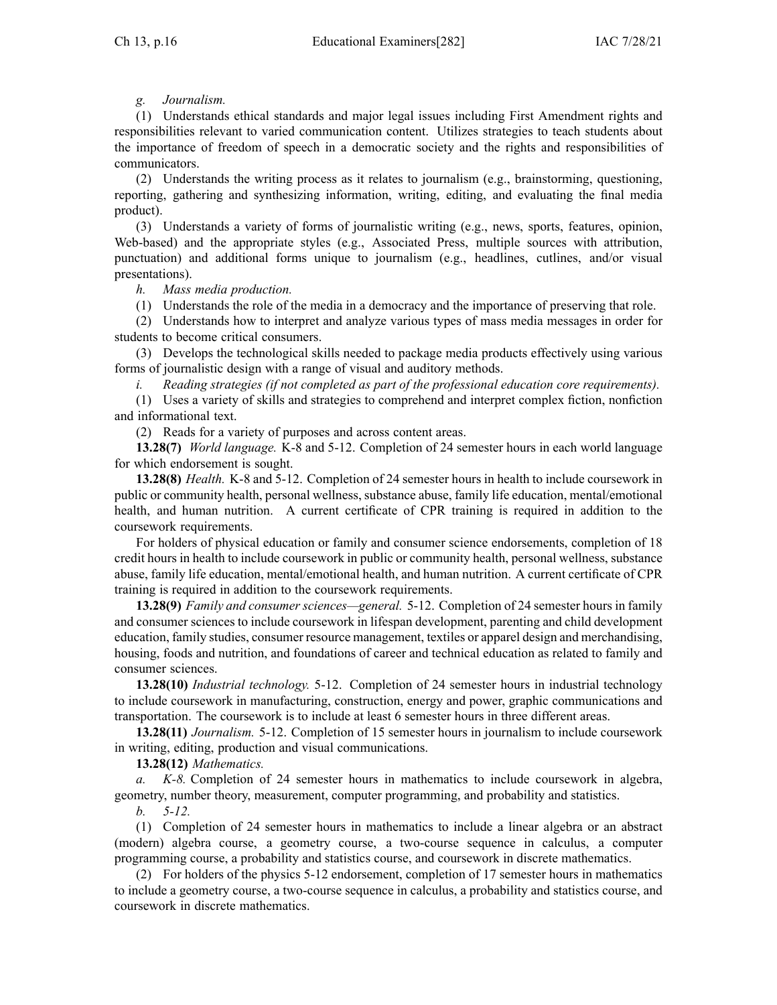# *g. Journalism.*

(1) Understands ethical standards and major legal issues including First Amendment rights and responsibilities relevant to varied communication content. Utilizes strategies to teach students about the importance of freedom of speech in <sup>a</sup> democratic society and the rights and responsibilities of communicators.

(2) Understands the writing process as it relates to journalism (e.g., brainstorming, questioning, reporting, gathering and synthesizing information, writing, editing, and evaluating the final media product).

(3) Understands <sup>a</sup> variety of forms of journalistic writing (e.g., news, sports, features, opinion, Web-based) and the appropriate styles (e.g., Associated Press, multiple sources with attribution, punctuation) and additional forms unique to journalism (e.g., headlines, cutlines, and/or visual presentations).

*h. Mass media production.*

(1) Understands the role of the media in <sup>a</sup> democracy and the importance of preserving that role.

(2) Understands how to interpret and analyze various types of mass media messages in order for students to become critical consumers.

(3) Develops the technological skills needed to package media products effectively using various forms of journalistic design with <sup>a</sup> range of visual and auditory methods.

*i. Reading strategies (if not completed as par<sup>t</sup> of the professional education core requirements).*

(1) Uses <sup>a</sup> variety of skills and strategies to comprehend and interpret complex fiction, nonfiction and informational text.

(2) Reads for <sup>a</sup> variety of purposes and across content areas.

**13.28(7)** *World language.* K-8 and 5-12. Completion of 24 semester hours in each world language for which endorsement is sought.

**13.28(8)** *Health.* K-8 and 5-12. Completion of 24 semester hours in health to include coursework in public or community health, personal wellness, substance abuse, family life education, mental/emotional health, and human nutrition. A current certificate of CPR training is required in addition to the coursework requirements.

For holders of physical education or family and consumer science endorsements, completion of 18 credit hours in health to include coursework in public or community health, personal wellness, substance abuse, family life education, mental/emotional health, and human nutrition. A current certificate of CPR training is required in addition to the coursework requirements.

**13.28(9)** *Family and consumer sciences—general.* 5-12. Completion of 24 semester hours in family and consumer sciences to include coursework in lifespan development, parenting and child development education, family studies, consumer resource management, textiles or apparel design and merchandising, housing, foods and nutrition, and foundations of career and technical education as related to family and consumer sciences.

**13.28(10)** *Industrial technology.* 5-12. Completion of 24 semester hours in industrial technology to include coursework in manufacturing, construction, energy and power, graphic communications and transportation. The coursework is to include at least 6 semester hours in three different areas.

**13.28(11)** *Journalism.* 5-12. Completion of 15 semester hours in journalism to include coursework in writing, editing, production and visual communications.

**13.28(12)** *Mathematics.*

*a. K-8.* Completion of 24 semester hours in mathematics to include coursework in algebra, geometry, number theory, measurement, computer programming, and probability and statistics.

*b. 5-12.*

(1) Completion of 24 semester hours in mathematics to include <sup>a</sup> linear algebra or an abstract (modern) algebra course, <sup>a</sup> geometry course, <sup>a</sup> two-course sequence in calculus, <sup>a</sup> computer programming course, <sup>a</sup> probability and statistics course, and coursework in discrete mathematics.

(2) For holders of the physics 5-12 endorsement, completion of 17 semester hours in mathematics to include <sup>a</sup> geometry course, <sup>a</sup> two-course sequence in calculus, <sup>a</sup> probability and statistics course, and coursework in discrete mathematics.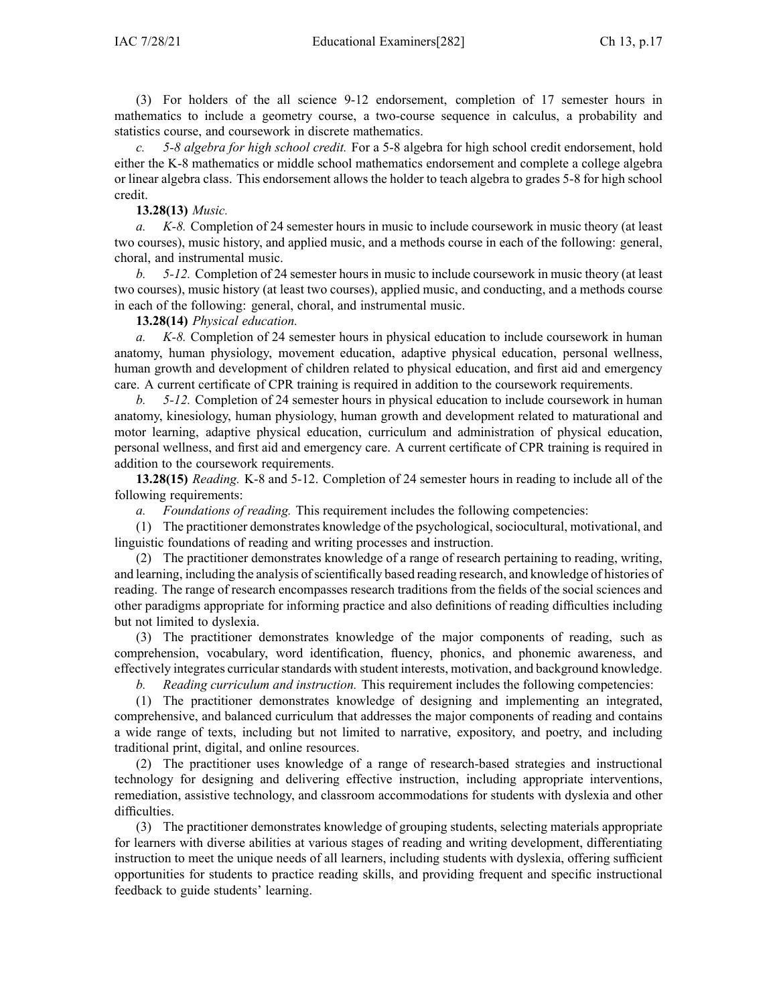(3) For holders of the all science 9-12 endorsement, completion of 17 semester hours in mathematics to include <sup>a</sup> geometry course, <sup>a</sup> two-course sequence in calculus, <sup>a</sup> probability and statistics course, and coursework in discrete mathematics.

*c. 5-8 algebra for high school credit.* For <sup>a</sup> 5-8 algebra for high school credit endorsement, hold either the K-8 mathematics or middle school mathematics endorsement and complete <sup>a</sup> college algebra or linear algebra class. This endorsement allows the holder to teach algebra to grades 5-8 for high school credit.

### **13.28(13)** *Music.*

*a. K-8.* Completion of 24 semester hours in music to include coursework in music theory (at least two courses), music history, and applied music, and <sup>a</sup> methods course in each of the following: general, choral, and instrumental music.

*b. 5-12.* Completion of 24 semester hours in music to include coursework in music theory (at least two courses), music history (at least two courses), applied music, and conducting, and <sup>a</sup> methods course in each of the following: general, choral, and instrumental music.

**13.28(14)** *Physical education.*

*a. K-8.* Completion of 24 semester hours in physical education to include coursework in human anatomy, human physiology, movement education, adaptive physical education, personal wellness, human growth and development of children related to physical education, and first aid and emergency care. A current certificate of CPR training is required in addition to the coursework requirements.

*b. 5-12.* Completion of 24 semester hours in physical education to include coursework in human anatomy, kinesiology, human physiology, human growth and development related to maturational and motor learning, adaptive physical education, curriculum and administration of physical education, personal wellness, and first aid and emergency care. A current certificate of CPR training is required in addition to the coursework requirements.

**13.28(15)** *Reading.* K-8 and 5-12. Completion of 24 semester hours in reading to include all of the following requirements:

*a. Foundations of reading.* This requirement includes the following competencies:

(1) The practitioner demonstrates knowledge of the psychological, sociocultural, motivational, and linguistic foundations of reading and writing processes and instruction.

(2) The practitioner demonstrates knowledge of <sup>a</sup> range of research pertaining to reading, writing, and learning, including the analysis ofscientifically based reading research, and knowledge of histories of reading. The range of research encompasses research traditions from the fields of the social sciences and other paradigms appropriate for informing practice and also definitions of reading difficulties including but not limited to dyslexia.

(3) The practitioner demonstrates knowledge of the major components of reading, such as comprehension, vocabulary, word identification, fluency, phonics, and phonemic awareness, and effectively integrates curricular standards with student interests, motivation, and background knowledge.

*b. Reading curriculum and instruction.* This requirement includes the following competencies:

(1) The practitioner demonstrates knowledge of designing and implementing an integrated, comprehensive, and balanced curriculum that addresses the major components of reading and contains <sup>a</sup> wide range of texts, including but not limited to narrative, expository, and poetry, and including traditional print, digital, and online resources.

(2) The practitioner uses knowledge of <sup>a</sup> range of research-based strategies and instructional technology for designing and delivering effective instruction, including appropriate interventions, remediation, assistive technology, and classroom accommodations for students with dyslexia and other difficulties.

(3) The practitioner demonstrates knowledge of grouping students, selecting materials appropriate for learners with diverse abilities at various stages of reading and writing development, differentiating instruction to meet the unique needs of all learners, including students with dyslexia, offering sufficient opportunities for students to practice reading skills, and providing frequent and specific instructional feedback to guide students' learning.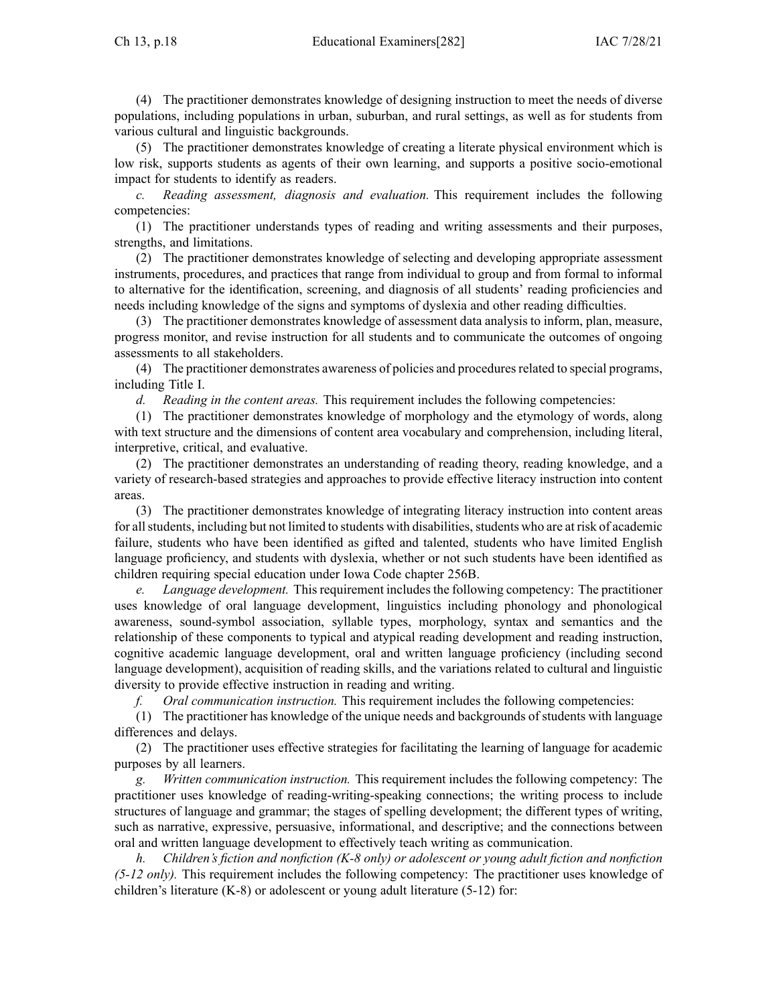(4) The practitioner demonstrates knowledge of designing instruction to meet the needs of diverse populations, including populations in urban, suburban, and rural settings, as well as for students from various cultural and linguistic backgrounds.

(5) The practitioner demonstrates knowledge of creating <sup>a</sup> literate physical environment which is low risk, supports students as agents of their own learning, and supports <sup>a</sup> positive socio-emotional impact for students to identify as readers.

*c. Reading assessment, diagnosis and evaluation.* This requirement includes the following competencies:

(1) The practitioner understands types of reading and writing assessments and their purposes, strengths, and limitations.

(2) The practitioner demonstrates knowledge of selecting and developing appropriate assessment instruments, procedures, and practices that range from individual to group and from formal to informal to alternative for the identification, screening, and diagnosis of all students' reading proficiencies and needs including knowledge of the signs and symptoms of dyslexia and other reading difficulties.

(3) The practitioner demonstrates knowledge of assessment data analysis to inform, plan, measure, progress monitor, and revise instruction for all students and to communicate the outcomes of ongoing assessments to all stakeholders.

(4) The practitioner demonstrates awareness of policies and proceduresrelated to special programs, including Title I.

*d. Reading in the content areas.* This requirement includes the following competencies:

(1) The practitioner demonstrates knowledge of morphology and the etymology of words, along with text structure and the dimensions of content area vocabulary and comprehension, including literal, interpretive, critical, and evaluative.

(2) The practitioner demonstrates an understanding of reading theory, reading knowledge, and <sup>a</sup> variety of research-based strategies and approaches to provide effective literacy instruction into content areas.

(3) The practitioner demonstrates knowledge of integrating literacy instruction into content areas for all students, including but not limited to students with disabilities, students who are at risk of academic failure, students who have been identified as gifted and talented, students who have limited English language proficiency, and students with dyslexia, whether or not such students have been identified as children requiring special education under Iowa Code chapter [256B](https://www.legis.iowa.gov/docs/ico/chapter/256B.pdf).

*e. Language development.* This requirement includes the following competency: The practitioner uses knowledge of oral language development, linguistics including phonology and phonological awareness, sound-symbol association, syllable types, morphology, syntax and semantics and the relationship of these components to typical and atypical reading development and reading instruction, cognitive academic language development, oral and written language proficiency (including second language development), acquisition of reading skills, and the variations related to cultural and linguistic diversity to provide effective instruction in reading and writing.

*f. Oral communication instruction.* This requirement includes the following competencies:

(1) The practitioner has knowledge of the unique needs and backgrounds of students with language differences and delays.

(2) The practitioner uses effective strategies for facilitating the learning of language for academic purposes by all learners.

*g. Written communication instruction.* This requirement includes the following competency: The practitioner uses knowledge of reading-writing-speaking connections; the writing process to include structures of language and grammar; the stages of spelling development; the different types of writing, such as narrative, expressive, persuasive, informational, and descriptive; and the connections between oral and written language development to effectively teach writing as communication.

*h. Children's fiction and nonfiction (K-8 only) or adolescent or young adult fiction and nonfiction (5-12 only).* This requirement includes the following competency: The practitioner uses knowledge of children's literature (K-8) or adolescent or young adult literature (5-12) for: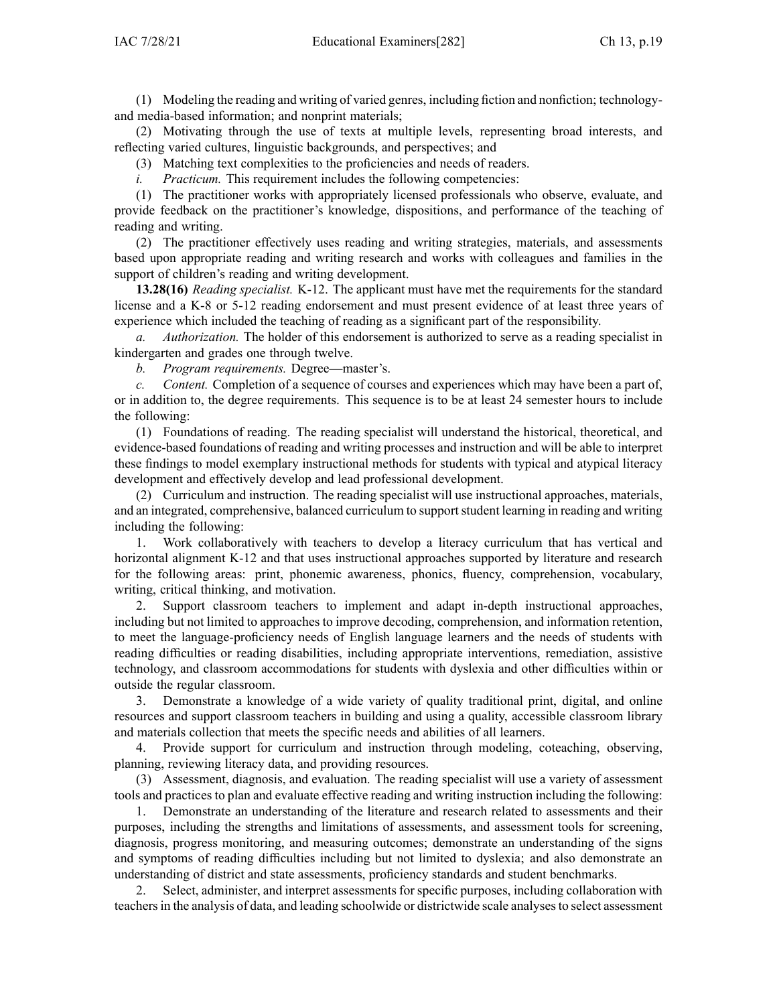(1) Modeling the reading and writing of varied genres, including fiction and nonfiction; technologyand media-based information; and nonprint materials;

(2) Motivating through the use of texts at multiple levels, representing broad interests, and reflecting varied cultures, linguistic backgrounds, and perspectives; and

(3) Matching text complexities to the proficiencies and needs of readers.

*i. Practicum.* This requirement includes the following competencies:

(1) The practitioner works with appropriately licensed professionals who observe, evaluate, and provide feedback on the practitioner's knowledge, dispositions, and performance of the teaching of reading and writing.

(2) The practitioner effectively uses reading and writing strategies, materials, and assessments based upon appropriate reading and writing research and works with colleagues and families in the suppor<sup>t</sup> of children's reading and writing development.

**13.28(16)** *Reading specialist.* K-12. The applicant must have met the requirements for the standard license and <sup>a</sup> K-8 or 5-12 reading endorsement and must presen<sup>t</sup> evidence of at least three years of experience which included the teaching of reading as <sup>a</sup> significant par<sup>t</sup> of the responsibility.

*Authorization.* The holder of this endorsement is authorized to serve as a reading specialist in kindergarten and grades one through twelve.

*b. Program requirements.* Degree—master's.

*c. Content.* Completion of <sup>a</sup> sequence of courses and experiences which may have been <sup>a</sup> par<sup>t</sup> of, or in addition to, the degree requirements. This sequence is to be at least 24 semester hours to include the following:

(1) Foundations of reading. The reading specialist will understand the historical, theoretical, and evidence-based foundations of reading and writing processes and instruction and will be able to interpret these findings to model exemplary instructional methods for students with typical and atypical literacy development and effectively develop and lead professional development.

(2) Curriculum and instruction. The reading specialist will use instructional approaches, materials, and an integrated, comprehensive, balanced curriculum to supportstudent learning in reading and writing including the following:

1. Work collaboratively with teachers to develop <sup>a</sup> literacy curriculum that has vertical and horizontal alignment K-12 and that uses instructional approaches supported by literature and research for the following areas: print, phonemic awareness, phonics, fluency, comprehension, vocabulary, writing, critical thinking, and motivation.

2. Support classroom teachers to implement and adapt in-depth instructional approaches, including but not limited to approaches to improve decoding, comprehension, and information retention, to meet the language-proficiency needs of English language learners and the needs of students with reading difficulties or reading disabilities, including appropriate interventions, remediation, assistive technology, and classroom accommodations for students with dyslexia and other difficulties within or outside the regular classroom.

3. Demonstrate <sup>a</sup> knowledge of <sup>a</sup> wide variety of quality traditional print, digital, and online resources and suppor<sup>t</sup> classroom teachers in building and using <sup>a</sup> quality, accessible classroom library and materials collection that meets the specific needs and abilities of all learners.

4. Provide suppor<sup>t</sup> for curriculum and instruction through modeling, coteaching, observing, planning, reviewing literacy data, and providing resources.

(3) Assessment, diagnosis, and evaluation. The reading specialist will use <sup>a</sup> variety of assessment tools and practices to plan and evaluate effective reading and writing instruction including the following:

1. Demonstrate an understanding of the literature and research related to assessments and their purposes, including the strengths and limitations of assessments, and assessment tools for screening, diagnosis, progress monitoring, and measuring outcomes; demonstrate an understanding of the signs and symptoms of reading difficulties including but not limited to dyslexia; and also demonstrate an understanding of district and state assessments, proficiency standards and student benchmarks.

2. Select, administer, and interpret assessments for specific purposes, including collaboration with teachersin the analysis of data, and leading schoolwide or districtwide scale analysesto select assessment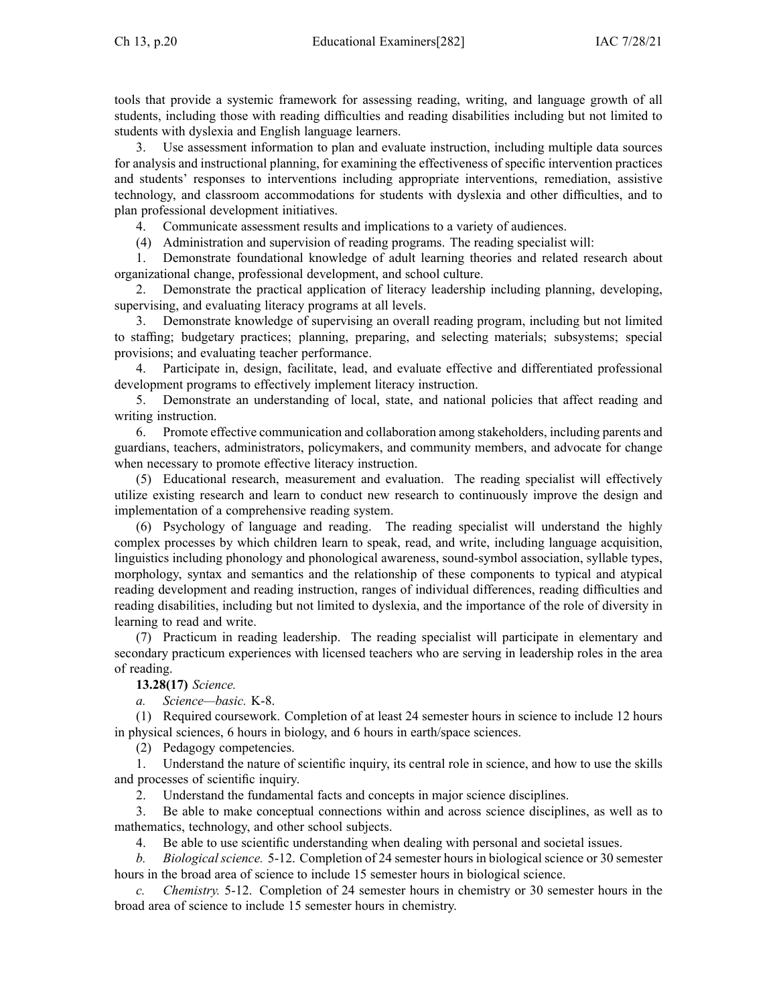tools that provide <sup>a</sup> systemic framework for assessing reading, writing, and language growth of all students, including those with reading difficulties and reading disabilities including but not limited to students with dyslexia and English language learners.

3. Use assessment information to plan and evaluate instruction, including multiple data sources for analysis and instructional planning, for examining the effectiveness of specific intervention practices and students' responses to interventions including appropriate interventions, remediation, assistive technology, and classroom accommodations for students with dyslexia and other difficulties, and to plan professional development initiatives.

4. Communicate assessment results and implications to <sup>a</sup> variety of audiences.

(4) Administration and supervision of reading programs. The reading specialist will:

1. Demonstrate foundational knowledge of adult learning theories and related research about organizational change, professional development, and school culture.

2. Demonstrate the practical application of literacy leadership including planning, developing, supervising, and evaluating literacy programs at all levels.

3. Demonstrate knowledge of supervising an overall reading program, including but not limited to staffing; budgetary practices; planning, preparing, and selecting materials; subsystems; special provisions; and evaluating teacher performance.

4. Participate in, design, facilitate, lead, and evaluate effective and differentiated professional development programs to effectively implement literacy instruction.

5. Demonstrate an understanding of local, state, and national policies that affect reading and writing instruction.

6. Promote effective communication and collaboration among stakeholders, including parents and guardians, teachers, administrators, policymakers, and community members, and advocate for change when necessary to promote effective literacy instruction.

(5) Educational research, measurement and evaluation. The reading specialist will effectively utilize existing research and learn to conduct new research to continuously improve the design and implementation of <sup>a</sup> comprehensive reading system.

(6) Psychology of language and reading. The reading specialist will understand the highly complex processes by which children learn to speak, read, and write, including language acquisition, linguistics including phonology and phonological awareness, sound-symbol association, syllable types, morphology, syntax and semantics and the relationship of these components to typical and atypical reading development and reading instruction, ranges of individual differences, reading difficulties and reading disabilities, including but not limited to dyslexia, and the importance of the role of diversity in learning to read and write.

(7) Practicum in reading leadership. The reading specialist will participate in elementary and secondary practicum experiences with licensed teachers who are serving in leadership roles in the area of reading.

**13.28(17)** *Science.*

*a. Science—basic.* K-8.

(1) Required coursework. Completion of at least 24 semester hours in science to include 12 hours in physical sciences, 6 hours in biology, and 6 hours in earth/space sciences.

(2) Pedagogy competencies.

1. Understand the nature of scientific inquiry, its central role in science, and how to use the skills and processes of scientific inquiry.

2. Understand the fundamental facts and concepts in major science disciplines.

3. Be able to make conceptual connections within and across science disciplines, as well as to mathematics, technology, and other school subjects.

4. Be able to use scientific understanding when dealing with personal and societal issues.

*b. Biological science.* 5-12. Completion of 24 semester hours in biological science or 30 semester hours in the broad area of science to include 15 semester hours in biological science.

*c. Chemistry.* 5-12. Completion of 24 semester hours in chemistry or 30 semester hours in the broad area of science to include 15 semester hours in chemistry.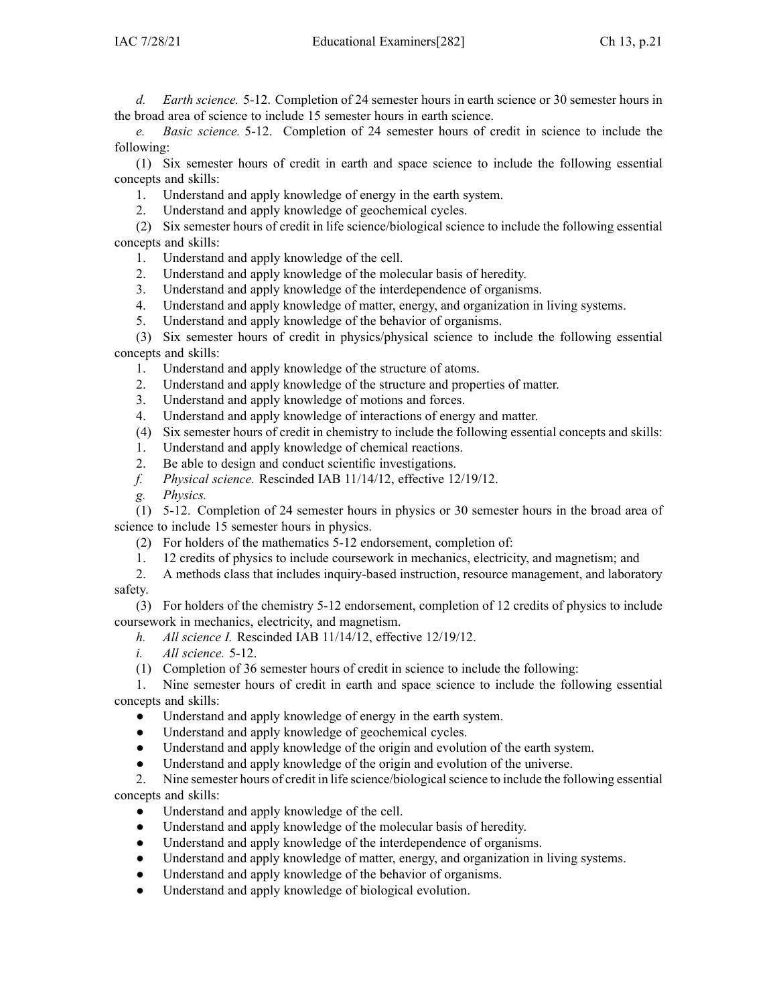*d. Earth science.* 5-12. Completion of 24 semester hours in earth science or 30 semester hours in the broad area of science to include 15 semester hours in earth science.

*e. Basic science.* 5-12. Completion of 24 semester hours of credit in science to include the following:

(1) Six semester hours of credit in earth and space science to include the following essential concepts and skills:

1. Understand and apply knowledge of energy in the earth system.

2. Understand and apply knowledge of geochemical cycles.

(2) Six semester hours of credit in life science/biological science to include the following essential concepts and skills:

1. Understand and apply knowledge of the cell.

- 2. Understand and apply knowledge of the molecular basis of heredity.
- 3. Understand and apply knowledge of the interdependence of organisms.
- 4. Understand and apply knowledge of matter, energy, and organization in living systems.
- 5. Understand and apply knowledge of the behavior of organisms.

(3) Six semester hours of credit in physics/physical science to include the following essential concepts and skills:

- 1. Understand and apply knowledge of the structure of atoms.
- 2. Understand and apply knowledge of the structure and properties of matter.
- 3. Understand and apply knowledge of motions and forces.
- 4. Understand and apply knowledge of interactions of energy and matter.
- (4) Six semester hours of credit in chemistry to include the following essential concepts and skills:
- 1. Understand and apply knowledge of chemical reactions.
- 2. Be able to design and conduct scientific investigations.
- *f. Physical science.* Rescinded IAB [11/14/12](https://www.legis.iowa.gov/docs/aco/bulletin/11-14-2012.pdf), effective 12/19/12.

*g. Physics.*

(1) 5-12. Completion of 24 semester hours in physics or 30 semester hours in the broad area of science to include 15 semester hours in physics.

- (2) For holders of the mathematics 5-12 endorsement, completion of:
- 1. 12 credits of physics to include coursework in mechanics, electricity, and magnetism; and
- 2. A methods class that includes inquiry-based instruction, resource management, and laboratory safety.

(3) For holders of the chemistry 5-12 endorsement, completion of 12 credits of physics to include coursework in mechanics, electricity, and magnetism.

- *h. All science I.* Rescinded IAB [11/14/12](https://www.legis.iowa.gov/docs/aco/bulletin/11-14-2012.pdf), effective 12/19/12.
- *i. All science.* 5-12.
- (1) Completion of 36 semester hours of credit in science to include the following:

1. Nine semester hours of credit in earth and space science to include the following essential concepts and skills:

- $\bullet$ Understand and apply knowledge of energy in the earth system.
- ●Understand and apply knowledge of geochemical cycles.
- $\bullet$ Understand and apply knowledge of the origin and evolution of the earth system.
- $\bullet$ Understand and apply knowledge of the origin and evolution of the universe.

2. Nine semester hours of credit in life science/biologicalscience to include the following essential concepts and skills:

- $\bullet$ Understand and apply knowledge of the cell.
- $\bullet$ Understand and apply knowledge of the molecular basis of heredity.
- $\bullet$ Understand and apply knowledge of the interdependence of organisms.
- ●Understand and apply knowledge of matter, energy, and organization in living systems.
- ●Understand and apply knowledge of the behavior of organisms.
- $\bullet$ Understand and apply knowledge of biological evolution.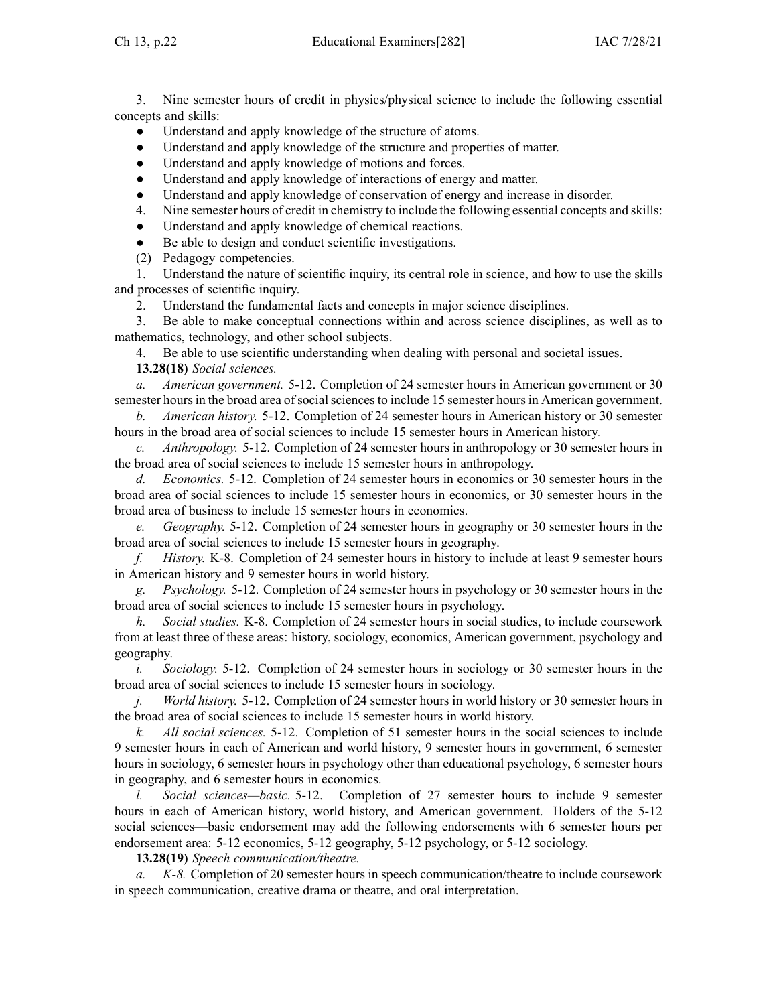3. Nine semester hours of credit in physics/physical science to include the following essential concepts and skills:

- ●Understand and apply knowledge of the structure of atoms.
- ●Understand and apply knowledge of the structure and properties of matter.
- ●Understand and apply knowledge of motions and forces.
- ●Understand and apply knowledge of interactions of energy and matter.
- ●Understand and apply knowledge of conservation of energy and increase in disorder.
- 4. Nine semester hours of credit in chemistry to include the following essential concepts and skills:
- $\bullet$ Understand and apply knowledge of chemical reactions.
- ●Be able to design and conduct scientific investigations.
- (2) Pedagogy competencies.

1. Understand the nature of scientific inquiry, its central role in science, and how to use the skills and processes of scientific inquiry.

2. Understand the fundamental facts and concepts in major science disciplines.

3. Be able to make conceptual connections within and across science disciplines, as well as to mathematics, technology, and other school subjects.

4. Be able to use scientific understanding when dealing with personal and societal issues.

**13.28(18)** *Social sciences.*

*a. American government.* 5-12. Completion of 24 semester hours in American governmen<sup>t</sup> or 30 semester hours in the broad area of social sciences to include 15 semester hours in American government.

*b. American history.* 5-12. Completion of 24 semester hours in American history or 30 semester hours in the broad area of social sciences to include 15 semester hours in American history.

*c. Anthropology.* 5-12. Completion of 24 semester hours in anthropology or 30 semester hours in the broad area of social sciences to include 15 semester hours in anthropology.

*d. Economics.* 5-12. Completion of 24 semester hours in economics or 30 semester hours in the broad area of social sciences to include 15 semester hours in economics, or 30 semester hours in the broad area of business to include 15 semester hours in economics.

*e. Geography.* 5-12. Completion of 24 semester hours in geography or 30 semester hours in the broad area of social sciences to include 15 semester hours in geography.

*f. History.* K-8. Completion of 24 semester hours in history to include at least 9 semester hours in American history and 9 semester hours in world history.

*g. Psychology.* 5-12. Completion of 24 semester hours in psychology or 30 semester hours in the broad area of social sciences to include 15 semester hours in psychology.

*h. Social studies.* K-8. Completion of 24 semester hours in social studies, to include coursework from at least three of these areas: history, sociology, economics, American government, psychology and geography.

*i. Sociology.* 5-12. Completion of 24 semester hours in sociology or 30 semester hours in the broad area of social sciences to include 15 semester hours in sociology.

*j. World history.* 5-12. Completion of 24 semester hours in world history or 30 semester hours in the broad area of social sciences to include 15 semester hours in world history.

*k. All social sciences.* 5-12. Completion of 51 semester hours in the social sciences to include 9 semester hours in each of American and world history, 9 semester hours in government, 6 semester hours in sociology, 6 semester hours in psychology other than educational psychology, 6 semester hours in geography, and 6 semester hours in economics.

*l. Social sciences—basic.* 5-12. Completion of 27 semester hours to include 9 semester hours in each of American history, world history, and American government. Holders of the 5-12 social sciences—basic endorsement may add the following endorsements with 6 semester hours per endorsement area: 5-12 economics, 5-12 geography, 5-12 psychology, or 5-12 sociology.

**13.28(19)** *Speech communication/theatre.*

*a. K-8.* Completion of 20 semester hours in speech communication/theatre to include coursework in speech communication, creative drama or theatre, and oral interpretation.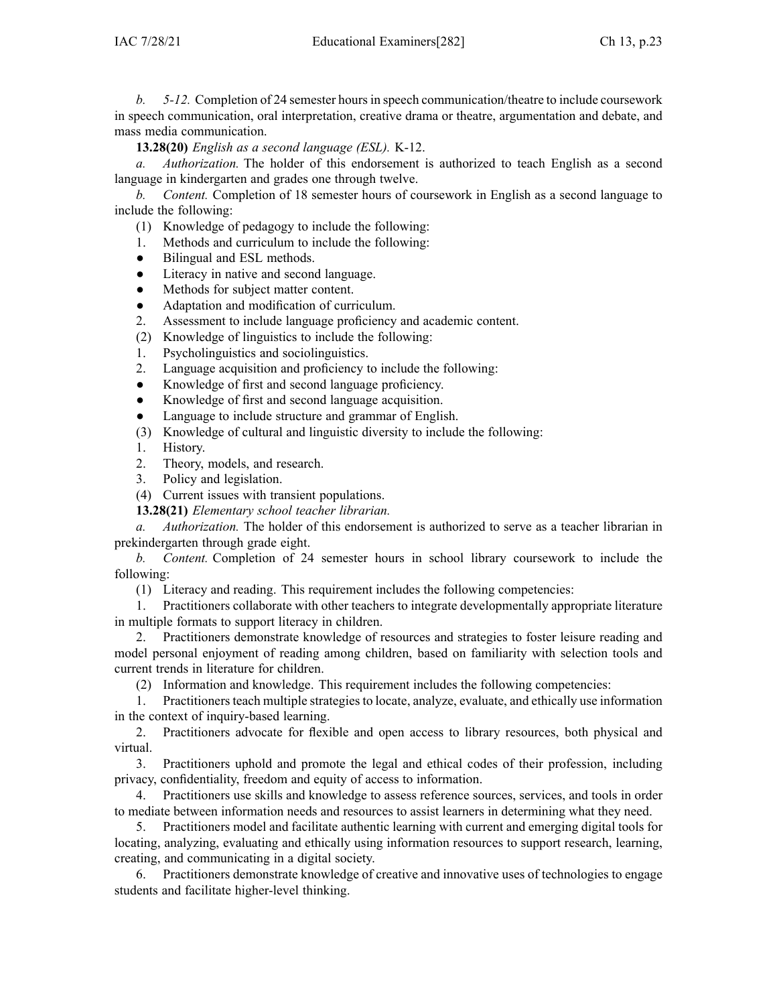*b. 5-12.* Completion of 24 semester hoursin speech communication/theatre to include coursework in speech communication, oral interpretation, creative drama or theatre, argumentation and debate, and mass media communication.

**13.28(20)** *English as <sup>a</sup> second language (ESL).* K-12.

*a. Authorization.* The holder of this endorsement is authorized to teach English as <sup>a</sup> second language in kindergarten and grades one through twelve.

*b. Content.* Completion of 18 semester hours of coursework in English as <sup>a</sup> second language to include the following:

(1) Knowledge of pedagogy to include the following:

- 1. Methods and curriculum to include the following:
- $\bullet$ Bilingual and ESL methods.
- ●Literacy in native and second language.
- ●Methods for subject matter content.
- $\bullet$ Adaptation and modification of curriculum.
- 2. Assessment to include language proficiency and academic content.
- (2) Knowledge of linguistics to include the following:
- 1. Psycholinguistics and sociolinguistics.
- 2. Language acquisition and proficiency to include the following:
- ●Knowledge of first and second language proficiency.
- $\bullet$ Knowledge of first and second language acquisition.
- ●Language to include structure and grammar of English.
- (3) Knowledge of cultural and linguistic diversity to include the following:
- 1. History.
- 2. Theory, models, and research.
- 3. Policy and legislation.
- (4) Current issues with transient populations.

**13.28(21)** *Elementary school teacher librarian.*

*a. Authorization.* The holder of this endorsement is authorized to serve as <sup>a</sup> teacher librarian in prekindergarten through grade eight.

*b. Content.* Completion of 24 semester hours in school library coursework to include the following:

(1) Literacy and reading. This requirement includes the following competencies:

1. Practitioners collaborate with other teachers to integrate developmentally appropriate literature in multiple formats to suppor<sup>t</sup> literacy in children.

2. Practitioners demonstrate knowledge of resources and strategies to foster leisure reading and model personal enjoyment of reading among children, based on familiarity with selection tools and current trends in literature for children.

(2) Information and knowledge. This requirement includes the following competencies:

1. Practitioners teach multiple strategies to locate, analyze, evaluate, and ethically use information in the context of inquiry-based learning.

2. Practitioners advocate for flexible and open access to library resources, both physical and virtual.

3. Practitioners uphold and promote the legal and ethical codes of their profession, including privacy, confidentiality, freedom and equity of access to information.

4. Practitioners use skills and knowledge to assess reference sources, services, and tools in order to mediate between information needs and resources to assist learners in determining what they need.

5. Practitioners model and facilitate authentic learning with current and emerging digital tools for locating, analyzing, evaluating and ethically using information resources to suppor<sup>t</sup> research, learning, creating, and communicating in <sup>a</sup> digital society.

6. Practitioners demonstrate knowledge of creative and innovative uses of technologies to engage students and facilitate higher-level thinking.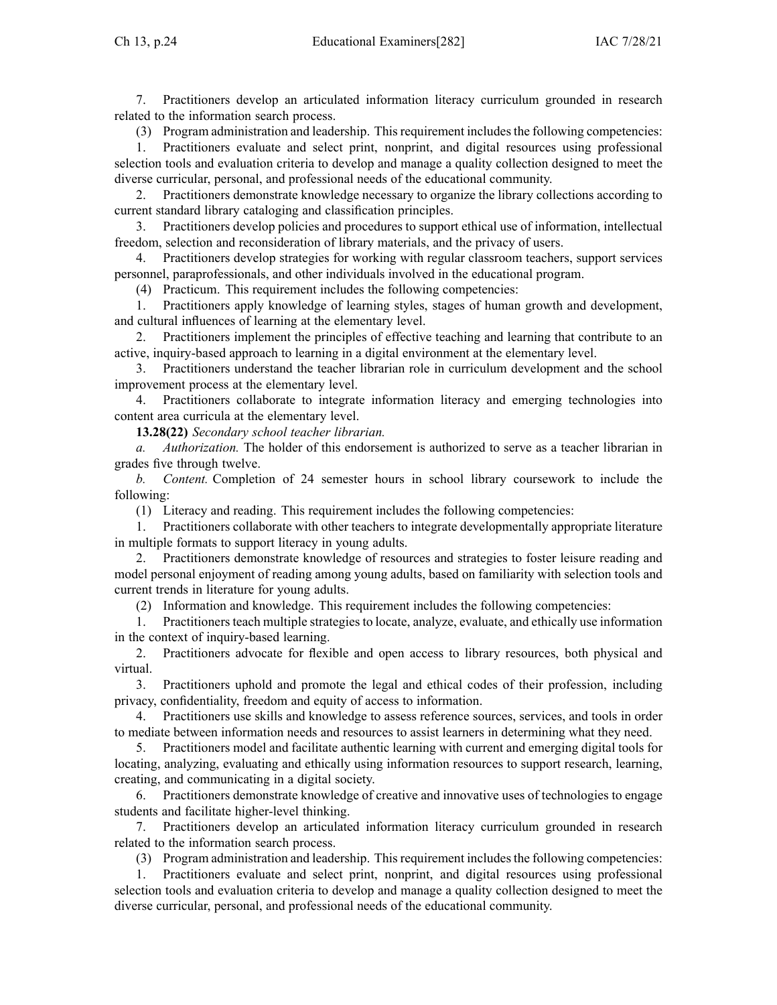7. Practitioners develop an articulated information literacy curriculum grounded in research related to the information search process.

(3) Program administration and leadership. This requirement includes the following competencies:

1. Practitioners evaluate and select print, nonprint, and digital resources using professional selection tools and evaluation criteria to develop and manage <sup>a</sup> quality collection designed to meet the diverse curricular, personal, and professional needs of the educational community.

2. Practitioners demonstrate knowledge necessary to organize the library collections according to current standard library cataloging and classification principles.

3. Practitioners develop policies and procedures to suppor<sup>t</sup> ethical use of information, intellectual freedom, selection and reconsideration of library materials, and the privacy of users.

4. Practitioners develop strategies for working with regular classroom teachers, suppor<sup>t</sup> services personnel, paraprofessionals, and other individuals involved in the educational program.

(4) Practicum. This requirement includes the following competencies:

1. Practitioners apply knowledge of learning styles, stages of human growth and development, and cultural influences of learning at the elementary level.

2. Practitioners implement the principles of effective teaching and learning that contribute to an active, inquiry-based approach to learning in <sup>a</sup> digital environment at the elementary level.

3. Practitioners understand the teacher librarian role in curriculum development and the school improvement process at the elementary level.

4. Practitioners collaborate to integrate information literacy and emerging technologies into content area curricula at the elementary level.

**13.28(22)** *Secondary school teacher librarian.*

*a. Authorization.* The holder of this endorsement is authorized to serve as <sup>a</sup> teacher librarian in grades five through twelve.

*b. Content.* Completion of 24 semester hours in school library coursework to include the following:

(1) Literacy and reading. This requirement includes the following competencies:

1. Practitioners collaborate with other teachers to integrate developmentally appropriate literature in multiple formats to suppor<sup>t</sup> literacy in young adults.

2. Practitioners demonstrate knowledge of resources and strategies to foster leisure reading and model personal enjoyment of reading among young adults, based on familiarity with selection tools and current trends in literature for young adults.

(2) Information and knowledge. This requirement includes the following competencies:

1. Practitioners teach multiple strategies to locate, analyze, evaluate, and ethically use information in the context of inquiry-based learning.

2. Practitioners advocate for flexible and open access to library resources, both physical and virtual.

3. Practitioners uphold and promote the legal and ethical codes of their profession, including privacy, confidentiality, freedom and equity of access to information.

4. Practitioners use skills and knowledge to assess reference sources, services, and tools in order to mediate between information needs and resources to assist learners in determining what they need.

5. Practitioners model and facilitate authentic learning with current and emerging digital tools for locating, analyzing, evaluating and ethically using information resources to suppor<sup>t</sup> research, learning, creating, and communicating in <sup>a</sup> digital society.

6. Practitioners demonstrate knowledge of creative and innovative uses of technologies to engage students and facilitate higher-level thinking.

7. Practitioners develop an articulated information literacy curriculum grounded in research related to the information search process.

(3) Program administration and leadership. Thisrequirement includesthe following competencies:

1. Practitioners evaluate and select print, nonprint, and digital resources using professional selection tools and evaluation criteria to develop and manage <sup>a</sup> quality collection designed to meet the diverse curricular, personal, and professional needs of the educational community.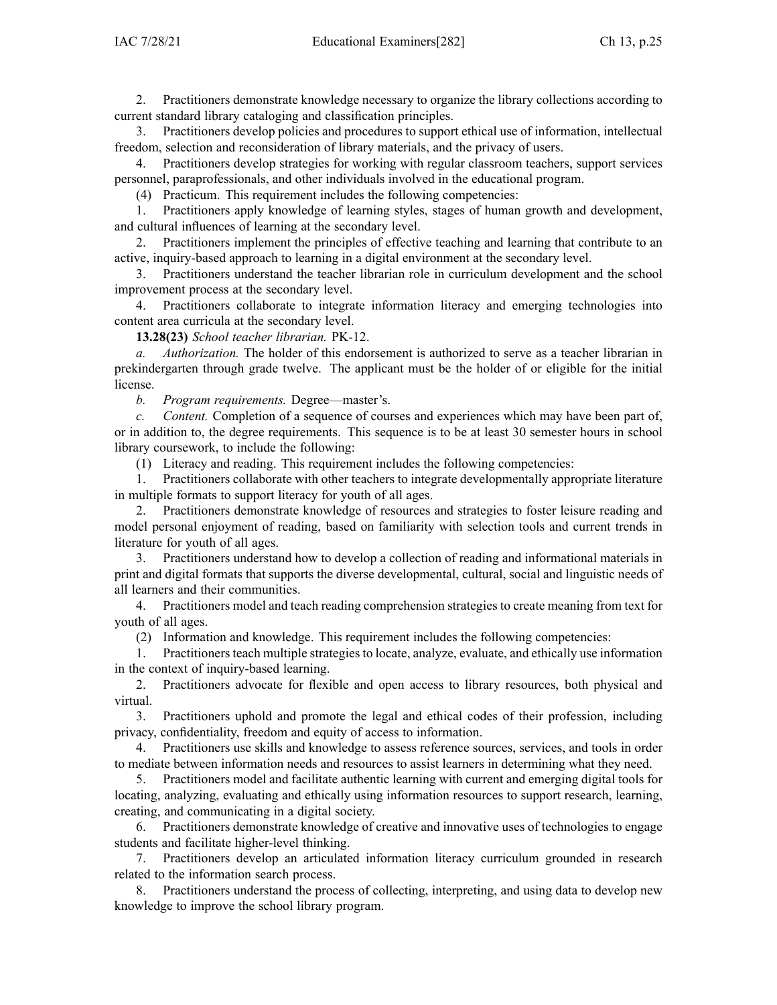2. Practitioners demonstrate knowledge necessary to organize the library collections according to current standard library cataloging and classification principles.

3. Practitioners develop policies and procedures to suppor<sup>t</sup> ethical use of information, intellectual freedom, selection and reconsideration of library materials, and the privacy of users.

4. Practitioners develop strategies for working with regular classroom teachers, suppor<sup>t</sup> services personnel, paraprofessionals, and other individuals involved in the educational program.

(4) Practicum. This requirement includes the following competencies:

1. Practitioners apply knowledge of learning styles, stages of human growth and development, and cultural influences of learning at the secondary level.

2. Practitioners implement the principles of effective teaching and learning that contribute to an active, inquiry-based approach to learning in <sup>a</sup> digital environment at the secondary level.

3. Practitioners understand the teacher librarian role in curriculum development and the school improvement process at the secondary level.

4. Practitioners collaborate to integrate information literacy and emerging technologies into content area curricula at the secondary level.

**13.28(23)** *School teacher librarian.* PK-12.

*a. Authorization.* The holder of this endorsement is authorized to serve as <sup>a</sup> teacher librarian in prekindergarten through grade twelve. The applicant must be the holder of or eligible for the initial license.

*b. Program requirements.* Degree—master's.

*c. Content.* Completion of <sup>a</sup> sequence of courses and experiences which may have been par<sup>t</sup> of, or in addition to, the degree requirements. This sequence is to be at least 30 semester hours in school library coursework, to include the following:

(1) Literacy and reading. This requirement includes the following competencies:

1. Practitioners collaborate with other teachers to integrate developmentally appropriate literature in multiple formats to suppor<sup>t</sup> literacy for youth of all ages.

2. Practitioners demonstrate knowledge of resources and strategies to foster leisure reading and model personal enjoyment of reading, based on familiarity with selection tools and current trends in literature for youth of all ages.

3. Practitioners understand how to develop <sup>a</sup> collection of reading and informational materials in print and digital formats that supports the diverse developmental, cultural, social and linguistic needs of all learners and their communities.

4. Practitioners model and teach reading comprehension strategies to create meaning from text for youth of all ages.

(2) Information and knowledge. This requirement includes the following competencies:

1. Practitioners teach multiple strategies to locate, analyze, evaluate, and ethically use information in the context of inquiry-based learning.

2. Practitioners advocate for flexible and open access to library resources, both physical and virtual.

3. Practitioners uphold and promote the legal and ethical codes of their profession, including privacy, confidentiality, freedom and equity of access to information.

4. Practitioners use skills and knowledge to assess reference sources, services, and tools in order to mediate between information needs and resources to assist learners in determining what they need.

5. Practitioners model and facilitate authentic learning with current and emerging digital tools for locating, analyzing, evaluating and ethically using information resources to suppor<sup>t</sup> research, learning, creating, and communicating in <sup>a</sup> digital society.

6. Practitioners demonstrate knowledge of creative and innovative uses of technologies to engage students and facilitate higher-level thinking.

7. Practitioners develop an articulated information literacy curriculum grounded in research related to the information search process.

8. Practitioners understand the process of collecting, interpreting, and using data to develop new knowledge to improve the school library program.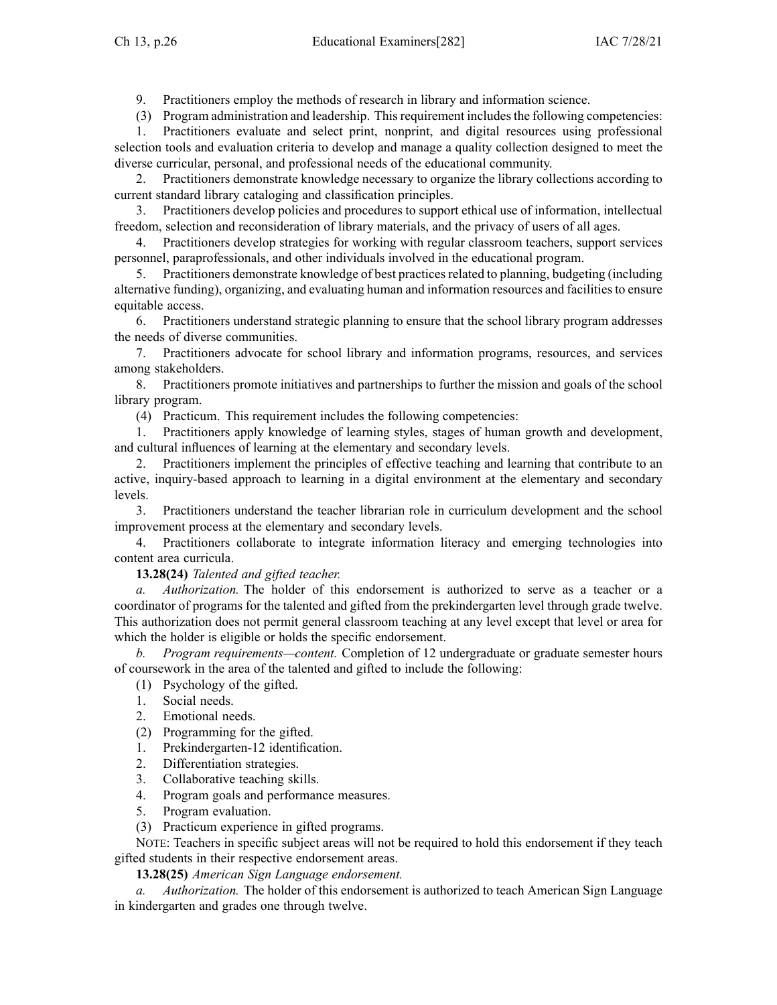9. Practitioners employ the methods of research in library and information science.

(3) Program administration and leadership. Thisrequirement includesthe following competencies:

1. Practitioners evaluate and select print, nonprint, and digital resources using professional selection tools and evaluation criteria to develop and manage <sup>a</sup> quality collection designed to meet the diverse curricular, personal, and professional needs of the educational community.

2. Practitioners demonstrate knowledge necessary to organize the library collections according to current standard library cataloging and classification principles.

3. Practitioners develop policies and procedures to suppor<sup>t</sup> ethical use of information, intellectual freedom, selection and reconsideration of library materials, and the privacy of users of all ages.

4. Practitioners develop strategies for working with regular classroom teachers, suppor<sup>t</sup> services personnel, paraprofessionals, and other individuals involved in the educational program.

5. Practitioners demonstrate knowledge of best practicesrelated to planning, budgeting (including alternative funding), organizing, and evaluating human and information resources and facilitiesto ensure equitable access.

6. Practitioners understand strategic planning to ensure that the school library program addresses the needs of diverse communities.

7. Practitioners advocate for school library and information programs, resources, and services among stakeholders.

8. Practitioners promote initiatives and partnerships to further the mission and goals of the school library program.

(4) Practicum. This requirement includes the following competencies:

1. Practitioners apply knowledge of learning styles, stages of human growth and development, and cultural influences of learning at the elementary and secondary levels.

2. Practitioners implement the principles of effective teaching and learning that contribute to an active, inquiry-based approach to learning in <sup>a</sup> digital environment at the elementary and secondary levels.

3. Practitioners understand the teacher librarian role in curriculum development and the school improvement process at the elementary and secondary levels.

4. Practitioners collaborate to integrate information literacy and emerging technologies into content area curricula.

**13.28(24)** *Talented and gifted teacher.*

*a. Authorization.* The holder of this endorsement is authorized to serve as <sup>a</sup> teacher or <sup>a</sup> coordinator of programs for the talented and gifted from the prekindergarten level through grade twelve. This authorization does not permit general classroom teaching at any level excep<sup>t</sup> that level or area for which the holder is eligible or holds the specific endorsement.

*b. Program requirements—content.* Completion of 12 undergraduate or graduate semester hours of coursework in the area of the talented and gifted to include the following:

(1) Psychology of the gifted.

- 1. Social needs.
- 2. Emotional needs.
- (2) Programming for the gifted.

1. Prekindergarten-12 identification.

- 2. Differentiation strategies.
- 3. Collaborative teaching skills.
- 4. Program goals and performance measures.
- 5. Program evaluation.
- (3) Practicum experience in gifted programs.

NOTE: Teachers in specific subject areas will not be required to hold this endorsement if they teach gifted students in their respective endorsement areas.

**13.28(25)** *American Sign Language endorsement.*

*a. Authorization.* The holder of this endorsement is authorized to teach American Sign Language in kindergarten and grades one through twelve.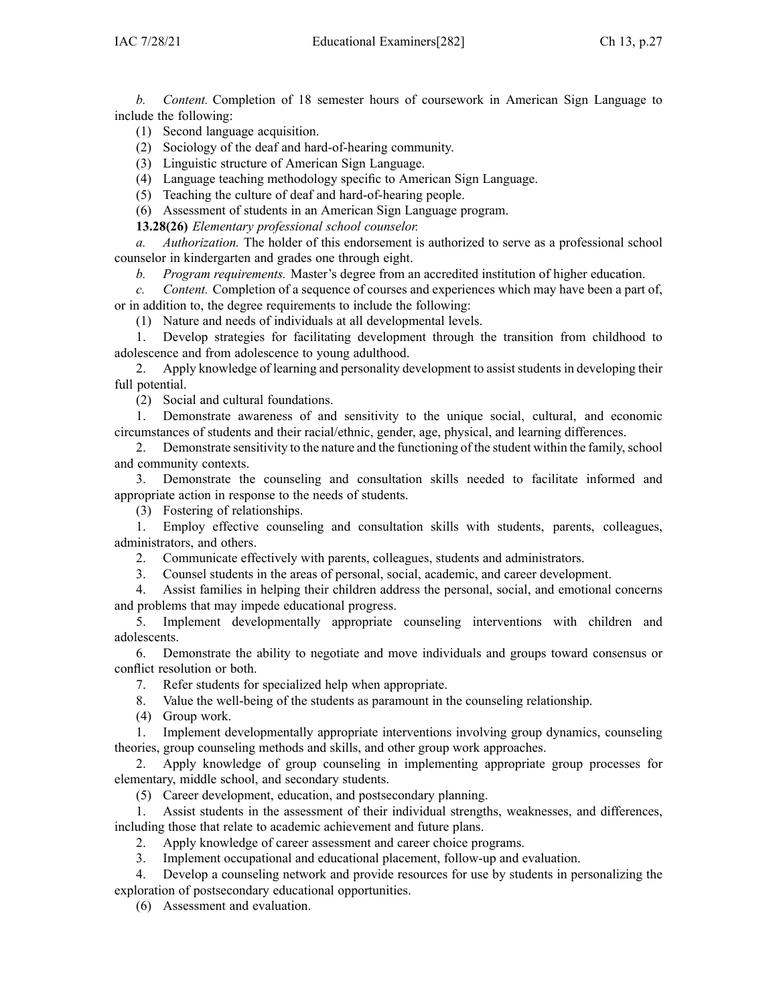*b. Content.* Completion of 18 semester hours of coursework in American Sign Language to include the following:

(1) Second language acquisition.

(2) Sociology of the deaf and hard-of-hearing community.

(3) Linguistic structure of American Sign Language.

(4) Language teaching methodology specific to American Sign Language.

(5) Teaching the culture of deaf and hard-of-hearing people.

(6) Assessment of students in an American Sign Language program.

**13.28(26)** *Elementary professional school counselor.*

*a. Authorization.* The holder of this endorsement is authorized to serve as <sup>a</sup> professional school counselor in kindergarten and grades one through eight.

*b. Program requirements.* Master's degree from an accredited institution of higher education.

*c. Content.* Completion of <sup>a</sup> sequence of courses and experiences which may have been <sup>a</sup> par<sup>t</sup> of, or in addition to, the degree requirements to include the following:

(1) Nature and needs of individuals at all developmental levels.

1. Develop strategies for facilitating development through the transition from childhood to adolescence and from adolescence to young adulthood.

2. Apply knowledge of learning and personality development to assist students in developing their full potential.

(2) Social and cultural foundations.

1. Demonstrate awareness of and sensitivity to the unique social, cultural, and economic circumstances of students and their racial/ethnic, gender, age, physical, and learning differences.

2. Demonstrate sensitivity to the nature and the functioning of the student within the family, school and community contexts.

3. Demonstrate the counseling and consultation skills needed to facilitate informed and appropriate action in response to the needs of students.

(3) Fostering of relationships.

1. Employ effective counseling and consultation skills with students, parents, colleagues, administrators, and others.

2. Communicate effectively with parents, colleagues, students and administrators.

3. Counsel students in the areas of personal, social, academic, and career development.

4. Assist families in helping their children address the personal, social, and emotional concerns and problems that may impede educational progress.

5. Implement developmentally appropriate counseling interventions with children and adolescents.

6. Demonstrate the ability to negotiate and move individuals and groups toward consensus or conflict resolution or both.

7. Refer students for specialized help when appropriate.

8. Value the well-being of the students as paramoun<sup>t</sup> in the counseling relationship.

(4) Group work.

1. Implement developmentally appropriate interventions involving group dynamics, counseling theories, group counseling methods and skills, and other group work approaches.

2. Apply knowledge of group counseling in implementing appropriate group processes for elementary, middle school, and secondary students.

(5) Career development, education, and postsecondary planning.

1. Assist students in the assessment of their individual strengths, weaknesses, and differences, including those that relate to academic achievement and future plans.

2. Apply knowledge of career assessment and career choice programs.

3. Implement occupational and educational placement, follow-up and evaluation.

4. Develop <sup>a</sup> counseling network and provide resources for use by students in personalizing the exploration of postsecondary educational opportunities.

(6) Assessment and evaluation.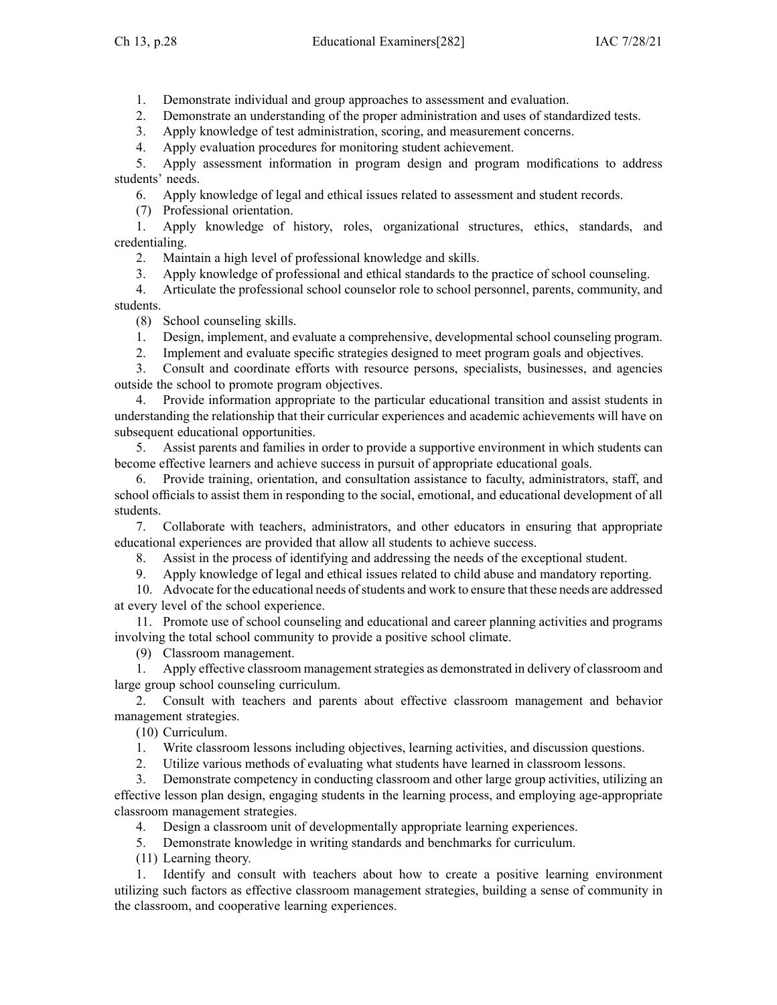1. Demonstrate individual and group approaches to assessment and evaluation.

2. Demonstrate an understanding of the proper administration and uses of standardized tests.

3. Apply knowledge of test administration, scoring, and measurement concerns.

4. Apply evaluation procedures for monitoring student achievement.

5. Apply assessment information in program design and program modifications to address students' needs.

6. Apply knowledge of legal and ethical issues related to assessment and student records.

(7) Professional orientation.

1. Apply knowledge of history, roles, organizational structures, ethics, standards, and credentialing.

2. Maintain <sup>a</sup> high level of professional knowledge and skills.

3. Apply knowledge of professional and ethical standards to the practice of school counseling.

4. Articulate the professional school counselor role to school personnel, parents, community, and students.

(8) School counseling skills.

1. Design, implement, and evaluate <sup>a</sup> comprehensive, developmental school counseling program.

2. Implement and evaluate specific strategies designed to meet program goals and objectives.

3. Consult and coordinate efforts with resource persons, specialists, businesses, and agencies outside the school to promote program objectives.

4. Provide information appropriate to the particular educational transition and assist students in understanding the relationship that their curricular experiences and academic achievements will have on subsequent educational opportunities.

5. Assist parents and families in order to provide <sup>a</sup> supportive environment in which students can become effective learners and achieve success in pursuit of appropriate educational goals.

6. Provide training, orientation, and consultation assistance to faculty, administrators, staff, and school officials to assist them in responding to the social, emotional, and educational development of all students.

7. Collaborate with teachers, administrators, and other educators in ensuring that appropriate educational experiences are provided that allow all students to achieve success.

8. Assist in the process of identifying and addressing the needs of the exceptional student.

9. Apply knowledge of legal and ethical issues related to child abuse and mandatory reporting.

10. Advocate for the educational needs ofstudents and work to ensure that these needs are addressed at every level of the school experience.

11. Promote use of school counseling and educational and career planning activities and programs involving the total school community to provide <sup>a</sup> positive school climate.

(9) Classroom management.

1. Apply effective classroom management strategies as demonstrated in delivery of classroom and large group school counseling curriculum.

2. Consult with teachers and parents about effective classroom managemen<sup>t</sup> and behavior managemen<sup>t</sup> strategies.

(10) Curriculum.

1. Write classroom lessons including objectives, learning activities, and discussion questions.

2. Utilize various methods of evaluating what students have learned in classroom lessons.

3. Demonstrate competency in conducting classroom and other large group activities, utilizing an effective lesson plan design, engaging students in the learning process, and employing age-appropriate classroom managemen<sup>t</sup> strategies.

4. Design <sup>a</sup> classroom unit of developmentally appropriate learning experiences.

5. Demonstrate knowledge in writing standards and benchmarks for curriculum.

(11) Learning theory.

1. Identify and consult with teachers about how to create <sup>a</sup> positive learning environment utilizing such factors as effective classroom managemen<sup>t</sup> strategies, building <sup>a</sup> sense of community in the classroom, and cooperative learning experiences.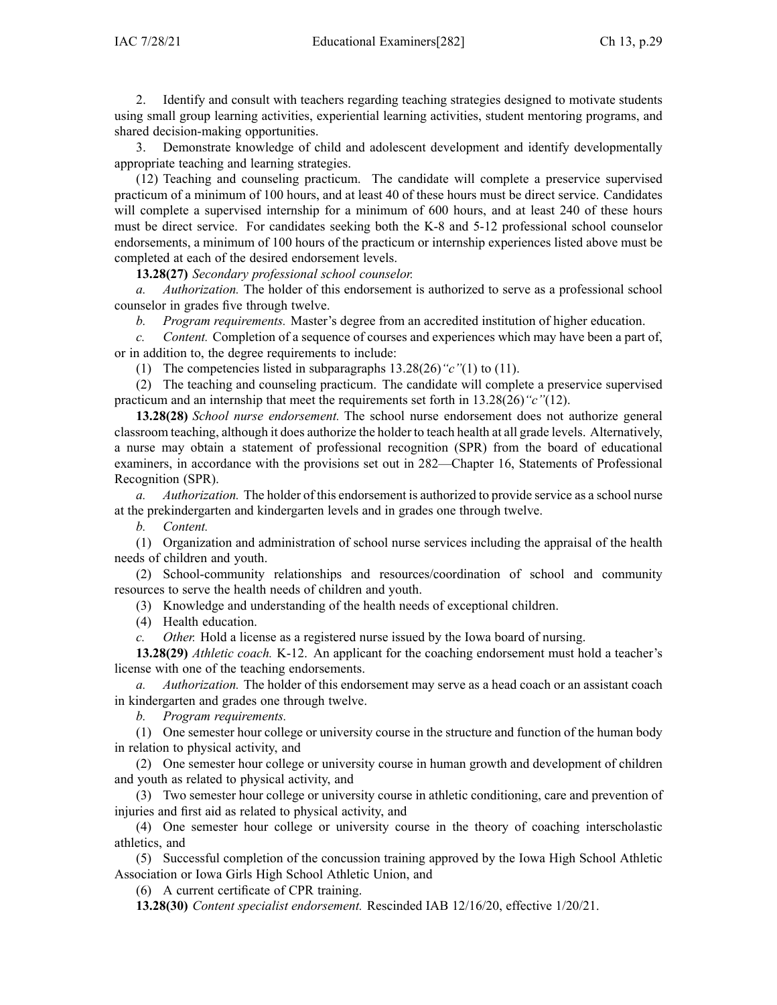2. Identify and consult with teachers regarding teaching strategies designed to motivate students using small group learning activities, experiential learning activities, student mentoring programs, and shared decision-making opportunities.

3. Demonstrate knowledge of child and adolescent development and identify developmentally appropriate teaching and learning strategies.

(12) Teaching and counseling practicum. The candidate will complete <sup>a</sup> preservice supervised practicum of <sup>a</sup> minimum of 100 hours, and at least 40 of these hours must be direct service. Candidates will complete <sup>a</sup> supervised internship for <sup>a</sup> minimum of 600 hours, and at least 240 of these hours must be direct service. For candidates seeking both the K-8 and 5-12 professional school counselor endorsements, <sup>a</sup> minimum of 100 hours of the practicum or internship experiences listed above must be completed at each of the desired endorsement levels.

**13.28(27)** *Secondary professional school counselor.*

*a. Authorization.* The holder of this endorsement is authorized to serve as <sup>a</sup> professional school counselor in grades five through twelve.

*b. Program requirements.* Master's degree from an accredited institution of higher education.

*c. Content.* Completion of <sup>a</sup> sequence of courses and experiences which may have been <sup>a</sup> par<sup>t</sup> of, or in addition to, the degree requirements to include:

(1) The competencies listed in subparagraphs [13.28\(26\)](https://www.legis.iowa.gov/docs/iac/rule/282.13.28.pdf)*"c"*(1) to (11).

(2) The teaching and counseling practicum. The candidate will complete <sup>a</sup> preservice supervised practicum and an internship that meet the requirements set forth in [13.28\(26\)](https://www.legis.iowa.gov/docs/iac/rule/282.13.28.pdf)*"c"*(12).

**13.28(28)** *School nurse endorsement.* The school nurse endorsement does not authorize general classroom teaching, although it does authorize the holder to teach health at all grade levels. Alternatively, <sup>a</sup> nurse may obtain <sup>a</sup> statement of professional recognition (SPR) from the board of educational examiners, in accordance with the provisions set out in [282—Chapter](https://www.legis.iowa.gov/docs/iac/chapter/282.16.pdf) 16, Statements of Professional Recognition (SPR).

*a. Authorization.* The holder of this endorsement is authorized to provide service as <sup>a</sup> school nurse at the prekindergarten and kindergarten levels and in grades one through twelve.

*b. Content.*

(1) Organization and administration of school nurse services including the appraisal of the health needs of children and youth.

(2) School-community relationships and resources/coordination of school and community resources to serve the health needs of children and youth.

(3) Knowledge and understanding of the health needs of exceptional children.

(4) Health education.

*c. Other.* Hold <sup>a</sup> license as <sup>a</sup> registered nurse issued by the Iowa board of nursing.

**13.28(29)** *Athletic coach.* K-12. An applicant for the coaching endorsement must hold <sup>a</sup> teacher's license with one of the teaching endorsements.

*a. Authorization.* The holder of this endorsement may serve as <sup>a</sup> head coach or an assistant coach in kindergarten and grades one through twelve.

*b. Program requirements.*

(1) One semester hour college or university course in the structure and function of the human body in relation to physical activity, and

(2) One semester hour college or university course in human growth and development of children and youth as related to physical activity, and

(3) Two semester hour college or university course in athletic conditioning, care and prevention of injuries and first aid as related to physical activity, and

(4) One semester hour college or university course in the theory of coaching interscholastic athletics, and

(5) Successful completion of the concussion training approved by the Iowa High School Athletic Association or Iowa Girls High School Athletic Union, and

(6) A current certificate of CPR training.

**13.28(30)** *Content specialist endorsement.* Rescinded IAB 12/16/20, effective 1/20/21.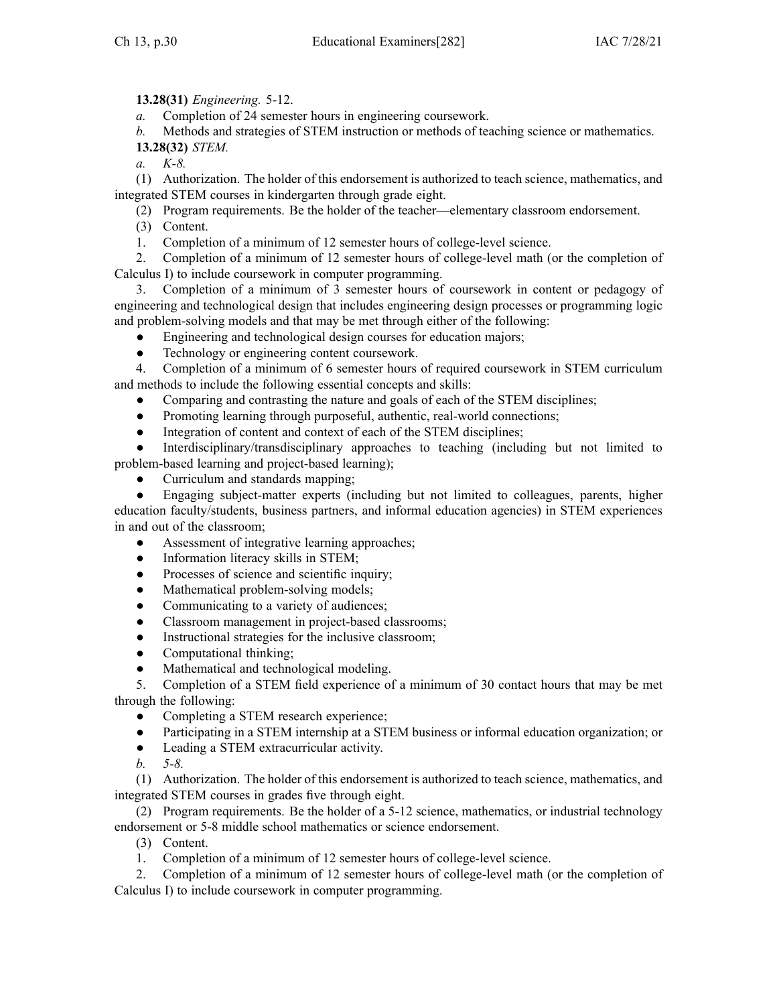**13.28(31)** *Engineering.* 5-12.

*a.* Completion of 24 semester hours in engineering coursework.

*b.* Methods and strategies of STEM instruction or methods of teaching science or mathematics. **13.28(32)** *STEM.*

*a. K-8.*

(1) Authorization. The holder of this endorsement is authorized to teach science, mathematics, and integrated STEM courses in kindergarten through grade eight.

(2) Program requirements. Be the holder of the teacher—elementary classroom endorsement.

(3) Content.

1. Completion of <sup>a</sup> minimum of 12 semester hours of college-level science.

2. Completion of <sup>a</sup> minimum of 12 semester hours of college-level math (or the completion of Calculus I) to include coursework in computer programming.

3. Completion of <sup>a</sup> minimum of 3 semester hours of coursework in content or pedagogy of engineering and technological design that includes engineering design processes or programming logic and problem-solving models and that may be met through either of the following:

- $\bullet$ Engineering and technological design courses for education majors;
- $\bullet$ Technology or engineering content coursework.

4. Completion of <sup>a</sup> minimum of 6 semester hours of required coursework in STEM curriculum and methods to include the following essential concepts and skills:

- $\bullet$ Comparing and contrasting the nature and goals of each of the STEM disciplines;
- $\bullet$ Promoting learning through purposeful, authentic, real-world connections;
- $\bullet$ Integration of content and context of each of the STEM disciplines;

● Interdisciplinary/transdisciplinary approaches to teaching (including but not limited to problem-based learning and project-based learning);

●Curriculum and standards mapping;

● Engaging subject-matter experts (including but not limited to colleagues, parents, higher education faculty/students, business partners, and informal education agencies) in STEM experiences in and out of the classroom;

- ●Assessment of integrative learning approaches;
- $\bullet$ Information literacy skills in STEM;
- $\bullet$ Processes of science and scientific inquiry;
- ●Mathematical problem-solving models;
- $\bullet$ Communicating to <sup>a</sup> variety of audiences;
- $\bullet$ Classroom managemen<sup>t</sup> in project-based classrooms;
- $\bullet$ Instructional strategies for the inclusive classroom;
- $\bullet$ Computational thinking;
- $\bullet$ Mathematical and technological modeling.

5. Completion of <sup>a</sup> STEM field experience of <sup>a</sup> minimum of 30 contact hours that may be met through the following:

- $\bullet$ Completing <sup>a</sup> STEM research experience;
- ●Participating in <sup>a</sup> STEM internship at <sup>a</sup> STEM business or informal education organization; or
- $\bullet$ Leading <sup>a</sup> STEM extracurricular activity.
- *b. 5-8.*

(1) Authorization. The holder of this endorsement is authorized to teach science, mathematics, and integrated STEM courses in grades five through eight.

(2) Program requirements. Be the holder of <sup>a</sup> 5-12 science, mathematics, or industrial technology endorsement or 5-8 middle school mathematics or science endorsement.

(3) Content.

1. Completion of <sup>a</sup> minimum of 12 semester hours of college-level science.

2. Completion of <sup>a</sup> minimum of 12 semester hours of college-level math (or the completion of Calculus I) to include coursework in computer programming.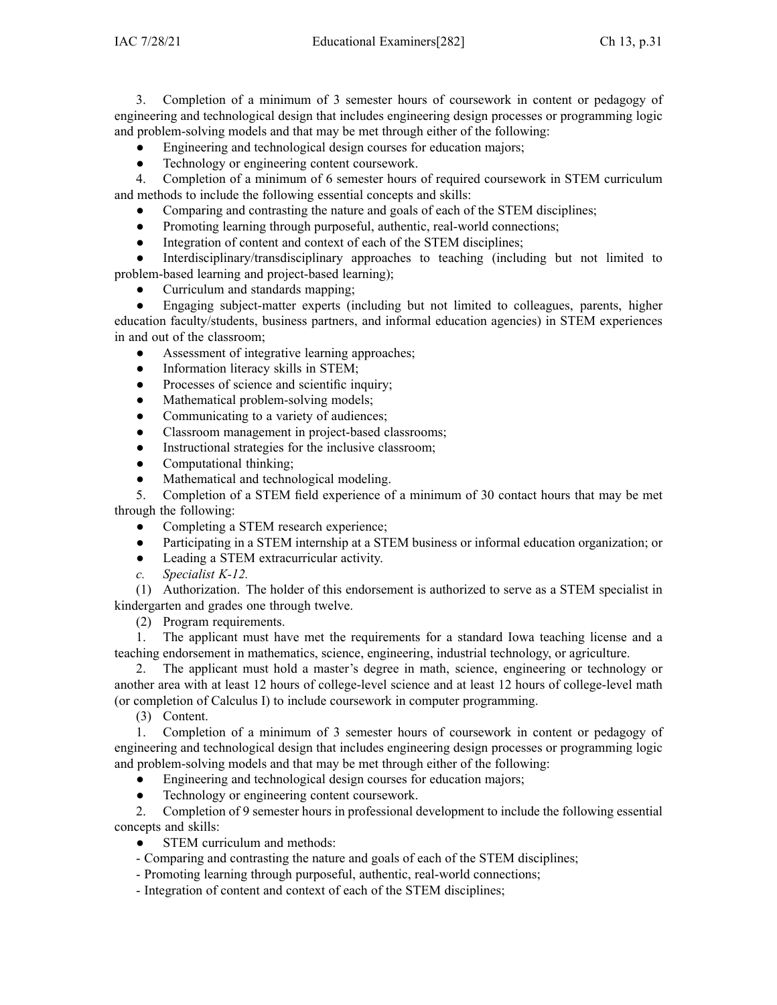3. Completion of <sup>a</sup> minimum of 3 semester hours of coursework in content or pedagogy of engineering and technological design that includes engineering design processes or programming logic and problem-solving models and that may be met through either of the following:

- ●Engineering and technological design courses for education majors;
- $\bullet$ Technology or engineering content coursework.

4. Completion of <sup>a</sup> minimum of 6 semester hours of required coursework in STEM curriculum and methods to include the following essential concepts and skills:

- $\bullet$ Comparing and contrasting the nature and goals of each of the STEM disciplines;
- $\bullet$ Promoting learning through purposeful, authentic, real-world connections;
- $\bullet$ Integration of content and context of each of the STEM disciplines;

● Interdisciplinary/transdisciplinary approaches to teaching (including but not limited to problem-based learning and project-based learning);

●Curriculum and standards mapping;

● Engaging subject-matter experts (including but not limited to colleagues, parents, higher education faculty/students, business partners, and informal education agencies) in STEM experiences in and out of the classroom;

- $\bullet$ Assessment of integrative learning approaches;
- ●Information literacy skills in STEM;
- $\bullet$ Processes of science and scientific inquiry;
- $\bullet$ Mathematical problem-solving models;
- $\bullet$ Communicating to <sup>a</sup> variety of audiences;
- $\bullet$ Classroom managemen<sup>t</sup> in project-based classrooms;
- $\bullet$ Instructional strategies for the inclusive classroom;
- $\bullet$ Computational thinking;
- $\bullet$ Mathematical and technological modeling.

5. Completion of <sup>a</sup> STEM field experience of <sup>a</sup> minimum of 30 contact hours that may be met through the following:

- $\bullet$ Completing <sup>a</sup> STEM research experience;
- $\bullet$ Participating in <sup>a</sup> STEM internship at <sup>a</sup> STEM business or informal education organization; or
- $\bullet$ Leading <sup>a</sup> STEM extracurricular activity.
- *c. Specialist K-12.*

(1) Authorization. The holder of this endorsement is authorized to serve as <sup>a</sup> STEM specialist in kindergarten and grades one through twelve.

(2) Program requirements.

1. The applicant must have met the requirements for <sup>a</sup> standard Iowa teaching license and <sup>a</sup> teaching endorsement in mathematics, science, engineering, industrial technology, or agriculture.

2. The applicant must hold <sup>a</sup> master's degree in math, science, engineering or technology or another area with at least 12 hours of college-level science and at least 12 hours of college-level math (or completion of Calculus I) to include coursework in computer programming.

(3) Content.

1. Completion of <sup>a</sup> minimum of 3 semester hours of coursework in content or pedagogy of engineering and technological design that includes engineering design processes or programming logic and problem-solving models and that may be met through either of the following:

- $\bullet$ Engineering and technological design courses for education majors;
- ●Technology or engineering content coursework.

2. Completion of 9 semester hours in professional development to include the following essential concepts and skills:

- ●STEM curriculum and methods:
- Comparing and contrasting the nature and goals of each of the STEM disciplines;
- Promoting learning through purposeful, authentic, real-world connections;
- Integration of content and context of each of the STEM disciplines;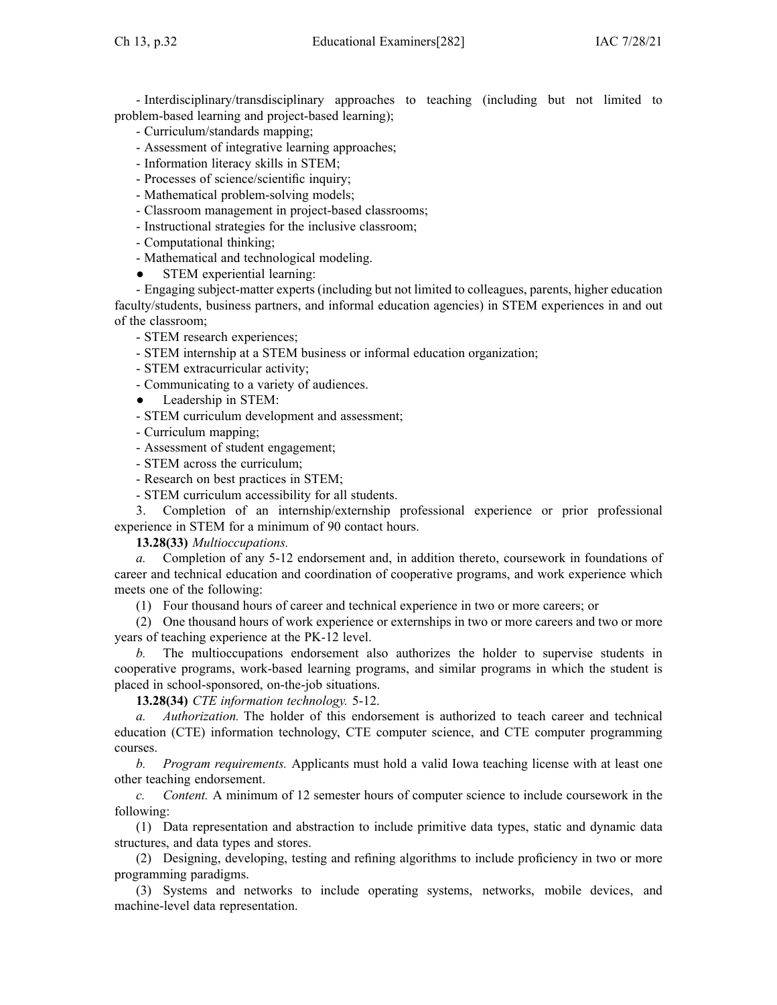- Interdisciplinary/transdisciplinary approaches to teaching (including but not limited to problem-based learning and project-based learning);

- Curriculum/standards mapping;
- Assessment of integrative learning approaches;
- Information literacy skills in STEM;
- Processes of science/scientific inquiry;
- Mathematical problem-solving models;
- Classroom managemen<sup>t</sup> in project-based classrooms;
- Instructional strategies for the inclusive classroom;
- Computational thinking;
- Mathematical and technological modeling.
- $\bullet$ STEM experiential learning:

- Engaging subject-matter experts (including but not limited to colleagues, parents, higher education faculty/students, business partners, and informal education agencies) in STEM experiences in and out of the classroom;

- STEM research experiences;
- STEM internship at <sup>a</sup> STEM business or informal education organization;
- STEM extracurricular activity;
- Communicating to <sup>a</sup> variety of audiences.
- ●Leadership in STEM:
- STEM curriculum development and assessment;
- Curriculum mapping;
- Assessment of student engagement;
- STEM across the curriculum;
- Research on best practices in STEM;
- STEM curriculum accessibility for all students.

3. Completion of an internship/externship professional experience or prior professional experience in STEM for <sup>a</sup> minimum of 90 contact hours.

**13.28(33)** *Multioccupations.*

*a.* Completion of any 5-12 endorsement and, in addition thereto, coursework in foundations of career and technical education and coordination of cooperative programs, and work experience which meets one of the following:

(1) Four thousand hours of career and technical experience in two or more careers; or

(2) One thousand hours of work experience or externships in two or more careers and two or more years of teaching experience at the PK-12 level.

*b.* The multioccupations endorsement also authorizes the holder to supervise students in cooperative programs, work-based learning programs, and similar programs in which the student is placed in school-sponsored, on-the-job situations.

**13.28(34)** *CTE information technology.* 5-12.

*a. Authorization.* The holder of this endorsement is authorized to teach career and technical education (CTE) information technology, CTE computer science, and CTE computer programming courses.

*b. Program requirements.* Applicants must hold <sup>a</sup> valid Iowa teaching license with at least one other teaching endorsement.

*c. Content.* A minimum of 12 semester hours of computer science to include coursework in the following:

(1) Data representation and abstraction to include primitive data types, static and dynamic data structures, and data types and stores.

(2) Designing, developing, testing and refining algorithms to include proficiency in two or more programming paradigms.

(3) Systems and networks to include operating systems, networks, mobile devices, and machine-level data representation.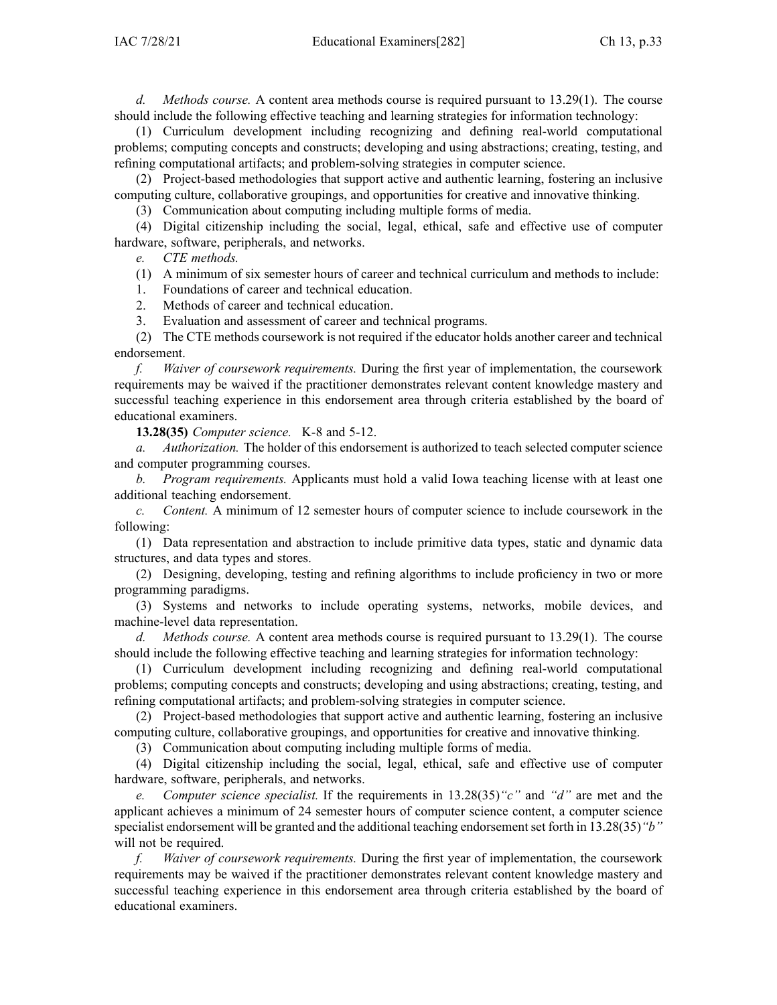*d. Methods course.* A content area methods course is required pursuan<sup>t</sup> to 13.29(1). The course should include the following effective teaching and learning strategies for information technology:

(1) Curriculum development including recognizing and defining real-world computational problems; computing concepts and constructs; developing and using abstractions; creating, testing, and refining computational artifacts; and problem-solving strategies in computer science.

(2) Project-based methodologies that suppor<sup>t</sup> active and authentic learning, fostering an inclusive computing culture, collaborative groupings, and opportunities for creative and innovative thinking.

(3) Communication about computing including multiple forms of media.

(4) Digital citizenship including the social, legal, ethical, safe and effective use of computer hardware, software, peripherals, and networks.

*e. CTE methods.*

(1) A minimum of six semester hours of career and technical curriculum and methods to include:

1. Foundations of career and technical education.

2. Methods of career and technical education.

3. Evaluation and assessment of career and technical programs.

(2) The CTE methods coursework is not required if the educator holds another career and technical endorsement.

*f. Waiver of coursework requirements.* During the first year of implementation, the coursework requirements may be waived if the practitioner demonstrates relevant content knowledge mastery and successful teaching experience in this endorsement area through criteria established by the board of educational examiners.

**13.28(35)** *Computer science.* K-8 and 5-12.

*a. Authorization.* The holder of this endorsement is authorized to teach selected computer science and computer programming courses.

*b. Program requirements.* Applicants must hold <sup>a</sup> valid Iowa teaching license with at least one additional teaching endorsement.

*c. Content.* A minimum of 12 semester hours of computer science to include coursework in the following:

(1) Data representation and abstraction to include primitive data types, static and dynamic data structures, and data types and stores.

(2) Designing, developing, testing and refining algorithms to include proficiency in two or more programming paradigms.

(3) Systems and networks to include operating systems, networks, mobile devices, and machine-level data representation.

*d. Methods course.* A content area methods course is required pursuan<sup>t</sup> to 13.29(1). The course should include the following effective teaching and learning strategies for information technology:

(1) Curriculum development including recognizing and defining real-world computational problems; computing concepts and constructs; developing and using abstractions; creating, testing, and refining computational artifacts; and problem-solving strategies in computer science.

(2) Project-based methodologies that suppor<sup>t</sup> active and authentic learning, fostering an inclusive computing culture, collaborative groupings, and opportunities for creative and innovative thinking.

(3) Communication about computing including multiple forms of media.

(4) Digital citizenship including the social, legal, ethical, safe and effective use of computer hardware, software, peripherals, and networks.

*e. Computer science specialist.* If the requirements in 13.28(35)*"c"* and *"d"* are met and the applicant achieves <sup>a</sup> minimum of 24 semester hours of computer science content, <sup>a</sup> computer science specialist endorsement will be granted and the additional teaching endorsementset forth in 13.28(35)*"b"* will not be required.

*f. Waiver of coursework requirements.* During the first year of implementation, the coursework requirements may be waived if the practitioner demonstrates relevant content knowledge mastery and successful teaching experience in this endorsement area through criteria established by the board of educational examiners.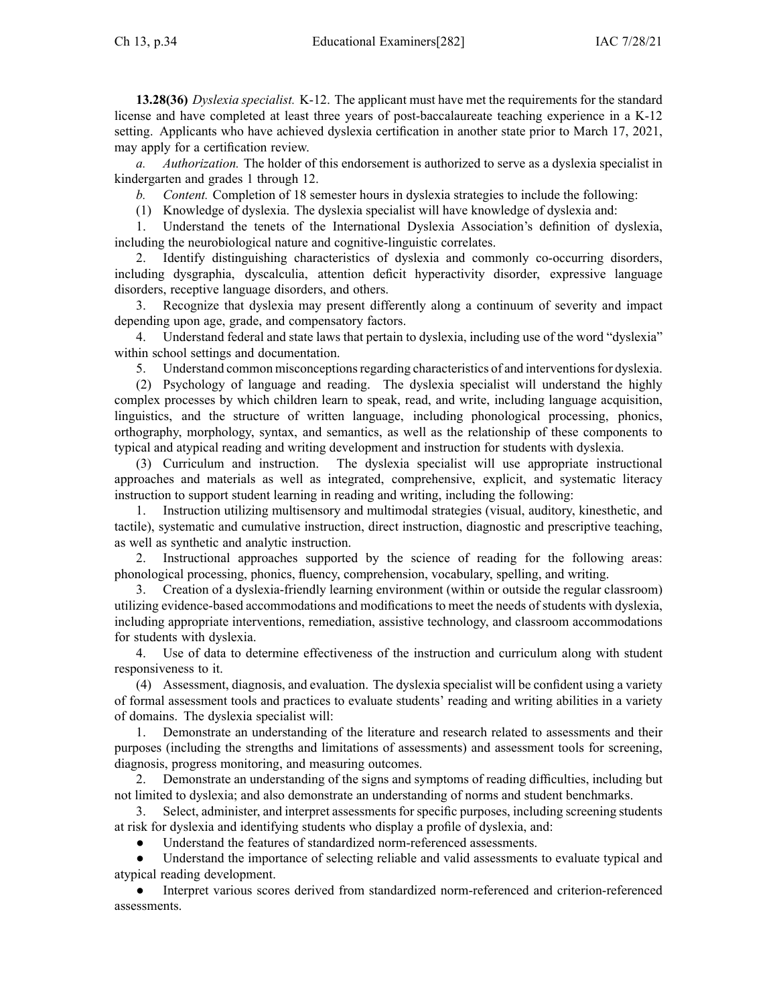**13.28(36)** *Dyslexia specialist.* K-12. The applicant must have met the requirements for the standard license and have completed at least three years of post-baccalaureate teaching experience in <sup>a</sup> K-12 setting. Applicants who have achieved dyslexia certification in another state prior to March 17, 2021, may apply for <sup>a</sup> certification review.

*a. Authorization.* The holder of this endorsement is authorized to serve as <sup>a</sup> dyslexia specialist in kindergarten and grades 1 through 12.

*b. Content.* Completion of 18 semester hours in dyslexia strategies to include the following:

(1) Knowledge of dyslexia. The dyslexia specialist will have knowledge of dyslexia and:

1. Understand the tenets of the International Dyslexia Association's definition of dyslexia, including the neurobiological nature and cognitive-linguistic correlates.

2. Identify distinguishing characteristics of dyslexia and commonly co-occurring disorders, including dysgraphia, dyscalculia, attention deficit hyperactivity disorder, expressive language disorders, receptive language disorders, and others.

3. Recognize that dyslexia may presen<sup>t</sup> differently along <sup>a</sup> continuum of severity and impact depending upon age, grade, and compensatory factors.

4. Understand federal and state laws that pertain to dyslexia, including use of the word "dyslexia" within school settings and documentation.

5. Understand common misconceptions regarding characteristics of and interventions for dyslexia.

(2) Psychology of language and reading. The dyslexia specialist will understand the highly complex processes by which children learn to speak, read, and write, including language acquisition, linguistics, and the structure of written language, including phonological processing, phonics, orthography, morphology, syntax, and semantics, as well as the relationship of these components to typical and atypical reading and writing development and instruction for students with dyslexia.

(3) Curriculum and instruction. The dyslexia specialist will use appropriate instructional approaches and materials as well as integrated, comprehensive, explicit, and systematic literacy instruction to suppor<sup>t</sup> student learning in reading and writing, including the following:

1. Instruction utilizing multisensory and multimodal strategies (visual, auditory, kinesthetic, and tactile), systematic and cumulative instruction, direct instruction, diagnostic and prescriptive teaching, as well as synthetic and analytic instruction.

2. Instructional approaches supported by the science of reading for the following areas: phonological processing, phonics, fluency, comprehension, vocabulary, spelling, and writing.

3. Creation of <sup>a</sup> dyslexia-friendly learning environment (within or outside the regular classroom) utilizing evidence-based accommodations and modifications to meet the needs of students with dyslexia, including appropriate interventions, remediation, assistive technology, and classroom accommodations for students with dyslexia.

4. Use of data to determine effectiveness of the instruction and curriculum along with student responsiveness to it.

(4) Assessment, diagnosis, and evaluation. The dyslexia specialist will be confident using <sup>a</sup> variety of formal assessment tools and practices to evaluate students' reading and writing abilities in <sup>a</sup> variety of domains. The dyslexia specialist will:

1. Demonstrate an understanding of the literature and research related to assessments and their purposes (including the strengths and limitations of assessments) and assessment tools for screening, diagnosis, progress monitoring, and measuring outcomes.

2. Demonstrate an understanding of the signs and symptoms of reading difficulties, including but not limited to dyslexia; and also demonstrate an understanding of norms and student benchmarks.

3. Select, administer, and interpret assessments for specific purposes, including screening students at risk for dyslexia and identifying students who display <sup>a</sup> profile of dyslexia, and:

●Understand the features of standardized norm-referenced assessments.

● Understand the importance of selecting reliable and valid assessments to evaluate typical and atypical reading development.

● Interpret various scores derived from standardized norm-referenced and criterion-referenced assessments.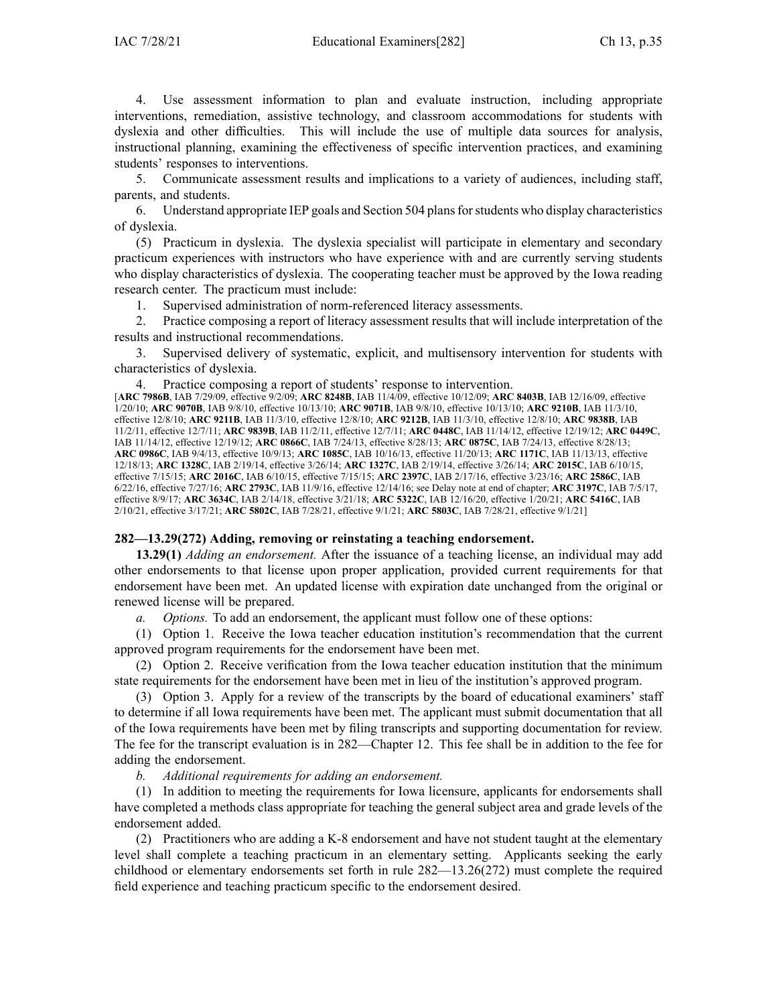4. Use assessment information to plan and evaluate instruction, including appropriate interventions, remediation, assistive technology, and classroom accommodations for students with dyslexia and other difficulties. This will include the use of multiple data sources for analysis, instructional planning, examining the effectiveness of specific intervention practices, and examining students' responses to interventions.

5. Communicate assessment results and implications to <sup>a</sup> variety of audiences, including staff, parents, and students.

6. Understand appropriate IEP goals and Section 504 plansforstudents who display characteristics of dyslexia.

(5) Practicum in dyslexia. The dyslexia specialist will participate in elementary and secondary practicum experiences with instructors who have experience with and are currently serving students who display characteristics of dyslexia. The cooperating teacher must be approved by the Iowa reading research center. The practicum must include:

1. Supervised administration of norm-referenced literacy assessments.

2. Practice composing <sup>a</sup> repor<sup>t</sup> of literacy assessment results that will include interpretation of the results and instructional recommendations.

3. Supervised delivery of systematic, explicit, and multisensory intervention for students with characteristics of dyslexia.

Practice composing a report of students' response to intervention.

[**ARC [7986B](https://www.legis.iowa.gov/docs/aco/arc/7986B.pdf)**, IAB 7/29/09, effective 9/2/09; **ARC [8248B](https://www.legis.iowa.gov/docs/aco/arc/8248B.pdf)**, IAB 11/4/09, effective 10/12/09; **ARC [8403B](https://www.legis.iowa.gov/docs/aco/arc/8403B.pdf)**, IAB 12/16/09, effective 1/20/10; **ARC [9070B](https://www.legis.iowa.gov/docs/aco/arc/9070B.pdf)**, IAB 9/8/10, effective 10/13/10; **ARC [9071B](https://www.legis.iowa.gov/docs/aco/arc/9071B.pdf)**, IAB 9/8/10, effective 10/13/10; **ARC [9210B](https://www.legis.iowa.gov/docs/aco/arc/9210B.pdf)**, IAB 11/3/10, effective 12/8/10; **ARC [9211B](https://www.legis.iowa.gov/docs/aco/arc/9211B.pdf)**, IAB 11/3/10, effective 12/8/10; **ARC [9212B](https://www.legis.iowa.gov/docs/aco/arc/9212B.pdf)**, IAB 11/3/10, effective 12/8/10; **ARC [9838B](https://www.legis.iowa.gov/docs/aco/arc/9838B.pdf)**, IAB 11/2/11, effective 12/7/11; **ARC [9839B](https://www.legis.iowa.gov/docs/aco/arc/9839B.pdf)**, IAB 11/2/11, effective 12/7/11; **ARC [0448C](https://www.legis.iowa.gov/docs/aco/arc/0448C.pdf)**, IAB 11/14/12, effective 12/19/12; **ARC [0449C](https://www.legis.iowa.gov/docs/aco/arc/0449C.pdf)**, IAB 11/14/12, effective 12/19/12; **ARC [0866C](https://www.legis.iowa.gov/docs/aco/arc/0866C.pdf)**, IAB 7/24/13, effective 8/28/13; **ARC [0875C](https://www.legis.iowa.gov/docs/aco/arc/0875C.pdf)**, IAB 7/24/13, effective 8/28/13; **ARC [0986C](https://www.legis.iowa.gov/docs/aco/arc/0986C.pdf)**, IAB 9/4/13, effective 10/9/13; **ARC [1085C](https://www.legis.iowa.gov/docs/aco/arc/1085C.pdf)**, IAB 10/16/13, effective 11/20/13; **ARC [1171C](https://www.legis.iowa.gov/docs/aco/arc/1171C.pdf)**, IAB 11/13/13, effective 12/18/13; **ARC [1328C](https://www.legis.iowa.gov/docs/aco/arc/1328C.pdf)**, IAB 2/19/14, effective 3/26/14; **ARC [1327C](https://www.legis.iowa.gov/docs/aco/arc/1327C.pdf)**, IAB 2/19/14, effective 3/26/14; **ARC [2015C](https://www.legis.iowa.gov/docs/aco/arc/2015C.pdf)**, IAB 6/10/15, effective 7/15/15; **ARC [2016C](https://www.legis.iowa.gov/docs/aco/arc/2016C.pdf)**, IAB 6/10/15, effective 7/15/15; **ARC [2397C](https://www.legis.iowa.gov/docs/aco/arc/2397C.pdf)**, IAB 2/17/16, effective 3/23/16; **ARC [2586C](https://www.legis.iowa.gov/docs/aco/arc/2586C.pdf)**, IAB 6/22/16, effective 7/27/16; **ARC [2793C](https://www.legis.iowa.gov/docs/aco/arc/2793C.pdf)**, IAB 11/9/16, effective 12/14/16; see Delay note at end of chapter; **ARC [3197C](https://www.legis.iowa.gov/docs/aco/arc/3197C.pdf)**, IAB 7/5/17, effective 8/9/17; **ARC [3634C](https://www.legis.iowa.gov/docs/aco/arc/3634C.pdf)**, IAB 2/14/18, effective 3/21/18; **ARC [5322C](https://www.legis.iowa.gov/docs/aco/arc/5322C.pdf)**, IAB 12/16/20, effective 1/20/21; **ARC [5416C](https://www.legis.iowa.gov/docs/aco/arc/5416C.pdf)**, IAB 2/10/21, effective 3/17/21; **ARC [5802C](https://www.legis.iowa.gov/docs/aco/arc/5802C.pdf)**, IAB 7/28/21, effective 9/1/21; **ARC [5803C](https://www.legis.iowa.gov/docs/aco/arc/5803C.pdf)**, IAB 7/28/21, effective 9/1/21]

#### **282—13.29(272) Adding, removing or reinstating <sup>a</sup> teaching endorsement.**

**13.29(1)** *Adding an endorsement.* After the issuance of <sup>a</sup> teaching license, an individual may add other endorsements to that license upon proper application, provided current requirements for that endorsement have been met. An updated license with expiration date unchanged from the original or renewed license will be prepared.

*a. Options.* To add an endorsement, the applicant must follow one of these options:

(1) Option 1. Receive the Iowa teacher education institution's recommendation that the current approved program requirements for the endorsement have been met.

(2) Option 2. Receive verification from the Iowa teacher education institution that the minimum state requirements for the endorsement have been met in lieu of the institution's approved program.

(3) Option 3. Apply for <sup>a</sup> review of the transcripts by the board of educational examiners' staff to determine if all Iowa requirements have been met. The applicant must submit documentation that all of the Iowa requirements have been met by filing transcripts and supporting documentation for review. The fee for the transcript evaluation is in [282—Chapter](https://www.legis.iowa.gov/docs/iac/chapter/282.12.pdf) 12. This fee shall be in addition to the fee for adding the endorsement.

*b. Additional requirements for adding an endorsement.*

(1) In addition to meeting the requirements for Iowa licensure, applicants for endorsements shall have completed <sup>a</sup> methods class appropriate for teaching the general subject area and grade levels of the endorsement added.

(2) Practitioners who are adding <sup>a</sup> K-8 endorsement and have not student taught at the elementary level shall complete <sup>a</sup> teaching practicum in an elementary setting. Applicants seeking the early childhood or elementary endorsements set forth in rule [282—13.26](https://www.legis.iowa.gov/docs/iac/rule/282.13.26.pdf)(272) must complete the required field experience and teaching practicum specific to the endorsement desired.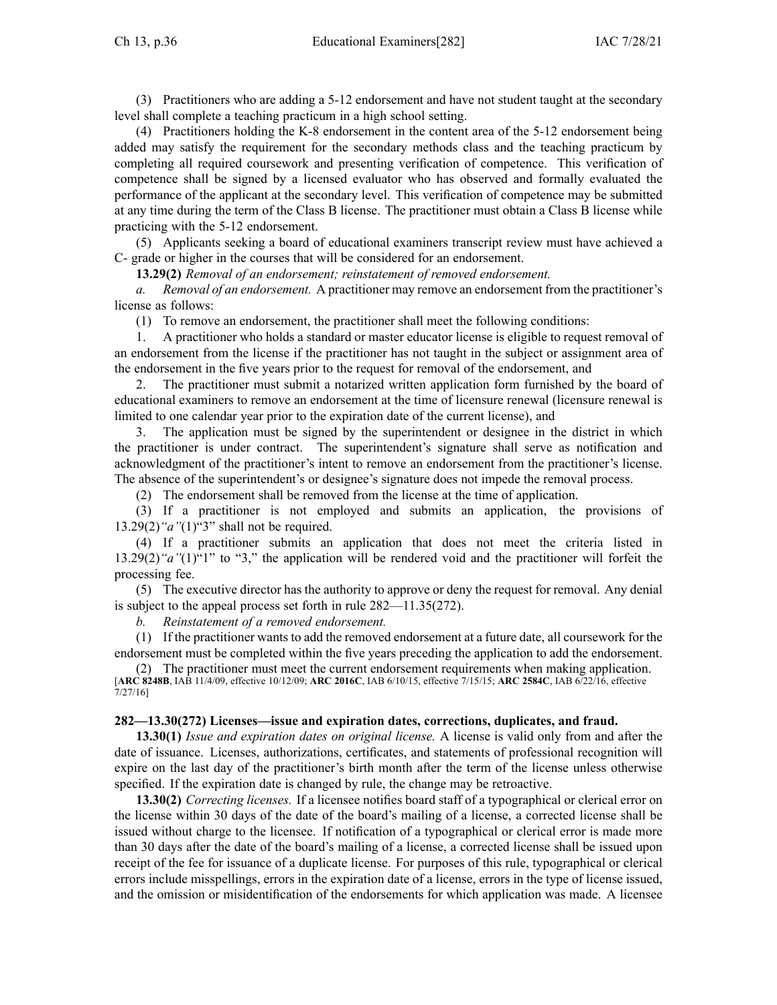(3) Practitioners who are adding <sup>a</sup> 5-12 endorsement and have not student taught at the secondary level shall complete <sup>a</sup> teaching practicum in <sup>a</sup> high school setting.

(4) Practitioners holding the K-8 endorsement in the content area of the 5-12 endorsement being added may satisfy the requirement for the secondary methods class and the teaching practicum by completing all required coursework and presenting verification of competence. This verification of competence shall be signed by <sup>a</sup> licensed evaluator who has observed and formally evaluated the performance of the applicant at the secondary level. This verification of competence may be submitted at any time during the term of the Class B license. The practitioner must obtain <sup>a</sup> Class B license while practicing with the 5-12 endorsement.

(5) Applicants seeking <sup>a</sup> board of educational examiners transcript review must have achieved <sup>a</sup> C- grade or higher in the courses that will be considered for an endorsement.

**13.29(2)** *Removal of an endorsement; reinstatement of removed endorsement.*

*a. Removal of an endorsement.* A practitioner may remove an endorsement from the practitioner's license as follows:

(1) To remove an endorsement, the practitioner shall meet the following conditions:

1. A practitioner who holds <sup>a</sup> standard or master educator license is eligible to reques<sup>t</sup> removal of an endorsement from the license if the practitioner has not taught in the subject or assignment area of the endorsement in the five years prior to the reques<sup>t</sup> for removal of the endorsement, and

2. The practitioner must submit <sup>a</sup> notarized written application form furnished by the board of educational examiners to remove an endorsement at the time of licensure renewal (licensure renewal is limited to one calendar year prior to the expiration date of the current license), and

3. The application must be signed by the superintendent or designee in the district in which the practitioner is under contract. The superintendent's signature shall serve as notification and acknowledgment of the practitioner's intent to remove an endorsement from the practitioner's license. The absence of the superintendent's or designee's signature does not impede the removal process.

(2) The endorsement shall be removed from the license at the time of application.

(3) If <sup>a</sup> practitioner is not employed and submits an application, the provisions of [13.29\(2\)](https://www.legis.iowa.gov/docs/iac/rule/282.13.29.pdf)*"a"*(1)"3" shall not be required.

(4) If <sup>a</sup> practitioner submits an application that does not meet the criteria listed in [13.29\(2\)](https://www.legis.iowa.gov/docs/iac/rule/282.13.29.pdf)*"a"*(1)"1" to "3," the application will be rendered void and the practitioner will forfeit the processing fee.

(5) The executive director has the authority to approve or deny the reques<sup>t</sup> for removal. Any denial is subject to the appeal process set forth in rule [282—11.35](https://www.legis.iowa.gov/docs/iac/rule/282.11.35.pdf)(272).

*b. Reinstatement of <sup>a</sup> removed endorsement.*

(1) If the practitioner wants to add the removed endorsement at <sup>a</sup> future date, all coursework for the endorsement must be completed within the five years preceding the application to add the endorsement.

(2) The practitioner must meet the current endorsement requirements when making application. [**ARC [8248B](https://www.legis.iowa.gov/docs/aco/arc/8248B.pdf)**, IAB 11/4/09, effective 10/12/09; **ARC [2016C](https://www.legis.iowa.gov/docs/aco/arc/2016C.pdf)**, IAB 6/10/15, effective 7/15/15; **ARC [2584C](https://www.legis.iowa.gov/docs/aco/arc/2584C.pdf)**, IAB 6/22/16, effective 7/27/16]

### **282—13.30(272) Licenses—issue and expiration dates, corrections, duplicates, and fraud.**

**13.30(1)** *Issue and expiration dates on original license.* A license is valid only from and after the date of issuance. Licenses, authorizations, certificates, and statements of professional recognition will expire on the last day of the practitioner's birth month after the term of the license unless otherwise specified. If the expiration date is changed by rule, the change may be retroactive.

**13.30(2)** *Correcting licenses.* If <sup>a</sup> licensee notifies board staff of <sup>a</sup> typographical or clerical error on the license within 30 days of the date of the board's mailing of <sup>a</sup> license, <sup>a</sup> corrected license shall be issued without charge to the licensee. If notification of <sup>a</sup> typographical or clerical error is made more than 30 days after the date of the board's mailing of <sup>a</sup> license, <sup>a</sup> corrected license shall be issued upon receipt of the fee for issuance of <sup>a</sup> duplicate license. For purposes of this rule, typographical or clerical errors include misspellings, errors in the expiration date of <sup>a</sup> license, errors in the type of license issued, and the omission or misidentification of the endorsements for which application was made. A licensee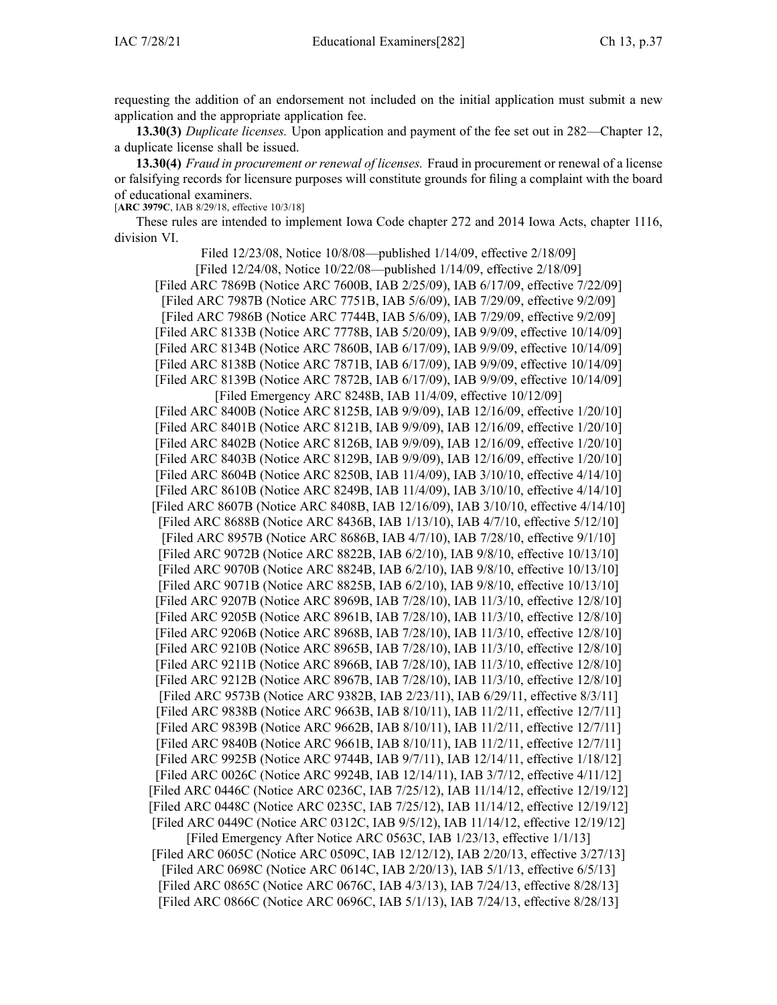requesting the addition of an endorsement not included on the initial application must submit <sup>a</sup> new application and the appropriate application fee.

**13.30(3)** *Duplicate licenses.* Upon application and paymen<sup>t</sup> of the fee set out in [282—Chapter](https://www.legis.iowa.gov/docs/iac/chapter/282.12.pdf) 12, <sup>a</sup> duplicate license shall be issued.

**13.30(4)** *Fraud in procuremen<sup>t</sup> or renewal of licenses.* Fraud in procuremen<sup>t</sup> or renewal of <sup>a</sup> license or falsifying records for licensure purposes will constitute grounds for filing <sup>a</sup> complaint with the board of educational examiners.

[**ARC [3979C](https://www.legis.iowa.gov/docs/aco/arc/3979C.pdf)**, IAB 8/29/18, effective 10/3/18]

These rules are intended to implement Iowa Code chapter [272](https://www.legis.iowa.gov/docs/ico/chapter/272.pdf) and 2014 Iowa Acts, chapter 1116, division VI.

Filed 12/23/08, Notice 10/8/08—published 1/14/09, effective 2/18/09]

[Filed 12/24/08, Notice 10/22/08—published 1/14/09, effective 2/18/09]

[Filed ARC [7869B](https://www.legis.iowa.gov/docs/aco/arc/7869B.pdf) ([Notice](https://www.legis.iowa.gov/docs/aco/arc/7600B.pdf) ARC 7600B, IAB 2/25/09), IAB 6/17/09, effective 7/22/09] [[Filed](https://www.legis.iowa.gov/docs/aco/arc/7987B.pdf) ARC 7987B [\(Notice](https://www.legis.iowa.gov/docs/aco/arc/7751B.pdf) ARC 7751B, IAB 5/6/09), IAB 7/29/09, effective 9/2/09] [Filed ARC [7986B](https://www.legis.iowa.gov/docs/aco/arc/7986B.pdf) [\(Notice](https://www.legis.iowa.gov/docs/aco/arc/7744B.pdf) ARC 7744B, IAB 5/6/09), IAB 7/29/09, effective 9/2/09] [[Filed](https://www.legis.iowa.gov/docs/aco/arc/8133B.pdf) ARC 8133B ([Notice](https://www.legis.iowa.gov/docs/aco/arc/7778B.pdf) ARC 7778B, IAB 5/20/09), IAB 9/9/09, effective 10/14/09] [[Filed](https://www.legis.iowa.gov/docs/aco/arc/8134B.pdf) ARC 8134B ([Notice](https://www.legis.iowa.gov/docs/aco/arc/7860B.pdf) ARC 7860B, IAB 6/17/09), IAB 9/9/09, effective 10/14/09] [[Filed](https://www.legis.iowa.gov/docs/aco/arc/8138B.pdf) ARC 8138B ([Notice](https://www.legis.iowa.gov/docs/aco/arc/7871B.pdf) ARC 7871B, IAB 6/17/09), IAB 9/9/09, effective 10/14/09] [[Filed](https://www.legis.iowa.gov/docs/aco/arc/8139B.pdf) ARC 8139B ([Notice](https://www.legis.iowa.gov/docs/aco/arc/7872B.pdf) ARC 7872B, IAB 6/17/09), IAB 9/9/09, effective 10/14/09] [Filed [Emergency](https://www.legis.iowa.gov/docs/aco/arc/8248B.pdf) ARC 8248B, IAB 11/4/09, effective 10/12/09]

[[Filed](https://www.legis.iowa.gov/docs/aco/arc/8400B.pdf) ARC 8400B ([Notice](https://www.legis.iowa.gov/docs/aco/arc/8125B.pdf) ARC 8125B, IAB 9/9/09), IAB 12/16/09, effective 1/20/10] [Filed ARC [8401B](https://www.legis.iowa.gov/docs/aco/arc/8401B.pdf) ([Notice](https://www.legis.iowa.gov/docs/aco/arc/8121B.pdf) ARC 8121B, IAB 9/9/09), IAB 12/16/09, effective 1/20/10] [[Filed](https://www.legis.iowa.gov/docs/aco/arc/8402B.pdf) ARC 8402B ([Notice](https://www.legis.iowa.gov/docs/aco/arc/8126B.pdf) ARC 8126B, IAB 9/9/09), IAB 12/16/09, effective 1/20/10] [Filed ARC [8403B](https://www.legis.iowa.gov/docs/aco/arc/8403B.pdf) ([Notice](https://www.legis.iowa.gov/docs/aco/arc/8129B.pdf) ARC 8129B, IAB 9/9/09), IAB 12/16/09, effective 1/20/10] [[Filed](https://www.legis.iowa.gov/docs/aco/arc/8604B.pdf) ARC 8604B [\(Notice](https://www.legis.iowa.gov/docs/aco/arc/8250B.pdf) ARC 8250B, IAB 11/4/09), IAB 3/10/10, effective 4/14/10] [[Filed](https://www.legis.iowa.gov/docs/aco/arc/8610B.pdf) ARC 8610B [\(Notice](https://www.legis.iowa.gov/docs/aco/arc/8249B.pdf) ARC 8249B, IAB 11/4/09), IAB 3/10/10, effective 4/14/10] [[Filed](https://www.legis.iowa.gov/docs/aco/arc/8607B.pdf) ARC 8607B ([Notice](https://www.legis.iowa.gov/docs/aco/arc/8408B.pdf) ARC 8408B, IAB 12/16/09), IAB 3/10/10, effective 4/14/10] [[Filed](https://www.legis.iowa.gov/docs/aco/arc/8688B.pdf) ARC 8688B ([Notice](https://www.legis.iowa.gov/docs/aco/arc/8436B.pdf) ARC 8436B, IAB 1/13/10), IAB 4/7/10, effective 5/12/10] [[Filed](https://www.legis.iowa.gov/docs/aco/arc/8957B.pdf) ARC 8957B [\(Notice](https://www.legis.iowa.gov/docs/aco/arc/8686B.pdf) ARC 8686B, IAB 4/7/10), IAB 7/28/10, effective 9/1/10] [[Filed](https://www.legis.iowa.gov/docs/aco/arc/9072B.pdf) ARC 9072B ([Notice](https://www.legis.iowa.gov/docs/aco/arc/8822B.pdf) ARC 8822B, IAB 6/2/10), IAB 9/8/10, effective 10/13/10] [Filed ARC [9070B](https://www.legis.iowa.gov/docs/aco/arc/9070B.pdf) ([Notice](https://www.legis.iowa.gov/docs/aco/arc/8824B.pdf) ARC 8824B, IAB 6/2/10), IAB 9/8/10, effective 10/13/10] [[Filed](https://www.legis.iowa.gov/docs/aco/arc/9071B.pdf) ARC 9071B ([Notice](https://www.legis.iowa.gov/docs/aco/arc/8825B.pdf) ARC 8825B, IAB 6/2/10), IAB 9/8/10, effective 10/13/10] [Filed ARC [9207B](https://www.legis.iowa.gov/docs/aco/arc/9207B.pdf) [\(Notice](https://www.legis.iowa.gov/docs/aco/arc/8969B.pdf) ARC 8969B, IAB 7/28/10), IAB 11/3/10, effective 12/8/10] [[Filed](https://www.legis.iowa.gov/docs/aco/arc/9205B.pdf) ARC 9205B [\(Notice](https://www.legis.iowa.gov/docs/aco/arc/8961B.pdf) ARC 8961B, IAB 7/28/10), IAB 11/3/10, effective 12/8/10] [Filed ARC [9206B](https://www.legis.iowa.gov/docs/aco/arc/9206B.pdf) [\(Notice](https://www.legis.iowa.gov/docs/aco/arc/8968B.pdf) ARC 8968B, IAB 7/28/10), IAB 11/3/10, effective 12/8/10] [[Filed](https://www.legis.iowa.gov/docs/aco/arc/9210B.pdf) ARC 9210B [\(Notice](https://www.legis.iowa.gov/docs/aco/arc/8965B.pdf) ARC 8965B, IAB 7/28/10), IAB 11/3/10, effective 12/8/10] [[Filed](https://www.legis.iowa.gov/docs/aco/arc/9211B.pdf) ARC 9211B ([Notice](https://www.legis.iowa.gov/docs/aco/arc/8966B.pdf) ARC 8966B, IAB 7/28/10), IAB 11/3/10, effective 12/8/10] [[Filed](https://www.legis.iowa.gov/docs/aco/arc/9212B.pdf) ARC 9212B [\(Notice](https://www.legis.iowa.gov/docs/aco/arc/8967B.pdf) ARC 8967B, IAB 7/28/10), IAB 11/3/10, effective 12/8/10] [[Filed](https://www.legis.iowa.gov/docs/aco/arc/9573B.pdf) ARC 9573B [\(Notice](https://www.legis.iowa.gov/docs/aco/arc/9382B.pdf) ARC 9382B, IAB 2/23/11), IAB 6/29/11, effective 8/3/11] [\[Filed](https://www.legis.iowa.gov/docs/aco/arc/9838B.pdf) ARC 9838B ([Notice](https://www.legis.iowa.gov/docs/aco/arc/9663B.pdf) ARC 9663B, IAB 8/10/11), IAB 11/2/11, effective 12/7/11] [\[Filed](https://www.legis.iowa.gov/docs/aco/arc/9839B.pdf) ARC 9839B ([Notice](https://www.legis.iowa.gov/docs/aco/arc/9662B.pdf) ARC 9662B, IAB 8/10/11), IAB 11/2/11, effective 12/7/11] [\[Filed](https://www.legis.iowa.gov/docs/aco/arc/9840B.pdf) ARC 9840B ([Notice](https://www.legis.iowa.gov/docs/aco/arc/9661B.pdf) ARC 9661B, IAB 8/10/11), IAB 11/2/11, effective 12/7/11] [[Filed](https://www.legis.iowa.gov/docs/aco/arc/9925B.pdf) ARC 9925B ([Notice](https://www.legis.iowa.gov/docs/aco/arc/9744B.pdf) ARC 9744B, IAB 9/7/11), IAB 12/14/11, effective 1/18/12] [Filed ARC [0026C](https://www.legis.iowa.gov/docs/aco/arc/0026C.pdf) ([Notice](https://www.legis.iowa.gov/docs/aco/arc/9924B.pdf) ARC 9924B, IAB 12/14/11), IAB 3/7/12, effective 4/11/12] [[Filed](https://www.legis.iowa.gov/docs/aco/arc/0446C.pdf) ARC 0446C ([Notice](https://www.legis.iowa.gov/docs/aco/arc/0236C.pdf) ARC 0236C, IAB 7/25/12), IAB 11/14/12, effective 12/19/12] [Filed ARC [0448C](https://www.legis.iowa.gov/docs/aco/arc/0448C.pdf) ([Notice](https://www.legis.iowa.gov/docs/aco/arc/0235C.pdf) ARC 0235C, IAB 7/25/12), IAB 11/14/12, effective 12/19/12] [[Filed](https://www.legis.iowa.gov/docs/aco/arc/0449C.pdf) ARC 0449C ([Notice](https://www.legis.iowa.gov/docs/aco/arc/0312C.pdf) ARC 0312C, IAB 9/5/12), IAB 11/14/12, effective 12/19/12] [Filed [Emergency](https://www.legis.iowa.gov/docs/aco/arc/0563C.pdf) After Notice ARC 0563C, IAB 1/23/13, effective 1/1/13]

[[Filed](https://www.legis.iowa.gov/docs/aco/arc/0605C.pdf) ARC 0605C ([Notice](https://www.legis.iowa.gov/docs/aco/arc/0509C.pdf) ARC 0509C, IAB 12/12/12), IAB 2/20/13, effective 3/27/13] [Filed ARC [0698C](https://www.legis.iowa.gov/docs/aco/arc/0698C.pdf) [\(Notice](https://www.legis.iowa.gov/docs/aco/arc/0614C.pdf) ARC 0614C, IAB 2/20/13), IAB 5/1/13, effective 6/5/13] [[Filed](https://www.legis.iowa.gov/docs/aco/arc/0865C.pdf) ARC 0865C ([Notice](https://www.legis.iowa.gov/docs/aco/arc/0676C.pdf) ARC 0676C, IAB 4/3/13), IAB 7/24/13, effective 8/28/13] [[Filed](https://www.legis.iowa.gov/docs/aco/arc/0866C.pdf) ARC 0866C ([Notice](https://www.legis.iowa.gov/docs/aco/arc/0696C.pdf) ARC 0696C, IAB 5/1/13), IAB 7/24/13, effective 8/28/13]